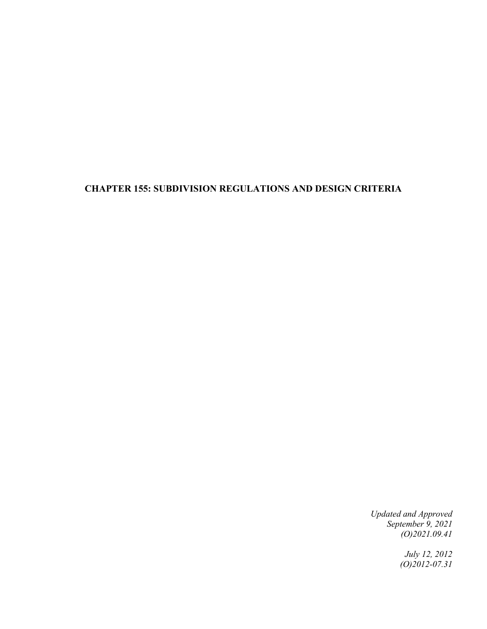# **CHAPTER 155: SUBDIVISION REGULATIONS AND DESIGN CRITERIA**

*Updated and Approved September 9, 2021 (O)2021.09.41*

> *July 12, 2012 (O)2012-07.31*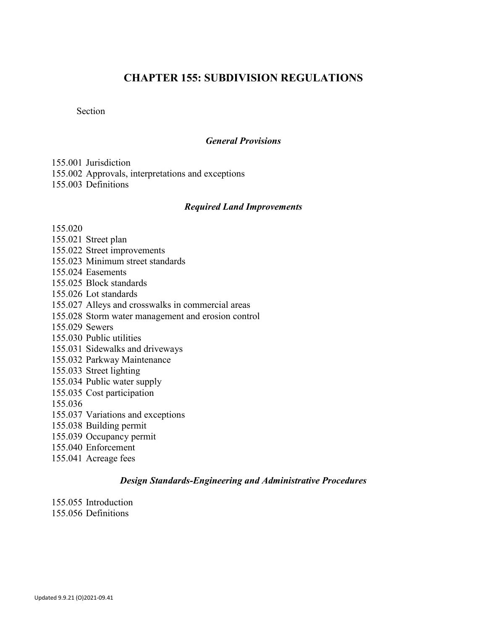# **CHAPTER 155: SUBDIVISION REGULATIONS**

Section

#### *General Provisions*

155.001 Jurisdiction 155.002 Approvals, interpretations and exceptions 155.003 Definitions

#### *Required Land Improvements*

155.020

155.021 Street plan 155.022 Street improvements 155.023 Minimum street standards 155.024 Easements 155.025 Block standards 155.026 Lot standards 155.027 Alleys and crosswalks in commercial areas 155.028 Storm water management and erosion control 155.029 Sewers 155.030 Public utilities 155.031 Sidewalks and driveways 155.032 Parkway Maintenance 155.033 Street lighting 155.034 Public water supply 155.035 Cost participation 155.036 155.037 Variations and exceptions 155.038 Building permit 155.039 Occupancy permit 155.040 Enforcement 155.041 Acreage fees

#### *Design Standards-Engineering and Administrative Procedures*

155.055 Introduction 155.056 Definitions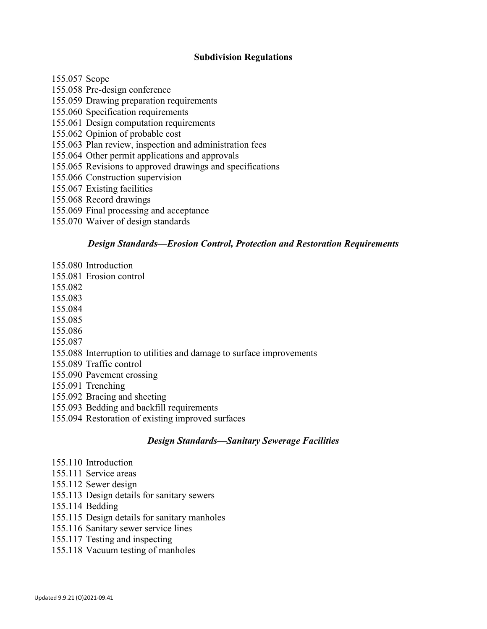### **Subdivision Regulations**

155.057 Scope

- 155.058 Pre-design conference
- 155.059 Drawing preparation requirements
- 155.060 Specification requirements
- 155.061 Design computation requirements
- 155.062 Opinion of probable cost
- 155.063 Plan review, inspection and administration fees
- 155.064 Other permit applications and approvals
- 155.065 Revisions to approved drawings and specifications
- 155.066 Construction supervision
- 155.067 Existing facilities
- 155.068 Record drawings
- 155.069 Final processing and acceptance
- 155.070 Waiver of design standards

### *Design Standards—Erosion Control, Protection and Restoration Requirements*

- 155.080 Introduction
- 155.081 Erosion control
- 155.082
- 155.083
- 155.084
- 155.085
- 155.086
- 155.087
- 155.088 Interruption to utilities and damage to surface improvements
- 155.089 Traffic control
- 155.090 Pavement crossing
- 155.091 Trenching
- 155.092 Bracing and sheeting
- 155.093 Bedding and backfill requirements
- 155.094 Restoration of existing improved surfaces

# *Design Standards—Sanitary Sewerage Facilities*

- 155.110 Introduction
- 155.111 Service areas
- 155.112 Sewer design
- 155.113 Design details for sanitary sewers
- 155.114 Bedding
- 155.115 Design details for sanitary manholes
- 155.116 Sanitary sewer service lines
- 155.117 Testing and inspecting
- 155.118 Vacuum testing of manholes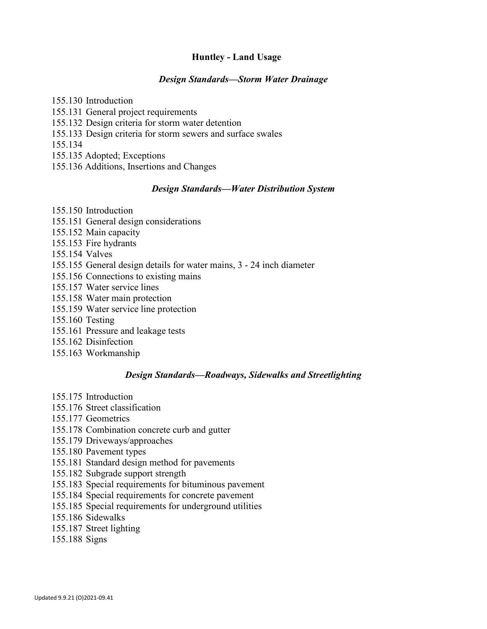### **Huntley - Land Usage**

#### *Design Standards—Storm Water Drainage*

155.130 Introduction 155.131 General project requirements 155.132 Design criteria for storm water detention 155.133 Design criteria for storm sewers and surface swales 155.134 155.135 Adopted; Exceptions 155.136 Additions, Insertions and Changes

#### *Design Standards—Water Distribution System*

155.150 Introduction

- 155.151 General design considerations
- 155.152 Main capacity
- 155.153 Fire hydrants

155.154 Valves

- 155.155 General design details for water mains, 3 24 inch diameter
- 155.156 Connections to existing mains
- 155.157 Water service lines
- 155.158 Water main protection
- 155.159 Water service line protection
- 155.160 Testing
- 155.161 Pressure and leakage tests
- 155.162 Disinfection
- 155.163 Workmanship

#### *Design Standards—Roadways, Sidewalks and Streetlighting*

- 155.175 Introduction
- 155.176 Street classification
- 155.177 Geometrics
- 155.178 Combination concrete curb and gutter
- 155.179 Driveways/approaches
- 155.180 Pavement types
- 155.181 Standard design method for pavements
- 155.182 Subgrade support strength
- 155.183 Special requirements for bituminous pavement
- 155.184 Special requirements for concrete pavement
- 155.185 Special requirements for underground utilities
- 155.186 Sidewalks
- 155.187 Street lighting
- 155.188 Signs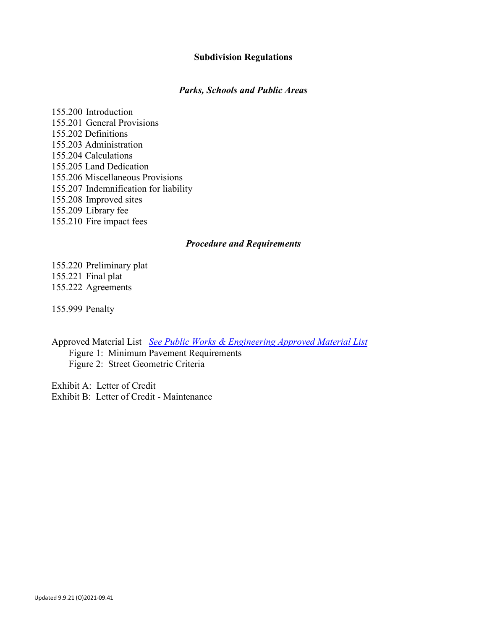#### **Subdivision Regulations**

#### *Parks, Schools and Public Areas*

155.200 Introduction 155.201 General Provisions 155.202 Definitions 155.203 Administration 155.204 Calculations 155.205 Land Dedication 155.206 Miscellaneous Provisions 155.207 Indemnification for liability 155.208 Improved sites 155.209 Library fee 155.210 Fire impact fees

#### *Procedure and Requirements*

155.220 Preliminary plat 155.221 Final plat 155.222 Agreements

155.999 Penalty

Approved Material List *[See Public Works & Engineering Approved Material List](https://cms6.revize.com/revize/huntleyvillage/document_center/Departments/Public%20Works/Engineering/1-9%20Sheets%20PDF.pdf)* Figure 1: Minimum Pavement Requirements Figure 2: Street Geometric Criteria

Exhibit A: Letter of Credit Exhibit B: Letter of Credit - Maintenance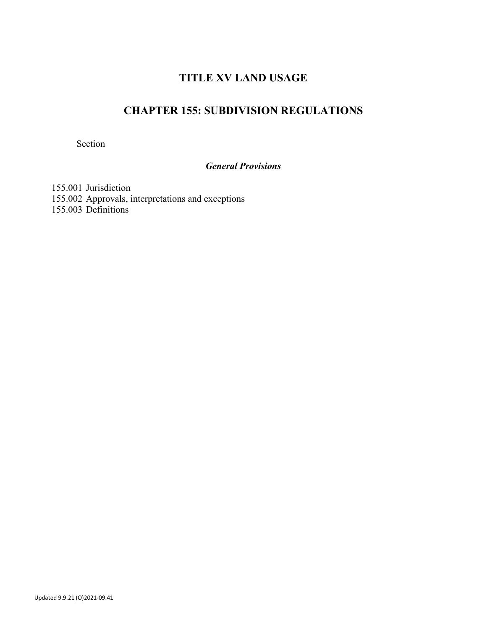# **TITLE XV LAND USAGE**

# **CHAPTER 155: SUBDIVISION REGULATIONS**

Section

# *General Provisions*

155.001 Jurisdiction 155.002 Approvals, interpretations and exceptions 155.003 Definitions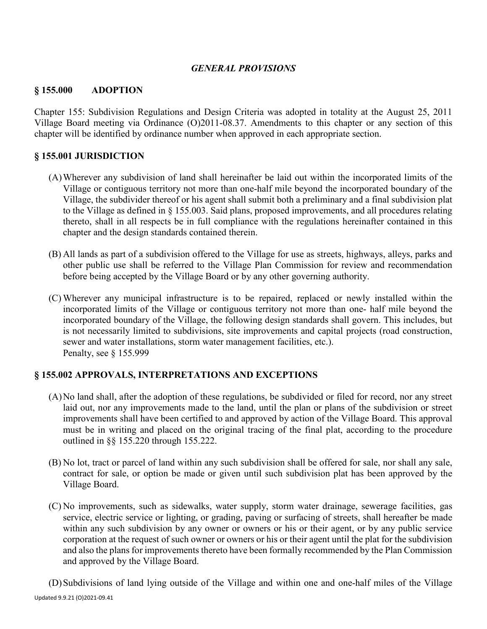### *GENERAL PROVISIONS*

#### **§ 155.000 ADOPTION**

Chapter 155: Subdivision Regulations and Design Criteria was adopted in totality at the August 25, 2011 Village Board meeting via Ordinance (O)2011-08.37. Amendments to this chapter or any section of this chapter will be identified by ordinance number when approved in each appropriate section.

#### **§ 155.001 JURISDICTION**

- (A)Wherever any subdivision of land shall hereinafter be laid out within the incorporated limits of the Village or contiguous territory not more than one-half mile beyond the incorporated boundary of the Village, the subdivider thereof or his agent shall submit both a preliminary and a final subdivision plat to the Village as defined in § 155.003. Said plans, proposed improvements, and all procedures relating thereto, shall in all respects be in full compliance with the regulations hereinafter contained in this chapter and the design standards contained therein.
- (B) All lands as part of a subdivision offered to the Village for use as streets, highways, alleys, parks and other public use shall be referred to the Village Plan Commission for review and recommendation before being accepted by the Village Board or by any other governing authority.
- (C) Wherever any municipal infrastructure is to be repaired, replaced or newly installed within the incorporated limits of the Village or contiguous territory not more than one- half mile beyond the incorporated boundary of the Village, the following design standards shall govern. This includes, but is not necessarily limited to subdivisions, site improvements and capital projects (road construction, sewer and water installations, storm water management facilities, etc.). Penalty, see § 155.999

#### **§ 155.002 APPROVALS, INTERPRETATIONS AND EXCEPTIONS**

- (A)No land shall, after the adoption of these regulations, be subdivided or filed for record, nor any street laid out, nor any improvements made to the land, until the plan or plans of the subdivision or street improvements shall have been certified to and approved by action of the Village Board. This approval must be in writing and placed on the original tracing of the final plat, according to the procedure outlined in §§ 155.220 through 155.222.
- (B) No lot, tract or parcel of land within any such subdivision shall be offered for sale, nor shall any sale, contract for sale, or option be made or given until such subdivision plat has been approved by the Village Board.
- (C) No improvements, such as sidewalks, water supply, storm water drainage, sewerage facilities, gas service, electric service or lighting, or grading, paving or surfacing of streets, shall hereafter be made within any such subdivision by any owner or owners or his or their agent, or by any public service corporation at the request of such owner or owners or his or their agent until the plat for the subdivision and also the plans for improvements thereto have been formally recommended by the Plan Commission and approved by the Village Board.

Updated 9.9.21 (O)2021-09.41 (D)Subdivisions of land lying outside of the Village and within one and one-half miles of the Village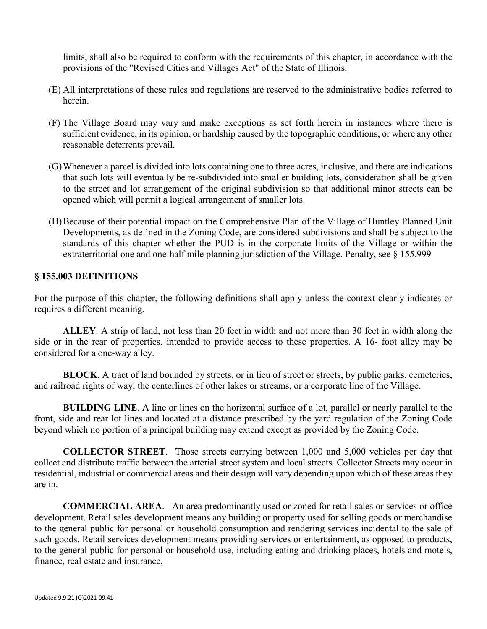limits, shall also be required to conform with the requirements of this chapter, in accordance with the provisions of the "Revised Cities and Villages Act" of the State of Illinois.

- (E) All interpretations of these rules and regulations are reserved to the administrative bodies referred to herein.
- (F) The Village Board may vary and make exceptions as set forth herein in instances where there is sufficient evidence, in its opinion, or hardship caused by the topographic conditions, or where any other reasonable deterrents prevail.
- (G)Whenever a parcel is divided into lots containing one to three acres, inclusive, and there are indications that such lots will eventually be re-subdivided into smaller building lots, consideration shall be given to the street and lot arrangement of the original subdivision so that additional minor streets can be opened which will permit a logical arrangement of smaller lots.
- (H)Because of their potential impact on the Comprehensive Plan of the Village of Huntley Planned Unit Developments, as defined in the Zoning Code, are considered subdivisions and shall be subject to the standards of this chapter whether the PUD is in the corporate limits of the Village or within the extraterritorial one and one-half mile planning jurisdiction of the Village. Penalty, see § 155.999

#### **§ 155.003 DEFINITIONS**

For the purpose of this chapter, the following definitions shall apply unless the context clearly indicates or requires a different meaning.

**ALLEY**. A strip of land, not less than 20 feet in width and not more than 30 feet in width along the side or in the rear of properties, intended to provide access to these properties. A 16- foot alley may be considered for a one-way alley.

**BLOCK**. A tract of land bounded by streets, or in lieu of street or streets, by public parks, cemeteries, and railroad rights of way, the centerlines of other lakes or streams, or a corporate line of the Village.

**BUILDING LINE**. A line or lines on the horizontal surface of a lot, parallel or nearly parallel to the front, side and rear lot lines and located at a distance prescribed by the yard regulation of the Zoning Code beyond which no portion of a principal building may extend except as provided by the Zoning Code.

**COLLECTOR STREET**. Those streets carrying between 1,000 and 5,000 vehicles per day that collect and distribute traffic between the arterial street system and local streets. Collector Streets may occur in residential, industrial or commercial areas and their design will vary depending upon which of these areas they are in.

**COMMERCIAL AREA**. An area predominantly used or zoned for retail sales or services or office development. Retail sales development means any building or property used for selling goods or merchandise to the general public for personal or household consumption and rendering services incidental to the sale of such goods. Retail services development means providing services or entertainment, as opposed to products, to the general public for personal or household use, including eating and drinking places, hotels and motels, finance, real estate and insurance,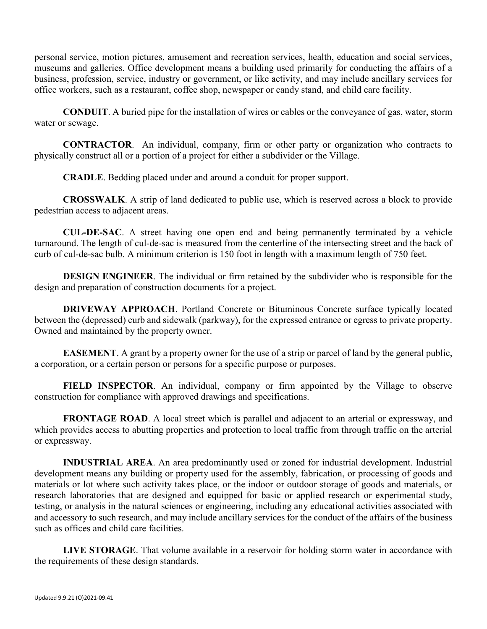personal service, motion pictures, amusement and recreation services, health, education and social services, museums and galleries. Office development means a building used primarily for conducting the affairs of a business, profession, service, industry or government, or like activity, and may include ancillary services for office workers, such as a restaurant, coffee shop, newspaper or candy stand, and child care facility.

**CONDUIT**. A buried pipe for the installation of wires or cables or the conveyance of gas, water, storm water or sewage.

**CONTRACTOR**. An individual, company, firm or other party or organization who contracts to physically construct all or a portion of a project for either a subdivider or the Village.

**CRADLE**. Bedding placed under and around a conduit for proper support.

**CROSSWALK**. A strip of land dedicated to public use, which is reserved across a block to provide pedestrian access to adjacent areas.

**CUL-DE-SAC**. A street having one open end and being permanently terminated by a vehicle turnaround. The length of cul-de-sac is measured from the centerline of the intersecting street and the back of curb of cul-de-sac bulb. A minimum criterion is 150 foot in length with a maximum length of 750 feet.

**DESIGN ENGINEER**. The individual or firm retained by the subdivider who is responsible for the design and preparation of construction documents for a project.

**DRIVEWAY APPROACH.** Portland Concrete or Bituminous Concrete surface typically located between the (depressed) curb and sidewalk (parkway), for the expressed entrance or egress to private property. Owned and maintained by the property owner.

**EASEMENT**. A grant by a property owner for the use of a strip or parcel of land by the general public, a corporation, or a certain person or persons for a specific purpose or purposes.

**FIELD INSPECTOR**. An individual, company or firm appointed by the Village to observe construction for compliance with approved drawings and specifications.

**FRONTAGE ROAD.** A local street which is parallel and adjacent to an arterial or expressway, and which provides access to abutting properties and protection to local traffic from through traffic on the arterial or expressway.

**INDUSTRIAL AREA**. An area predominantly used or zoned for industrial development. Industrial development means any building or property used for the assembly, fabrication, or processing of goods and materials or lot where such activity takes place, or the indoor or outdoor storage of goods and materials, or research laboratories that are designed and equipped for basic or applied research or experimental study, testing, or analysis in the natural sciences or engineering, including any educational activities associated with and accessory to such research, and may include ancillary services for the conduct of the affairs of the business such as offices and child care facilities.

**LIVE STORAGE**. That volume available in a reservoir for holding storm water in accordance with the requirements of these design standards.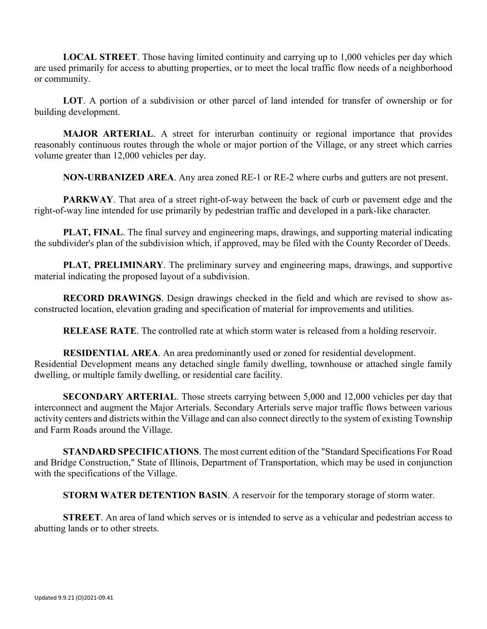**LOCAL STREET**. Those having limited continuity and carrying up to 1,000 vehicles per day which are used primarily for access to abutting properties, or to meet the local traffic flow needs of a neighborhood or community.

**LOT**. A portion of a subdivision or other parcel of land intended for transfer of ownership or for building development.

**MAJOR ARTERIAL**. A street for interurban continuity or regional importance that provides reasonably continuous routes through the whole or major portion of the Village, or any street which carries volume greater than 12,000 vehicles per day.

**NON-URBANIZED AREA**. Any area zoned RE-1 or RE-2 where curbs and gutters are not present.

**PARKWAY**. That area of a street right-of-way between the back of curb or pavement edge and the right-of-way line intended for use primarily by pedestrian traffic and developed in a park-like character.

**PLAT, FINAL**. The final survey and engineering maps, drawings, and supporting material indicating the subdivider's plan of the subdivision which, if approved, may be filed with the County Recorder of Deeds.

**PLAT, PRELIMINARY**. The preliminary survey and engineering maps, drawings, and supportive material indicating the proposed layout of a subdivision.

**RECORD DRAWINGS**. Design drawings checked in the field and which are revised to show asconstructed location, elevation grading and specification of material for improvements and utilities.

**RELEASE RATE**. The controlled rate at which storm water is released from a holding reservoir.

**RESIDENTIAL AREA**. An area predominantly used or zoned for residential development. Residential Development means any detached single family dwelling, townhouse or attached single family dwelling, or multiple family dwelling, or residential care facility.

**SECONDARY ARTERIAL**. Those streets carrying between 5,000 and 12,000 vehicles per day that interconnect and augment the Major Arterials. Secondary Arterials serve major traffic flows between various activity centers and districts within the Village and can also connect directly to the system of existing Township and Farm Roads around the Village.

**STANDARD SPECIFICATIONS**. The most current edition of the "Standard Specifications For Road and Bridge Construction," State of Illinois, Department of Transportation, which may be used in conjunction with the specifications of the Village.

**STORM WATER DETENTION BASIN**. A reservoir for the temporary storage of storm water.

**STREET**. An area of land which serves or is intended to serve as a vehicular and pedestrian access to abutting lands or to other streets.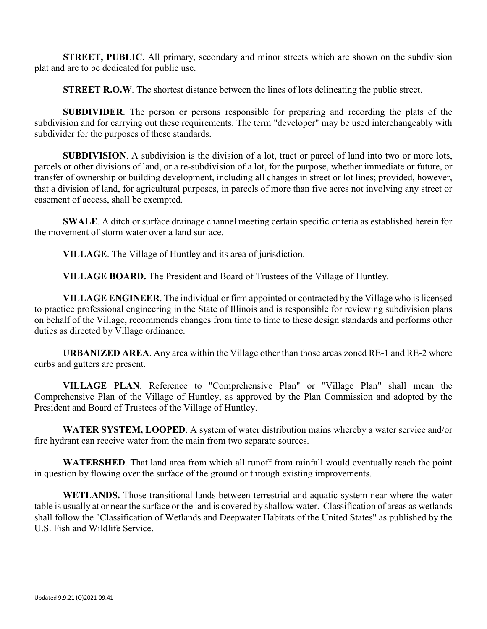**STREET, PUBLIC**. All primary, secondary and minor streets which are shown on the subdivision plat and are to be dedicated for public use.

**STREET R.O.W.** The shortest distance between the lines of lots delineating the public street.

**SUBDIVIDER**. The person or persons responsible for preparing and recording the plats of the subdivision and for carrying out these requirements. The term "developer" may be used interchangeably with subdivider for the purposes of these standards.

**SUBDIVISION**. A subdivision is the division of a lot, tract or parcel of land into two or more lots, parcels or other divisions of land, or a re-subdivision of a lot, for the purpose, whether immediate or future, or transfer of ownership or building development, including all changes in street or lot lines; provided, however, that a division of land, for agricultural purposes, in parcels of more than five acres not involving any street or easement of access, shall be exempted.

**SWALE**. A ditch or surface drainage channel meeting certain specific criteria as established herein for the movement of storm water over a land surface.

**VILLAGE**. The Village of Huntley and its area of jurisdiction.

**VILLAGE BOARD.** The President and Board of Trustees of the Village of Huntley.

**VILLAGE ENGINEER**. The individual or firm appointed or contracted by the Village who is licensed to practice professional engineering in the State of Illinois and is responsible for reviewing subdivision plans on behalf of the Village, recommends changes from time to time to these design standards and performs other duties as directed by Village ordinance.

**URBANIZED AREA**. Any area within the Village other than those areas zoned RE-1 and RE-2 where curbs and gutters are present.

**VILLAGE PLAN**. Reference to "Comprehensive Plan" or "Village Plan" shall mean the Comprehensive Plan of the Village of Huntley, as approved by the Plan Commission and adopted by the President and Board of Trustees of the Village of Huntley.

**WATER SYSTEM, LOOPED**. A system of water distribution mains whereby a water service and/or fire hydrant can receive water from the main from two separate sources.

**WATERSHED**. That land area from which all runoff from rainfall would eventually reach the point in question by flowing over the surface of the ground or through existing improvements.

**WETLANDS.** Those transitional lands between terrestrial and aquatic system near where the water table is usually at or near the surface or the land is covered by shallow water. Classification of areas as wetlands shall follow the "Classification of Wetlands and Deepwater Habitats of the United States" as published by the U.S. Fish and Wildlife Service.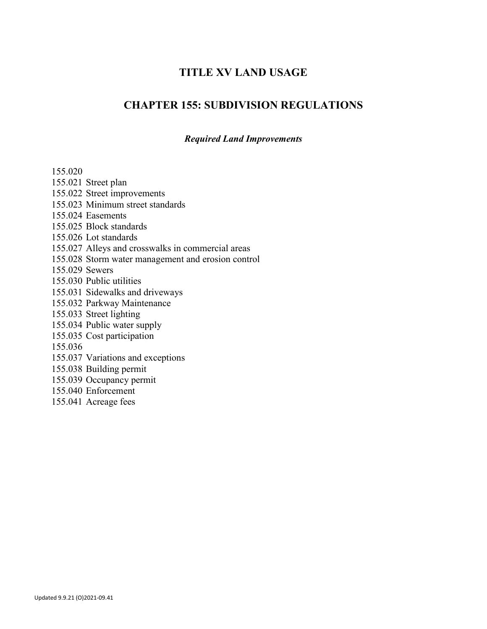# **TITLE XV LAND USAGE**

# **CHAPTER 155: SUBDIVISION REGULATIONS**

#### *Required Land Improvements*

155.020 155.021 Street plan 155.022 Street improvements 155.023 Minimum street standards 155.024 Easements 155.025 Block standards 155.026 Lot standards 155.027 Alleys and crosswalks in commercial areas 155.028 Storm water management and erosion control 155.029 Sewers 155.030 Public utilities 155.031 Sidewalks and driveways 155.032 Parkway Maintenance 155.033 Street lighting 155.034 Public water supply 155.035 Cost participation 155.036 155.037 Variations and exceptions 155.038 Building permit 155.039 Occupancy permit 155.040 Enforcement

155.041 Acreage fees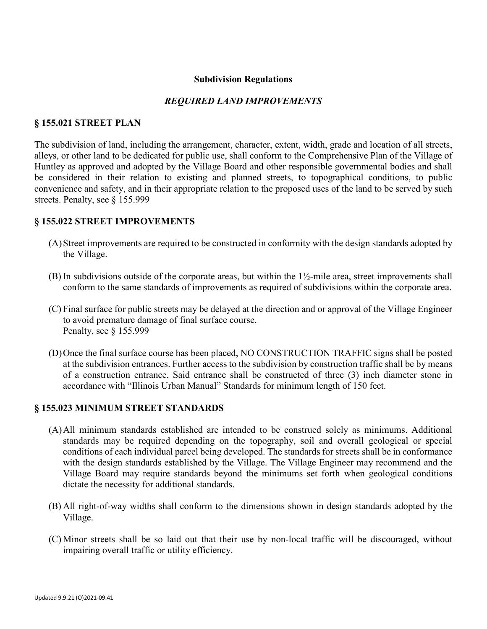#### **Subdivision Regulations**

#### *REQUIRED LAND IMPROVEMENTS*

#### **§ 155.021 STREET PLAN**

The subdivision of land, including the arrangement, character, extent, width, grade and location of all streets, alleys, or other land to be dedicated for public use, shall conform to the Comprehensive Plan of the Village of Huntley as approved and adopted by the Village Board and other responsible governmental bodies and shall be considered in their relation to existing and planned streets, to topographical conditions, to public convenience and safety, and in their appropriate relation to the proposed uses of the land to be served by such streets. Penalty, see § 155.999

#### **§ 155.022 STREET IMPROVEMENTS**

- (A)Street improvements are required to be constructed in conformity with the design standards adopted by the Village.
- (B) In subdivisions outside of the corporate areas, but within the 1½-mile area, street improvements shall conform to the same standards of improvements as required of subdivisions within the corporate area.
- (C) Final surface for public streets may be delayed at the direction and or approval of the Village Engineer to avoid premature damage of final surface course. Penalty, see § 155.999
- (D)Once the final surface course has been placed, NO CONSTRUCTION TRAFFIC signs shall be posted at the subdivision entrances. Further access to the subdivision by construction traffic shall be by means of a construction entrance. Said entrance shall be constructed of three (3) inch diameter stone in accordance with "Illinois Urban Manual" Standards for minimum length of 150 feet.

#### **§ 155.023 MINIMUM STREET STANDARDS**

- (A)All minimum standards established are intended to be construed solely as minimums. Additional standards may be required depending on the topography, soil and overall geological or special conditions of each individual parcel being developed. The standards for streets shall be in conformance with the design standards established by the Village. The Village Engineer may recommend and the Village Board may require standards beyond the minimums set forth when geological conditions dictate the necessity for additional standards.
- (B) All right-of-way widths shall conform to the dimensions shown in design standards adopted by the Village.
- (C) Minor streets shall be so laid out that their use by non-local traffic will be discouraged, without impairing overall traffic or utility efficiency.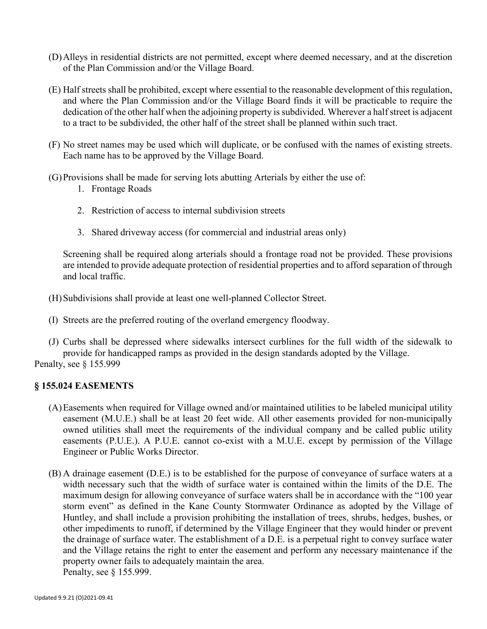- (D)Alleys in residential districts are not permitted, except where deemed necessary, and at the discretion of the Plan Commission and/or the Village Board.
- (E) Half streets shall be prohibited, except where essential to the reasonable development of this regulation, and where the Plan Commission and/or the Village Board finds it will be practicable to require the dedication of the other half when the adjoining property is subdivided. Wherever a half street is adjacent to a tract to be subdivided, the other half of the street shall be planned within such tract.
- (F) No street names may be used which will duplicate, or be confused with the names of existing streets. Each name has to be approved by the Village Board.
- (G)Provisions shall be made for serving lots abutting Arterials by either the use of:
	- 1. Frontage Roads
	- 2. Restriction of access to internal subdivision streets
	- 3. Shared driveway access (for commercial and industrial areas only)

Screening shall be required along arterials should a frontage road not be provided. These provisions are intended to provide adequate protection of residential properties and to afford separation of through and local traffic.

- (H)Subdivisions shall provide at least one well-planned Collector Street.
- (I) Streets are the preferred routing of the overland emergency floodway.
- (J) Curbs shall be depressed where sidewalks intersect curblines for the full width of the sidewalk to provide for handicapped ramps as provided in the design standards adopted by the Village. Penalty, see § 155.999

#### **§ 155.024 EASEMENTS**

- (A)Easements when required for Village owned and/or maintained utilities to be labeled municipal utility easement (M.U.E.) shall be at least 20 feet wide. All other easements provided for non-municipally owned utilities shall meet the requirements of the individual company and be called public utility easements (P.U.E.). A P.U.E. cannot co-exist with a M.U.E. except by permission of the Village Engineer or Public Works Director.
- (B) A drainage easement (D.E.) is to be established for the purpose of conveyance of surface waters at a width necessary such that the width of surface water is contained within the limits of the D.E. The maximum design for allowing conveyance of surface waters shall be in accordance with the "100 year storm event" as defined in the Kane County Stormwater Ordinance as adopted by the Village of Huntley, and shall include a provision prohibiting the installation of trees, shrubs, hedges, bushes, or other impediments to runoff, if determined by the Village Engineer that they would hinder or prevent the drainage of surface water. The establishment of a D.E. is a perpetual right to convey surface water and the Village retains the right to enter the easement and perform any necessary maintenance if the property owner fails to adequately maintain the area. Penalty, see § 155.999.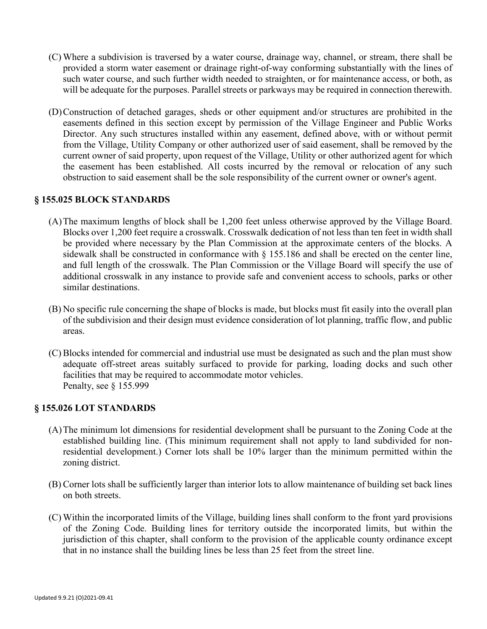- (C) Where a subdivision is traversed by a water course, drainage way, channel, or stream, there shall be provided a storm water easement or drainage right-of-way conforming substantially with the lines of such water course, and such further width needed to straighten, or for maintenance access, or both, as will be adequate for the purposes. Parallel streets or parkways may be required in connection therewith.
- (D)Construction of detached garages, sheds or other equipment and/or structures are prohibited in the easements defined in this section except by permission of the Village Engineer and Public Works Director. Any such structures installed within any easement, defined above, with or without permit from the Village, Utility Company or other authorized user of said easement, shall be removed by the current owner of said property, upon request of the Village, Utility or other authorized agent for which the easement has been established. All costs incurred by the removal or relocation of any such obstruction to said easement shall be the sole responsibility of the current owner or owner's agent.

### **§ 155.025 BLOCK STANDARDS**

- (A)The maximum lengths of block shall be 1,200 feet unless otherwise approved by the Village Board. Blocks over 1,200 feet require a crosswalk. Crosswalk dedication of not less than ten feet in width shall be provided where necessary by the Plan Commission at the approximate centers of the blocks. A sidewalk shall be constructed in conformance with  $\S$  155.186 and shall be erected on the center line, and full length of the crosswalk. The Plan Commission or the Village Board will specify the use of additional crosswalk in any instance to provide safe and convenient access to schools, parks or other similar destinations.
- (B) No specific rule concerning the shape of blocks is made, but blocks must fit easily into the overall plan of the subdivision and their design must evidence consideration of lot planning, traffic flow, and public areas.
- (C) Blocks intended for commercial and industrial use must be designated as such and the plan must show adequate off-street areas suitably surfaced to provide for parking, loading docks and such other facilities that may be required to accommodate motor vehicles. Penalty, see § 155.999

#### **§ 155.026 LOT STANDARDS**

- (A)The minimum lot dimensions for residential development shall be pursuant to the Zoning Code at the established building line. (This minimum requirement shall not apply to land subdivided for nonresidential development.) Corner lots shall be 10% larger than the minimum permitted within the zoning district.
- (B) Corner lots shall be sufficiently larger than interior lots to allow maintenance of building set back lines on both streets.
- (C) Within the incorporated limits of the Village, building lines shall conform to the front yard provisions of the Zoning Code. Building lines for territory outside the incorporated limits, but within the jurisdiction of this chapter, shall conform to the provision of the applicable county ordinance except that in no instance shall the building lines be less than 25 feet from the street line.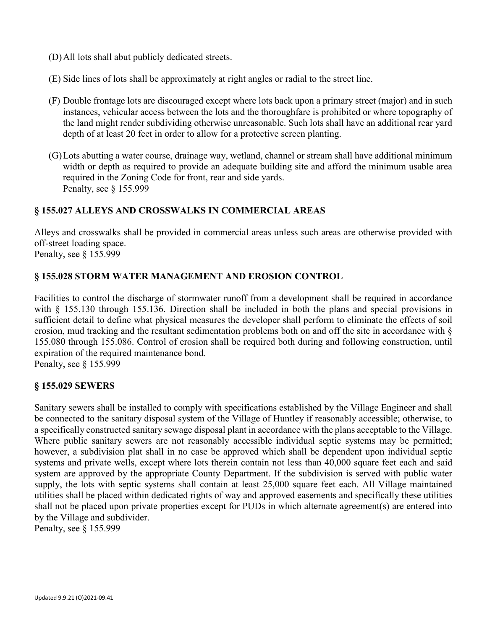- (D)All lots shall abut publicly dedicated streets.
- (E) Side lines of lots shall be approximately at right angles or radial to the street line.
- (F) Double frontage lots are discouraged except where lots back upon a primary street (major) and in such instances, vehicular access between the lots and the thoroughfare is prohibited or where topography of the land might render subdividing otherwise unreasonable. Such lots shall have an additional rear yard depth of at least 20 feet in order to allow for a protective screen planting.
- (G)Lots abutting a water course, drainage way, wetland, channel or stream shall have additional minimum width or depth as required to provide an adequate building site and afford the minimum usable area required in the Zoning Code for front, rear and side yards. Penalty, see § 155.999

### **§ 155.027 ALLEYS AND CROSSWALKS IN COMMERCIAL AREAS**

Alleys and crosswalks shall be provided in commercial areas unless such areas are otherwise provided with off-street loading space. Penalty, see § 155.999

### **§ 155.028 STORM WATER MANAGEMENT AND EROSION CONTROL**

Facilities to control the discharge of stormwater runoff from a development shall be required in accordance with § 155.130 through 155.136. Direction shall be included in both the plans and special provisions in sufficient detail to define what physical measures the developer shall perform to eliminate the effects of soil erosion, mud tracking and the resultant sedimentation problems both on and off the site in accordance with § 155.080 through 155.086. Control of erosion shall be required both during and following construction, until expiration of the required maintenance bond.

Penalty, see § 155.999

#### **§ 155.029 SEWERS**

Sanitary sewers shall be installed to comply with specifications established by the Village Engineer and shall be connected to the sanitary disposal system of the Village of Huntley if reasonably accessible; otherwise, to a specifically constructed sanitary sewage disposal plant in accordance with the plans acceptable to the Village. Where public sanitary sewers are not reasonably accessible individual septic systems may be permitted; however, a subdivision plat shall in no case be approved which shall be dependent upon individual septic systems and private wells, except where lots therein contain not less than 40,000 square feet each and said system are approved by the appropriate County Department. If the subdivision is served with public water supply, the lots with septic systems shall contain at least 25,000 square feet each. All Village maintained utilities shall be placed within dedicated rights of way and approved easements and specifically these utilities shall not be placed upon private properties except for PUDs in which alternate agreement(s) are entered into by the Village and subdivider.

Penalty, see § 155.999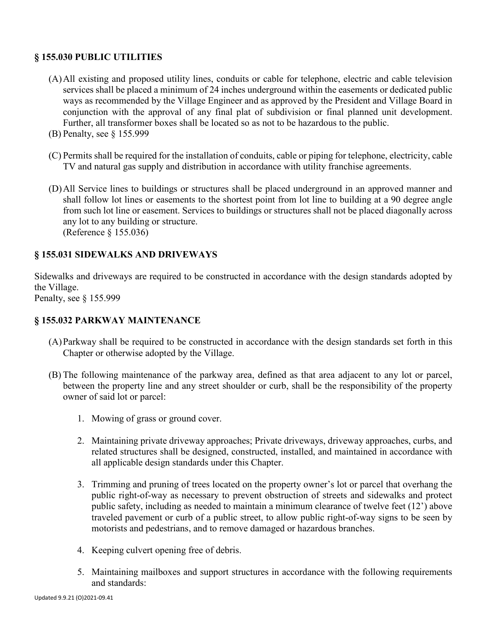# **§ 155.030 PUBLIC UTILITIES**

- (A)All existing and proposed utility lines, conduits or cable for telephone, electric and cable television services shall be placed a minimum of 24 inches underground within the easements or dedicated public ways as recommended by the Village Engineer and as approved by the President and Village Board in conjunction with the approval of any final plat of subdivision or final planned unit development. Further, all transformer boxes shall be located so as not to be hazardous to the public.
- (B) Penalty, see § 155.999
- (C) Permits shall be required for the installation of conduits, cable or piping for telephone, electricity, cable TV and natural gas supply and distribution in accordance with utility franchise agreements.
- (D)All Service lines to buildings or structures shall be placed underground in an approved manner and shall follow lot lines or easements to the shortest point from lot line to building at a 90 degree angle from such lot line or easement. Services to buildings or structures shall not be placed diagonally across any lot to any building or structure. (Reference § 155.036)

# **§ 155.031 SIDEWALKS AND DRIVEWAYS**

Sidewalks and driveways are required to be constructed in accordance with the design standards adopted by the Village.

Penalty, see § 155.999

# **§ 155.032 PARKWAY MAINTENANCE**

- (A)Parkway shall be required to be constructed in accordance with the design standards set forth in this Chapter or otherwise adopted by the Village.
- (B) The following maintenance of the parkway area, defined as that area adjacent to any lot or parcel, between the property line and any street shoulder or curb, shall be the responsibility of the property owner of said lot or parcel:
	- 1. Mowing of grass or ground cover.
	- 2. Maintaining private driveway approaches; Private driveways, driveway approaches, curbs, and related structures shall be designed, constructed, installed, and maintained in accordance with all applicable design standards under this Chapter.
	- 3. Trimming and pruning of trees located on the property owner's lot or parcel that overhang the public right-of-way as necessary to prevent obstruction of streets and sidewalks and protect public safety, including as needed to maintain a minimum clearance of twelve feet (12') above traveled pavement or curb of a public street, to allow public right-of-way signs to be seen by motorists and pedestrians, and to remove damaged or hazardous branches.
	- 4. Keeping culvert opening free of debris.
	- 5. Maintaining mailboxes and support structures in accordance with the following requirements and standards: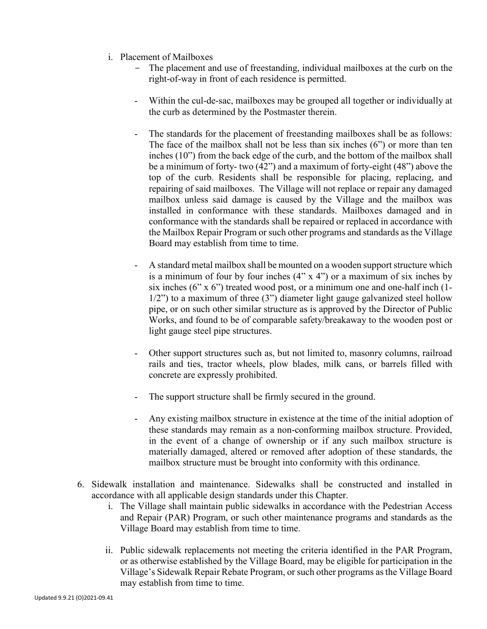- i. Placement of Mailboxes
	- The placement and use of freestanding, individual mailboxes at the curb on the right-of-way in front of each residence is permitted.
	- Within the cul-de-sac, mailboxes may be grouped all together or individually at the curb as determined by the Postmaster therein.
	- The standards for the placement of freestanding mailboxes shall be as follows: The face of the mailbox shall not be less than six inches (6") or more than ten inches (10") from the back edge of the curb, and the bottom of the mailbox shall be a minimum of forty- two (42") and a maximum of forty-eight (48") above the top of the curb. Residents shall be responsible for placing, replacing, and repairing of said mailboxes. The Village will not replace or repair any damaged mailbox unless said damage is caused by the Village and the mailbox was installed in conformance with these standards. Mailboxes damaged and in conformance with the standards shall be repaired or replaced in accordance with the Mailbox Repair Program or such other programs and standards as the Village Board may establish from time to time.
	- A standard metal mailbox shall be mounted on a wooden support structure which is a minimum of four by four inches  $(4" \times 4")$  or a maximum of six inches by six inches  $(6" \times 6")$  treated wood post, or a minimum one and one-half inch  $(1 1/2$ ") to a maximum of three (3") diameter light gauge galvanized steel hollow pipe, or on such other similar structure as is approved by the Director of Public Works, and found to be of comparable safety/breakaway to the wooden post or light gauge steel pipe structures.
	- Other support structures such as, but not limited to, masonry columns, railroad rails and ties, tractor wheels, plow blades, milk cans, or barrels filled with concrete are expressly prohibited.
	- The support structure shall be firmly secured in the ground.
	- Any existing mailbox structure in existence at the time of the initial adoption of these standards may remain as a non-conforming mailbox structure. Provided, in the event of a change of ownership or if any such mailbox structure is materially damaged, altered or removed after adoption of these standards, the mailbox structure must be brought into conformity with this ordinance.
- 6. Sidewalk installation and maintenance. Sidewalks shall be constructed and installed in accordance with all applicable design standards under this Chapter.
	- i. The Village shall maintain public sidewalks in accordance with the Pedestrian Access and Repair (PAR) Program, or such other maintenance programs and standards as the Village Board may establish from time to time.
	- ii. Public sidewalk replacements not meeting the criteria identified in the PAR Program, or as otherwise established by the Village Board, may be eligible for participation in the Village's Sidewalk Repair Rebate Program, or such other programs as the Village Board may establish from time to time.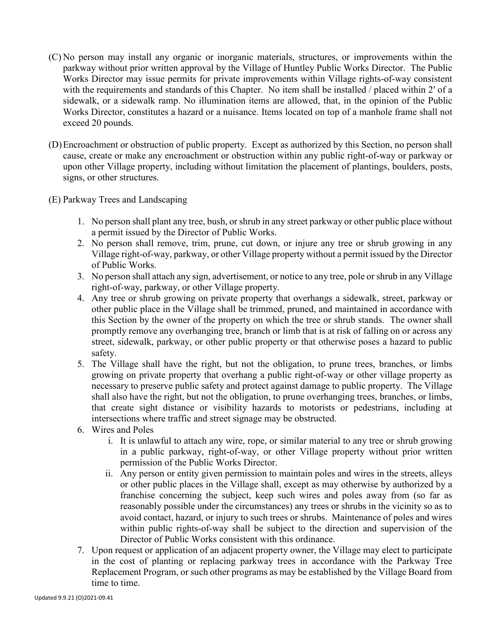- (C) No person may install any organic or inorganic materials, structures, or improvements within the parkway without prior written approval by the Village of Huntley Public Works Director. The Public Works Director may issue permits for private improvements within Village rights-of-way consistent with the requirements and standards of this Chapter. No item shall be installed / placed within 2' of a sidewalk, or a sidewalk ramp. No illumination items are allowed, that, in the opinion of the Public Works Director, constitutes a hazard or a nuisance. Items located on top of a manhole frame shall not exceed 20 pounds.
- (D)Encroachment or obstruction of public property. Except as authorized by this Section, no person shall cause, create or make any encroachment or obstruction within any public right-of-way or parkway or upon other Village property, including without limitation the placement of plantings, boulders, posts, signs, or other structures.
- (E) Parkway Trees and Landscaping
	- 1. No person shall plant any tree, bush, or shrub in any street parkway or other public place without a permit issued by the Director of Public Works.
	- 2. No person shall remove, trim, prune, cut down, or injure any tree or shrub growing in any Village right-of-way, parkway, or other Village property without a permit issued by the Director of Public Works.
	- 3. No person shall attach any sign, advertisement, or notice to any tree, pole or shrub in any Village right-of-way, parkway, or other Village property.
	- 4. Any tree or shrub growing on private property that overhangs a sidewalk, street, parkway or other public place in the Village shall be trimmed, pruned, and maintained in accordance with this Section by the owner of the property on which the tree or shrub stands. The owner shall promptly remove any overhanging tree, branch or limb that is at risk of falling on or across any street, sidewalk, parkway, or other public property or that otherwise poses a hazard to public safety.
	- 5. The Village shall have the right, but not the obligation, to prune trees, branches, or limbs growing on private property that overhang a public right-of-way or other village property as necessary to preserve public safety and protect against damage to public property. The Village shall also have the right, but not the obligation, to prune overhanging trees, branches, or limbs, that create sight distance or visibility hazards to motorists or pedestrians, including at intersections where traffic and street signage may be obstructed.
	- 6. Wires and Poles
		- i. It is unlawful to attach any wire, rope, or similar material to any tree or shrub growing in a public parkway, right-of-way, or other Village property without prior written permission of the Public Works Director.
		- ii. Any person or entity given permission to maintain poles and wires in the streets, alleys or other public places in the Village shall, except as may otherwise by authorized by a franchise concerning the subject, keep such wires and poles away from (so far as reasonably possible under the circumstances) any trees or shrubs in the vicinity so as to avoid contact, hazard, or injury to such trees or shrubs. Maintenance of poles and wires within public rights-of-way shall be subject to the direction and supervision of the Director of Public Works consistent with this ordinance.
	- 7. Upon request or application of an adjacent property owner, the Village may elect to participate in the cost of planting or replacing parkway trees in accordance with the Parkway Tree Replacement Program, or such other programs as may be established by the Village Board from time to time.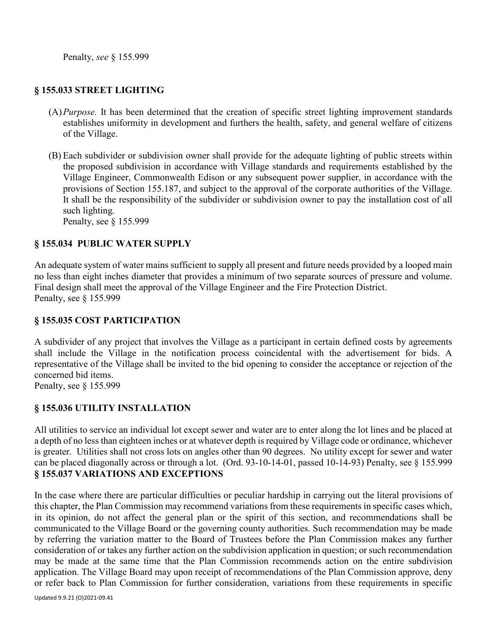Penalty, *see* § 155.999

# **§ 155.033 STREET LIGHTING**

- (A)*Purpose.* It has been determined that the creation of specific street lighting improvement standards establishes uniformity in development and furthers the health, safety, and general welfare of citizens of the Village.
- (B) Each subdivider or subdivision owner shall provide for the adequate lighting of public streets within the proposed subdivision in accordance with Village standards and requirements established by the Village Engineer, Commonwealth Edison or any subsequent power supplier, in accordance with the provisions of Section 155.187, and subject to the approval of the corporate authorities of the Village. It shall be the responsibility of the subdivider or subdivision owner to pay the installation cost of all such lighting.

Penalty, see § 155.999

### **§ 155.034 PUBLIC WATER SUPPLY**

An adequate system of water mains sufficient to supply all present and future needs provided by a looped main no less than eight inches diameter that provides a minimum of two separate sources of pressure and volume. Final design shall meet the approval of the Village Engineer and the Fire Protection District. Penalty, see § 155.999

# **§ 155.035 COST PARTICIPATION**

A subdivider of any project that involves the Village as a participant in certain defined costs by agreements shall include the Village in the notification process coincidental with the advertisement for bids. A representative of the Village shall be invited to the bid opening to consider the acceptance or rejection of the concerned bid items.

Penalty, see § 155.999

# **§ 155.036 UTILITY INSTALLATION**

All utilities to service an individual lot except sewer and water are to enter along the lot lines and be placed at a depth of no less than eighteen inches or at whatever depth is required by Village code or ordinance, whichever is greater. Utilities shall not cross lots on angles other than 90 degrees. No utility except for sewer and water can be placed diagonally across or through a lot. (Ord. 93-10-14-01, passed 10-14-93) Penalty, see § 155.999 **§ 155.037 VARIATIONS AND EXCEPTIONS**

In the case where there are particular difficulties or peculiar hardship in carrying out the literal provisions of this chapter, the Plan Commission may recommend variations from these requirements in specific cases which, in its opinion, do not affect the general plan or the spirit of this section, and recommendations shall be communicated to the Village Board or the governing county authorities. Such recommendation may be made by referring the variation matter to the Board of Trustees before the Plan Commission makes any further consideration of or takes any further action on the subdivision application in question; or such recommendation may be made at the same time that the Plan Commission recommends action on the entire subdivision application. The Village Board may upon receipt of recommendations of the Plan Commission approve, deny or refer back to Plan Commission for further consideration, variations from these requirements in specific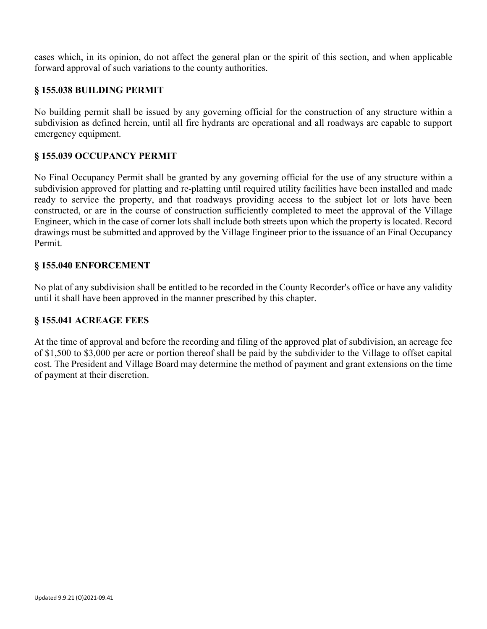cases which, in its opinion, do not affect the general plan or the spirit of this section, and when applicable forward approval of such variations to the county authorities.

# **§ 155.038 BUILDING PERMIT**

No building permit shall be issued by any governing official for the construction of any structure within a subdivision as defined herein, until all fire hydrants are operational and all roadways are capable to support emergency equipment.

#### **§ 155.039 OCCUPANCY PERMIT**

No Final Occupancy Permit shall be granted by any governing official for the use of any structure within a subdivision approved for platting and re-platting until required utility facilities have been installed and made ready to service the property, and that roadways providing access to the subject lot or lots have been constructed, or are in the course of construction sufficiently completed to meet the approval of the Village Engineer, which in the case of corner lots shall include both streets upon which the property is located. Record drawings must be submitted and approved by the Village Engineer prior to the issuance of an Final Occupancy Permit.

#### **§ 155.040 ENFORCEMENT**

No plat of any subdivision shall be entitled to be recorded in the County Recorder's office or have any validity until it shall have been approved in the manner prescribed by this chapter.

#### **§ 155.041 ACREAGE FEES**

At the time of approval and before the recording and filing of the approved plat of subdivision, an acreage fee of \$1,500 to \$3,000 per acre or portion thereof shall be paid by the subdivider to the Village to offset capital cost. The President and Village Board may determine the method of payment and grant extensions on the time of payment at their discretion.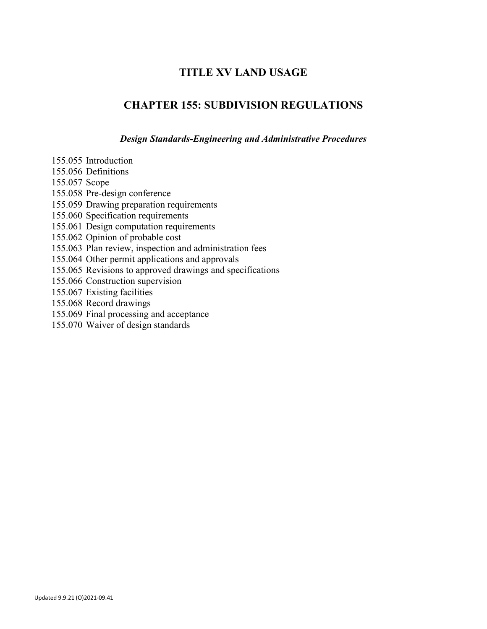# **TITLE XV LAND USAGE**

# **CHAPTER 155: SUBDIVISION REGULATIONS**

*Design Standards-Engineering and Administrative Procedures*

- 155.055 Introduction 155.056 Definitions 155.057 Scope 155.058 Pre-design conference 155.059 Drawing preparation requirements 155.060 Specification requirements 155.061 Design computation requirements 155.062 Opinion of probable cost 155.063 Plan review, inspection and administration fees 155.064 Other permit applications and approvals 155.065 Revisions to approved drawings and specifications 155.066 Construction supervision 155.067 Existing facilities 155.068 Record drawings 155.069 Final processing and acceptance
- 155.070 Waiver of design standards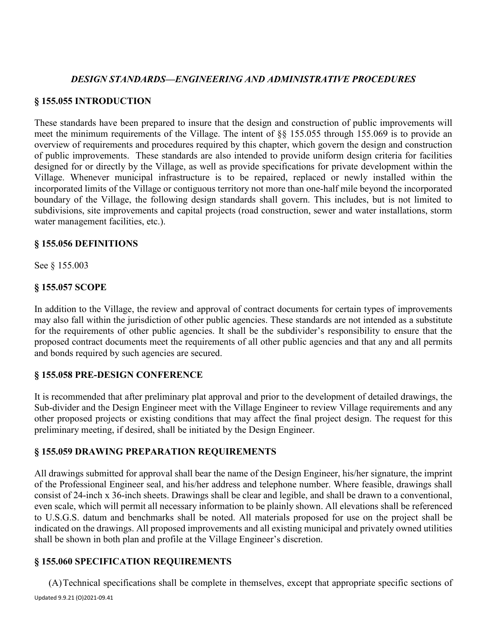### *DESIGN STANDARDS—ENGINEERING AND ADMINISTRATIVE PROCEDURES*

### **§ 155.055 INTRODUCTION**

These standards have been prepared to insure that the design and construction of public improvements will meet the minimum requirements of the Village. The intent of §§ 155.055 through 155.069 is to provide an overview of requirements and procedures required by this chapter, which govern the design and construction of public improvements. These standards are also intended to provide uniform design criteria for facilities designed for or directly by the Village, as well as provide specifications for private development within the Village. Whenever municipal infrastructure is to be repaired, replaced or newly installed within the incorporated limits of the Village or contiguous territory not more than one-half mile beyond the incorporated boundary of the Village, the following design standards shall govern. This includes, but is not limited to subdivisions, site improvements and capital projects (road construction, sewer and water installations, storm water management facilities, etc.).

#### **§ 155.056 DEFINITIONS**

See § 155.003

### **§ 155.057 SCOPE**

In addition to the Village, the review and approval of contract documents for certain types of improvements may also fall within the jurisdiction of other public agencies. These standards are not intended as a substitute for the requirements of other public agencies. It shall be the subdivider's responsibility to ensure that the proposed contract documents meet the requirements of all other public agencies and that any and all permits and bonds required by such agencies are secured.

#### **§ 155.058 PRE-DESIGN CONFERENCE**

It is recommended that after preliminary plat approval and prior to the development of detailed drawings, the Sub-divider and the Design Engineer meet with the Village Engineer to review Village requirements and any other proposed projects or existing conditions that may affect the final project design. The request for this preliminary meeting, if desired, shall be initiated by the Design Engineer.

# **§ 155.059 DRAWING PREPARATION REQUIREMENTS**

All drawings submitted for approval shall bear the name of the Design Engineer, his/her signature, the imprint of the Professional Engineer seal, and his/her address and telephone number. Where feasible, drawings shall consist of 24-inch x 36-inch sheets. Drawings shall be clear and legible, and shall be drawn to a conventional, even scale, which will permit all necessary information to be plainly shown. All elevations shall be referenced to U.S.G.S. datum and benchmarks shall be noted. All materials proposed for use on the project shall be indicated on the drawings. All proposed improvements and all existing municipal and privately owned utilities shall be shown in both plan and profile at the Village Engineer's discretion.

# **§ 155.060 SPECIFICATION REQUIREMENTS**

Updated 9.9.21 (O)2021-09.41 (A)Technical specifications shall be complete in themselves, except that appropriate specific sections of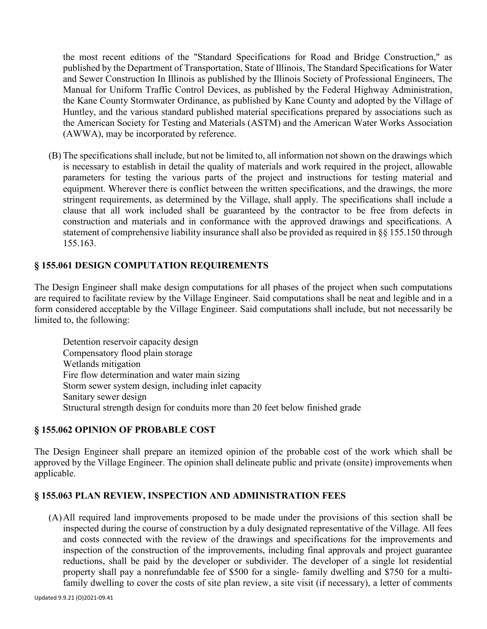the most recent editions of the "Standard Specifications for Road and Bridge Construction," as published by the Department of Transportation, State of Illinois, The Standard Specifications for Water and Sewer Construction In Illinois as published by the Illinois Society of Professional Engineers, The Manual for Uniform Traffic Control Devices, as published by the Federal Highway Administration, the Kane County Stormwater Ordinance, as published by Kane County and adopted by the Village of Huntley, and the various standard published material specifications prepared by associations such as the American Society for Testing and Materials (ASTM) and the American Water Works Association (AWWA), may be incorporated by reference.

(B) The specifications shall include, but not be limited to, all information not shown on the drawings which is necessary to establish in detail the quality of materials and work required in the project, allowable parameters for testing the various parts of the project and instructions for testing material and equipment. Wherever there is conflict between the written specifications, and the drawings, the more stringent requirements, as determined by the Village, shall apply. The specifications shall include a clause that all work included shall be guaranteed by the contractor to be free from defects in construction and materials and in conformance with the approved drawings and specifications. A statement of comprehensive liability insurance shall also be provided as required in §§ 155.150 through 155.163.

# **§ 155.061 DESIGN COMPUTATION REQUIREMENTS**

The Design Engineer shall make design computations for all phases of the project when such computations are required to facilitate review by the Village Engineer. Said computations shall be neat and legible and in a form considered acceptable by the Village Engineer. Said computations shall include, but not necessarily be limited to, the following:

Detention reservoir capacity design Compensatory flood plain storage Wetlands mitigation Fire flow determination and water main sizing Storm sewer system design, including inlet capacity Sanitary sewer design Structural strength design for conduits more than 20 feet below finished grade

# **§ 155.062 OPINION OF PROBABLE COST**

The Design Engineer shall prepare an itemized opinion of the probable cost of the work which shall be approved by the Village Engineer. The opinion shall delineate public and private (onsite) improvements when applicable.

# **§ 155.063 PLAN REVIEW, INSPECTION AND ADMINISTRATION FEES**

(A)All required land improvements proposed to be made under the provisions of this section shall be inspected during the course of construction by a duly designated representative of the Village. All fees and costs connected with the review of the drawings and specifications for the improvements and inspection of the construction of the improvements, including final approvals and project guarantee reductions, shall be paid by the developer or subdivider. The developer of a single lot residential property shall pay a nonrefundable fee of \$500 for a single- family dwelling and \$750 for a multifamily dwelling to cover the costs of site plan review, a site visit (if necessary), a letter of comments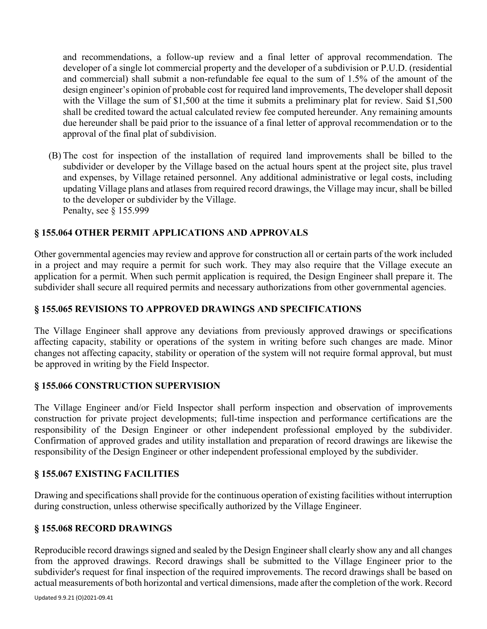and recommendations, a follow-up review and a final letter of approval recommendation. The developer of a single lot commercial property and the developer of a subdivision or P.U.D. (residential and commercial) shall submit a non-refundable fee equal to the sum of 1.5% of the amount of the design engineer's opinion of probable cost for required land improvements, The developer shall deposit with the Village the sum of \$1,500 at the time it submits a preliminary plat for review. Said \$1,500 shall be credited toward the actual calculated review fee computed hereunder. Any remaining amounts due hereunder shall be paid prior to the issuance of a final letter of approval recommendation or to the approval of the final plat of subdivision.

(B) The cost for inspection of the installation of required land improvements shall be billed to the subdivider or developer by the Village based on the actual hours spent at the project site, plus travel and expenses, by Village retained personnel. Any additional administrative or legal costs, including updating Village plans and atlases from required record drawings, the Village may incur, shall be billed to the developer or subdivider by the Village. Penalty, see § 155.999

# **§ 155.064 OTHER PERMIT APPLICATIONS AND APPROVALS**

Other governmental agencies may review and approve for construction all or certain parts of the work included in a project and may require a permit for such work. They may also require that the Village execute an application for a permit. When such permit application is required, the Design Engineer shall prepare it. The subdivider shall secure all required permits and necessary authorizations from other governmental agencies.

# **§ 155.065 REVISIONS TO APPROVED DRAWINGS AND SPECIFICATIONS**

The Village Engineer shall approve any deviations from previously approved drawings or specifications affecting capacity, stability or operations of the system in writing before such changes are made. Minor changes not affecting capacity, stability or operation of the system will not require formal approval, but must be approved in writing by the Field Inspector.

#### **§ 155.066 CONSTRUCTION SUPERVISION**

The Village Engineer and/or Field Inspector shall perform inspection and observation of improvements construction for private project developments; full-time inspection and performance certifications are the responsibility of the Design Engineer or other independent professional employed by the subdivider. Confirmation of approved grades and utility installation and preparation of record drawings are likewise the responsibility of the Design Engineer or other independent professional employed by the subdivider.

#### **§ 155.067 EXISTING FACILITIES**

Drawing and specifications shall provide for the continuous operation of existing facilities without interruption during construction, unless otherwise specifically authorized by the Village Engineer.

#### **§ 155.068 RECORD DRAWINGS**

Reproducible record drawings signed and sealed by the Design Engineer shall clearly show any and all changes from the approved drawings. Record drawings shall be submitted to the Village Engineer prior to the subdivider's request for final inspection of the required improvements. The record drawings shall be based on actual measurements of both horizontal and vertical dimensions, made after the completion of the work. Record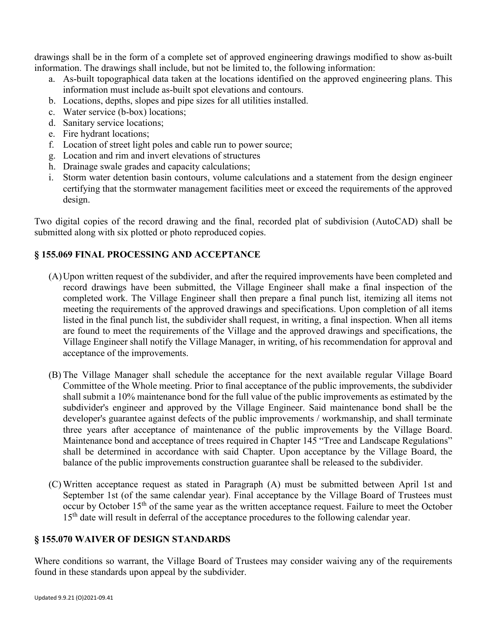drawings shall be in the form of a complete set of approved engineering drawings modified to show as-built information. The drawings shall include, but not be limited to, the following information:

- a. As-built topographical data taken at the locations identified on the approved engineering plans. This information must include as-built spot elevations and contours.
- b. Locations, depths, slopes and pipe sizes for all utilities installed.
- c. Water service (b-box) locations;
- d. Sanitary service locations;
- e. Fire hydrant locations;
- f. Location of street light poles and cable run to power source;
- g. Location and rim and invert elevations of structures
- h. Drainage swale grades and capacity calculations;
- i. Storm water detention basin contours, volume calculations and a statement from the design engineer certifying that the stormwater management facilities meet or exceed the requirements of the approved design.

Two digital copies of the record drawing and the final, recorded plat of subdivision (AutoCAD) shall be submitted along with six plotted or photo reproduced copies.

# **§ 155.069 FINAL PROCESSING AND ACCEPTANCE**

- (A)Upon written request of the subdivider, and after the required improvements have been completed and record drawings have been submitted, the Village Engineer shall make a final inspection of the completed work. The Village Engineer shall then prepare a final punch list, itemizing all items not meeting the requirements of the approved drawings and specifications. Upon completion of all items listed in the final punch list, the subdivider shall request, in writing, a final inspection. When all items are found to meet the requirements of the Village and the approved drawings and specifications, the Village Engineer shall notify the Village Manager, in writing, of his recommendation for approval and acceptance of the improvements.
- (B) The Village Manager shall schedule the acceptance for the next available regular Village Board Committee of the Whole meeting. Prior to final acceptance of the public improvements, the subdivider shall submit a 10% maintenance bond for the full value of the public improvements as estimated by the subdivider's engineer and approved by the Village Engineer. Said maintenance bond shall be the developer's guarantee against defects of the public improvements / workmanship, and shall terminate three years after acceptance of maintenance of the public improvements by the Village Board. Maintenance bond and acceptance of trees required in Chapter 145 "Tree and Landscape Regulations" shall be determined in accordance with said Chapter. Upon acceptance by the Village Board, the balance of the public improvements construction guarantee shall be released to the subdivider.
- (C) Written acceptance request as stated in Paragraph (A) must be submitted between April 1st and September 1st (of the same calendar year). Final acceptance by the Village Board of Trustees must occur by October 15<sup>th</sup> of the same year as the written acceptance request. Failure to meet the October 15<sup>th</sup> date will result in deferral of the acceptance procedures to the following calendar year.

# **§ 155.070 WAIVER OF DESIGN STANDARDS**

Where conditions so warrant, the Village Board of Trustees may consider waiving any of the requirements found in these standards upon appeal by the subdivider.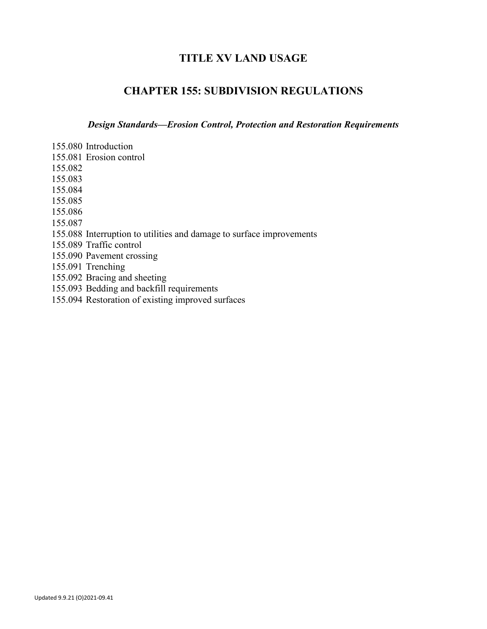# **TITLE XV LAND USAGE**

# **CHAPTER 155: SUBDIVISION REGULATIONS**

*Design Standards—Erosion Control, Protection and Restoration Requirements*

- 155.080 Introduction 155.081 Erosion control 155.082 155.083 155.084 155.085 155.086 155.087 155.088 Interruption to utilities and damage to surface improvements 155.089 Traffic control 155.090 Pavement crossing 155.091 Trenching 155.092 Bracing and sheeting 155.093 Bedding and backfill requirements
- 155.094 Restoration of existing improved surfaces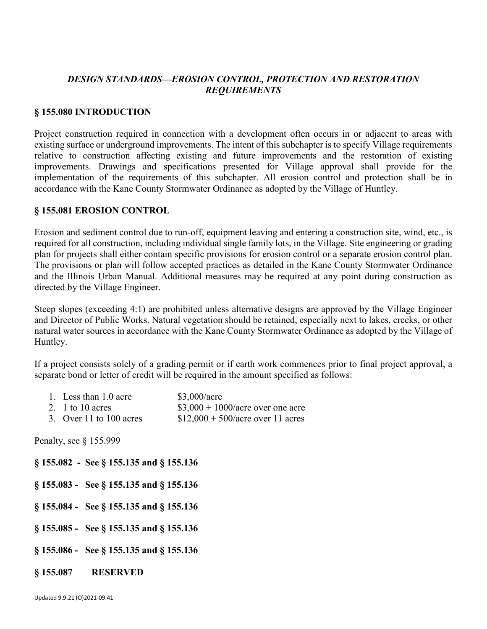# *DESIGN STANDARDS—EROSION CONTROL, PROTECTION AND RESTORATION REQUIREMENTS*

#### **§ 155.080 INTRODUCTION**

Project construction required in connection with a development often occurs in or adjacent to areas with existing surface or underground improvements. The intent of this subchapter is to specify Village requirements relative to construction affecting existing and future improvements and the restoration of existing improvements. Drawings and specifications presented for Village approval shall provide for the implementation of the requirements of this subchapter. All erosion control and protection shall be in accordance with the Kane County Stormwater Ordinance as adopted by the Village of Huntley.

#### **§ 155.081 EROSION CONTROL**

Erosion and sediment control due to run-off, equipment leaving and entering a construction site, wind, etc., is required for all construction, including individual single family lots, in the Village. Site engineering or grading plan for projects shall either contain specific provisions for erosion control or a separate erosion control plan. The provisions or plan will follow accepted practices as detailed in the Kane County Stormwater Ordinance and the Illinois Urban Manual. Additional measures may be required at any point during construction as directed by the Village Engineer.

Steep slopes (exceeding 4:1) are prohibited unless alternative designs are approved by the Village Engineer and Director of Public Works. Natural vegetation should be retained, especially next to lakes, creeks, or other natural water sources in accordance with the Kane County Stormwater Ordinance as adopted by the Village of Huntley.

If a project consists solely of a grading permit or if earth work commences prior to final project approval, a separate bond or letter of credit will be required in the amount specified as follows:

| 1. Less than 1.0 acre   | \$3,000/acre                        |
|-------------------------|-------------------------------------|
| 2. 1 to 10 acres        | $$3,000 + 1000/$ acre over one acre |
| 3. Over 11 to 100 acres | $$12,000 + 500/$ acre over 11 acres |

Penalty, see § 155.999

**§ 155.082 - See § 155.135 and § 155.136 § 155.083 - See § 155.135 and § 155.136 § 155.084 - See § 155.135 and § 155.136**

- **§ 155.085 See § 155.135 and § 155.136**
- **§ 155.086 See § 155.135 and § 155.136**
- **§ 155.087 RESERVED**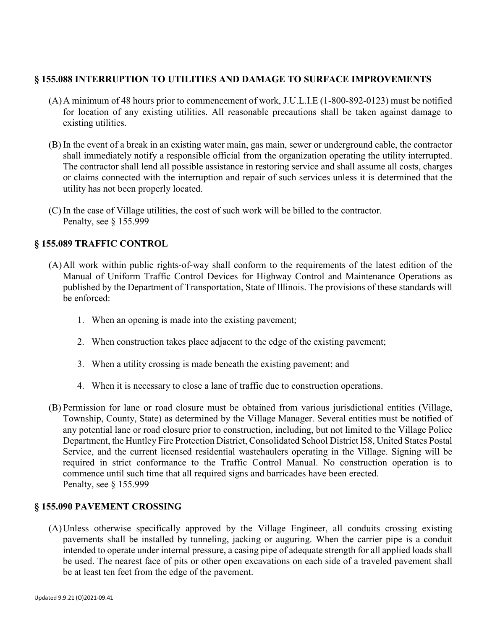# **§ 155.088 INTERRUPTION TO UTILITIES AND DAMAGE TO SURFACE IMPROVEMENTS**

- (A)A minimum of 48 hours prior to commencement of work, J.U.L.I.E (1-800-892-0123) must be notified for location of any existing utilities. All reasonable precautions shall be taken against damage to existing utilities.
- (B) In the event of a break in an existing water main, gas main, sewer or underground cable, the contractor shall immediately notify a responsible official from the organization operating the utility interrupted. The contractor shall lend all possible assistance in restoring service and shall assume all costs, charges or claims connected with the interruption and repair of such services unless it is determined that the utility has not been properly located.
- (C) In the case of Village utilities, the cost of such work will be billed to the contractor. Penalty, see § 155.999

### **§ 155.089 TRAFFIC CONTROL**

- (A)All work within public rights-of-way shall conform to the requirements of the latest edition of the Manual of Uniform Traffic Control Devices for Highway Control and Maintenance Operations as published by the Department of Transportation, State of Illinois. The provisions of these standards will be enforced:
	- 1. When an opening is made into the existing pavement;
	- 2. When construction takes place adjacent to the edge of the existing pavement;
	- 3. When a utility crossing is made beneath the existing pavement; and
	- 4. When it is necessary to close a lane of traffic due to construction operations.
- (B) Permission for lane or road closure must be obtained from various jurisdictional entities (Village, Township, County, State) as determined by the Village Manager. Several entities must be notified of any potential lane or road closure prior to construction, including, but not limited to the Village Police Department, the Huntley Fire Protection District, Consolidated School District l58, United States Postal Service, and the current licensed residential wastehaulers operating in the Village. Signing will be required in strict conformance to the Traffic Control Manual. No construction operation is to commence until such time that all required signs and barricades have been erected. Penalty, see § 155.999

# **§ 155.090 PAVEMENT CROSSING**

(A)Unless otherwise specifically approved by the Village Engineer, all conduits crossing existing pavements shall be installed by tunneling, jacking or auguring. When the carrier pipe is a conduit intended to operate under internal pressure, a casing pipe of adequate strength for all applied loads shall be used. The nearest face of pits or other open excavations on each side of a traveled pavement shall be at least ten feet from the edge of the pavement.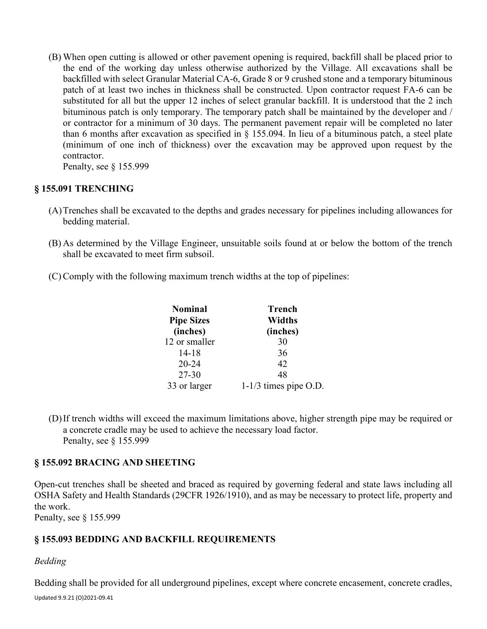(B) When open cutting is allowed or other pavement opening is required, backfill shall be placed prior to the end of the working day unless otherwise authorized by the Village. All excavations shall be backfilled with select Granular Material CA-6, Grade 8 or 9 crushed stone and a temporary bituminous patch of at least two inches in thickness shall be constructed. Upon contractor request FA-6 can be substituted for all but the upper 12 inches of select granular backfill. It is understood that the 2 inch bituminous patch is only temporary. The temporary patch shall be maintained by the developer and / or contractor for a minimum of 30 days. The permanent pavement repair will be completed no later than 6 months after excavation as specified in § 155.094. In lieu of a bituminous patch, a steel plate (minimum of one inch of thickness) over the excavation may be approved upon request by the contractor.

Penalty, see § 155.999

# **§ 155.091 TRENCHING**

- (A)Trenches shall be excavated to the depths and grades necessary for pipelines including allowances for bedding material.
- (B) As determined by the Village Engineer, unsuitable soils found at or below the bottom of the trench shall be excavated to meet firm subsoil.
- (C) Comply with the following maximum trench widths at the top of pipelines:

| <b>Nominal</b>    | Trench                  |
|-------------------|-------------------------|
| <b>Pipe Sizes</b> | Widths                  |
| (inches)          | (inches)                |
| 12 or smaller     | 30                      |
| $14 - 18$         | 36                      |
| $20 - 24$         | 42                      |
| 27-30             | 48                      |
| 33 or larger      | $1-1/3$ times pipe O.D. |

(D)If trench widths will exceed the maximum limitations above, higher strength pipe may be required or a concrete cradle may be used to achieve the necessary load factor. Penalty, see § 155.999

# **§ 155.092 BRACING AND SHEETING**

Open-cut trenches shall be sheeted and braced as required by governing federal and state laws including all OSHA Safety and Health Standards (29CFR 1926/1910), and as may be necessary to protect life, property and the work.

Penalty, see § 155.999

# **§ 155.093 BEDDING AND BACKFILL REQUIREMENTS**

# *Bedding*

Updated 9.9.21 (O)2021-09.41 Bedding shall be provided for all underground pipelines, except where concrete encasement, concrete cradles,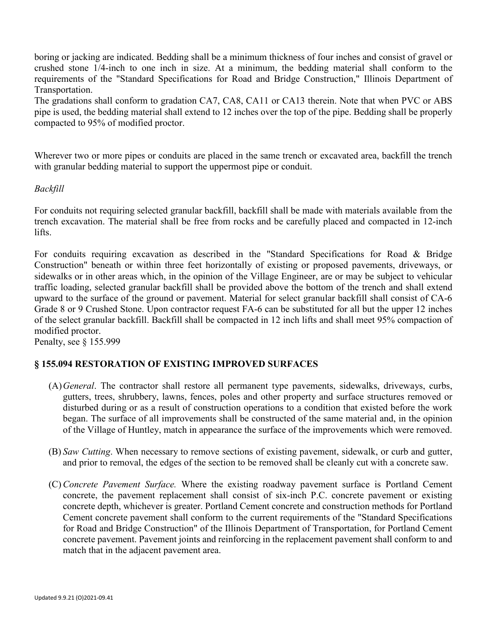boring or jacking are indicated. Bedding shall be a minimum thickness of four inches and consist of gravel or crushed stone 1/4-inch to one inch in size. At a minimum, the bedding material shall conform to the requirements of the "Standard Specifications for Road and Bridge Construction," Illinois Department of Transportation.

The gradations shall conform to gradation CA7, CA8, CA11 or CA13 therein. Note that when PVC or ABS pipe is used, the bedding material shall extend to 12 inches over the top of the pipe. Bedding shall be properly compacted to 95% of modified proctor.

Wherever two or more pipes or conduits are placed in the same trench or excavated area, backfill the trench with granular bedding material to support the uppermost pipe or conduit.

#### *Backfill*

For conduits not requiring selected granular backfill, backfill shall be made with materials available from the trench excavation. The material shall be free from rocks and be carefully placed and compacted in 12-inch lifts.

For conduits requiring excavation as described in the "Standard Specifications for Road & Bridge Construction" beneath or within three feet horizontally of existing or proposed pavements, driveways, or sidewalks or in other areas which, in the opinion of the Village Engineer, are or may be subject to vehicular traffic loading, selected granular backfill shall be provided above the bottom of the trench and shall extend upward to the surface of the ground or pavement. Material for select granular backfill shall consist of CA-6 Grade 8 or 9 Crushed Stone. Upon contractor request FA-6 can be substituted for all but the upper 12 inches of the select granular backfill. Backfill shall be compacted in 12 inch lifts and shall meet 95% compaction of modified proctor.

Penalty, see § 155.999

# **§ 155.094 RESTORATION OF EXISTING IMPROVED SURFACES**

- (A)*General*. The contractor shall restore all permanent type pavements, sidewalks, driveways, curbs, gutters, trees, shrubbery, lawns, fences, poles and other property and surface structures removed or disturbed during or as a result of construction operations to a condition that existed before the work began. The surface of all improvements shall be constructed of the same material and, in the opinion of the Village of Huntley, match in appearance the surface of the improvements which were removed.
- (B) *Saw Cutting*. When necessary to remove sections of existing pavement, sidewalk, or curb and gutter, and prior to removal, the edges of the section to be removed shall be cleanly cut with a concrete saw.
- (C) *Concrete Pavement Surface.* Where the existing roadway pavement surface is Portland Cement concrete, the pavement replacement shall consist of six-inch P.C. concrete pavement or existing concrete depth, whichever is greater. Portland Cement concrete and construction methods for Portland Cement concrete pavement shall conform to the current requirements of the "Standard Specifications for Road and Bridge Construction" of the Illinois Department of Transportation, for Portland Cement concrete pavement. Pavement joints and reinforcing in the replacement pavement shall conform to and match that in the adjacent pavement area.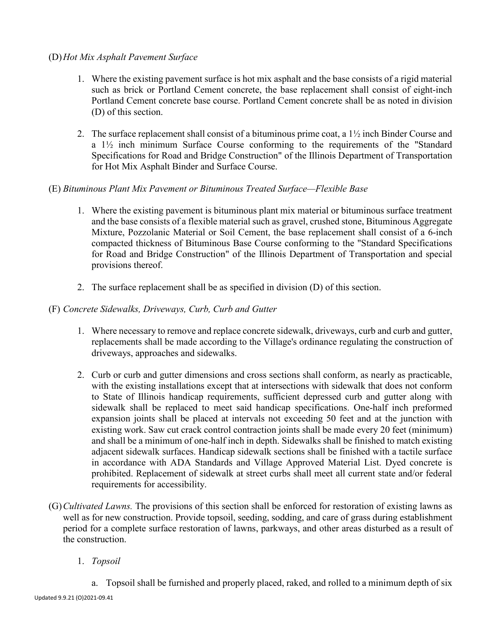### (D)*Hot Mix Asphalt Pavement Surface*

- 1. Where the existing pavement surface is hot mix asphalt and the base consists of a rigid material such as brick or Portland Cement concrete, the base replacement shall consist of eight-inch Portland Cement concrete base course. Portland Cement concrete shall be as noted in division (D) of this section.
- 2. The surface replacement shall consist of a bituminous prime coat, a 1½ inch Binder Course and a 1½ inch minimum Surface Course conforming to the requirements of the "Standard Specifications for Road and Bridge Construction" of the Illinois Department of Transportation for Hot Mix Asphalt Binder and Surface Course.

### (E) *Bituminous Plant Mix Pavement or Bituminous Treated Surface—Flexible Base*

- 1. Where the existing pavement is bituminous plant mix material or bituminous surface treatment and the base consists of a flexible material such as gravel, crushed stone, Bituminous Aggregate Mixture, Pozzolanic Material or Soil Cement, the base replacement shall consist of a 6-inch compacted thickness of Bituminous Base Course conforming to the "Standard Specifications for Road and Bridge Construction" of the Illinois Department of Transportation and special provisions thereof.
- 2. The surface replacement shall be as specified in division (D) of this section.

### (F) *Concrete Sidewalks, Driveways, Curb, Curb and Gutter*

- 1. Where necessary to remove and replace concrete sidewalk, driveways, curb and curb and gutter, replacements shall be made according to the Village's ordinance regulating the construction of driveways, approaches and sidewalks.
- 2. Curb or curb and gutter dimensions and cross sections shall conform, as nearly as practicable, with the existing installations except that at intersections with sidewalk that does not conform to State of Illinois handicap requirements, sufficient depressed curb and gutter along with sidewalk shall be replaced to meet said handicap specifications. One-half inch preformed expansion joints shall be placed at intervals not exceeding 50 feet and at the junction with existing work. Saw cut crack control contraction joints shall be made every 20 feet (minimum) and shall be a minimum of one-half inch in depth. Sidewalks shall be finished to match existing adjacent sidewalk surfaces. Handicap sidewalk sections shall be finished with a tactile surface in accordance with ADA Standards and Village Approved Material List. Dyed concrete is prohibited. Replacement of sidewalk at street curbs shall meet all current state and/or federal requirements for accessibility.
- (G)*Cultivated Lawns.* The provisions of this section shall be enforced for restoration of existing lawns as well as for new construction. Provide topsoil, seeding, sodding, and care of grass during establishment period for a complete surface restoration of lawns, parkways, and other areas disturbed as a result of the construction.
	- 1. *Topsoil*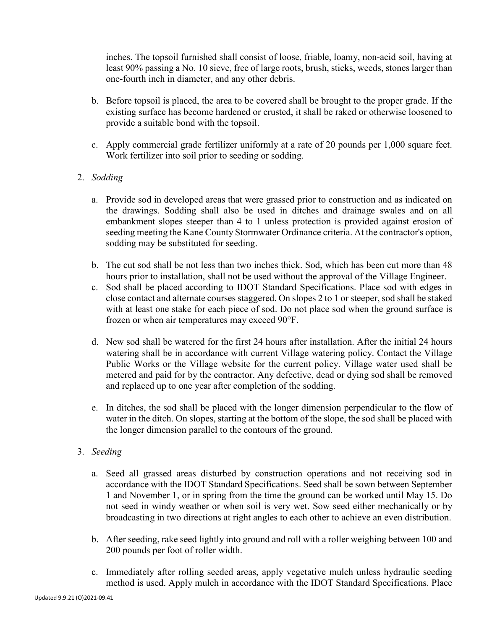inches. The topsoil furnished shall consist of loose, friable, loamy, non-acid soil, having at least 90% passing a No. 10 sieve, free of large roots, brush, sticks, weeds, stones larger than one-fourth inch in diameter, and any other debris.

- b. Before topsoil is placed, the area to be covered shall be brought to the proper grade. If the existing surface has become hardened or crusted, it shall be raked or otherwise loosened to provide a suitable bond with the topsoil.
- c. Apply commercial grade fertilizer uniformly at a rate of 20 pounds per 1,000 square feet. Work fertilizer into soil prior to seeding or sodding.

# 2. *Sodding*

- a. Provide sod in developed areas that were grassed prior to construction and as indicated on the drawings. Sodding shall also be used in ditches and drainage swales and on all embankment slopes steeper than 4 to 1 unless protection is provided against erosion of seeding meeting the Kane County Stormwater Ordinance criteria. At the contractor's option, sodding may be substituted for seeding.
- b. The cut sod shall be not less than two inches thick. Sod, which has been cut more than 48 hours prior to installation, shall not be used without the approval of the Village Engineer.
- c. Sod shall be placed according to IDOT Standard Specifications. Place sod with edges in close contact and alternate courses staggered. On slopes 2 to 1 or steeper, sod shall be staked with at least one stake for each piece of sod. Do not place sod when the ground surface is frozen or when air temperatures may exceed 90°F.
- d. New sod shall be watered for the first 24 hours after installation. After the initial 24 hours watering shall be in accordance with current Village watering policy. Contact the Village Public Works or the Village website for the current policy. Village water used shall be metered and paid for by the contractor. Any defective, dead or dying sod shall be removed and replaced up to one year after completion of the sodding.
- e. In ditches, the sod shall be placed with the longer dimension perpendicular to the flow of water in the ditch. On slopes, starting at the bottom of the slope, the sod shall be placed with the longer dimension parallel to the contours of the ground.

# 3. *Seeding*

- a. Seed all grassed areas disturbed by construction operations and not receiving sod in accordance with the IDOT Standard Specifications. Seed shall be sown between September 1 and November 1, or in spring from the time the ground can be worked until May 15. Do not seed in windy weather or when soil is very wet. Sow seed either mechanically or by broadcasting in two directions at right angles to each other to achieve an even distribution.
- b. After seeding, rake seed lightly into ground and roll with a roller weighing between 100 and 200 pounds per foot of roller width.
- c. Immediately after rolling seeded areas, apply vegetative mulch unless hydraulic seeding method is used. Apply mulch in accordance with the IDOT Standard Specifications. Place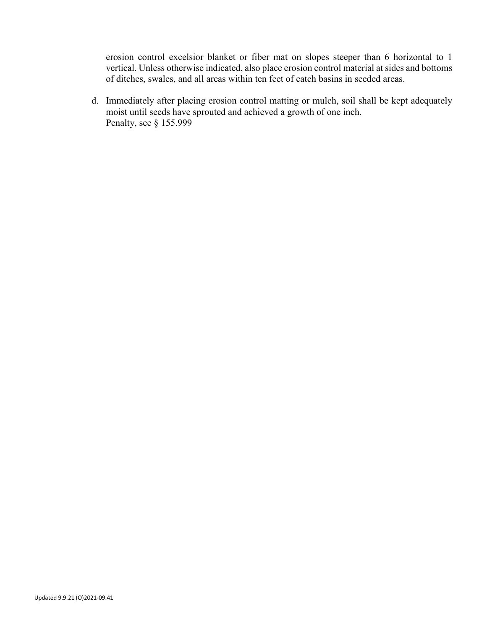erosion control excelsior blanket or fiber mat on slopes steeper than 6 horizontal to 1 vertical. Unless otherwise indicated, also place erosion control material at sides and bottoms of ditches, swales, and all areas within ten feet of catch basins in seeded areas.

d. Immediately after placing erosion control matting or mulch, soil shall be kept adequately moist until seeds have sprouted and achieved a growth of one inch. Penalty, see § 155.999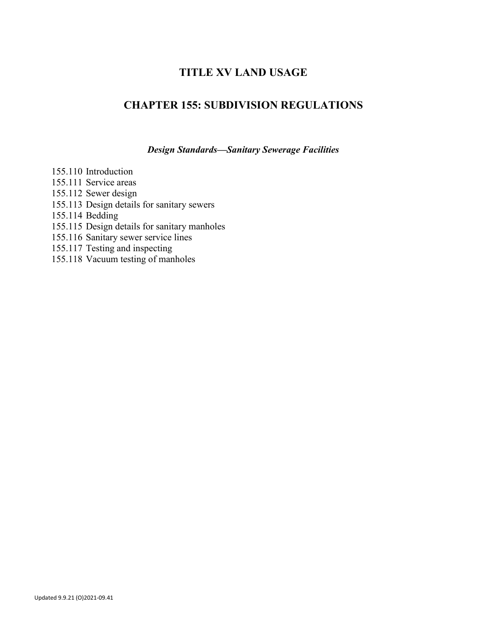# **TITLE XV LAND USAGE**

# **CHAPTER 155: SUBDIVISION REGULATIONS**

*Design Standards—Sanitary Sewerage Facilities*

155.110 Introduction 155.111 Service areas 155.112 Sewer design 155.113 Design details for sanitary sewers 155.114 Bedding 155.115 Design details for sanitary manholes 155.116 Sanitary sewer service lines 155.117 Testing and inspecting 155.118 Vacuum testing of manholes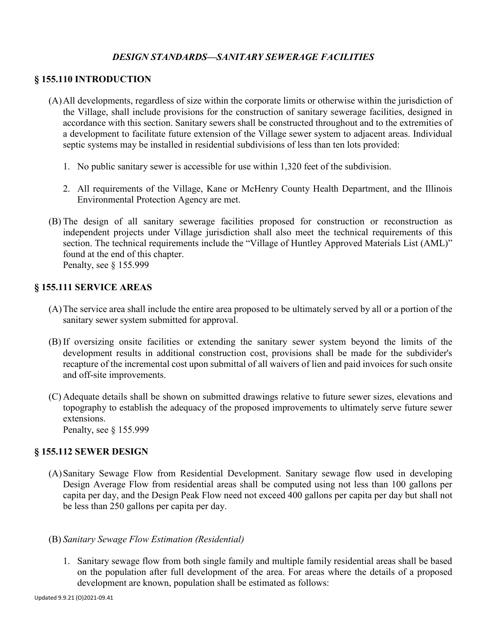# *DESIGN STANDARDS—SANITARY SEWERAGE FACILITIES*

#### **§ 155.110 INTRODUCTION**

- (A)All developments, regardless of size within the corporate limits or otherwise within the jurisdiction of the Village, shall include provisions for the construction of sanitary sewerage facilities, designed in accordance with this section. Sanitary sewers shall be constructed throughout and to the extremities of a development to facilitate future extension of the Village sewer system to adjacent areas. Individual septic systems may be installed in residential subdivisions of less than ten lots provided:
	- 1. No public sanitary sewer is accessible for use within 1,320 feet of the subdivision.
	- 2. All requirements of the Village, Kane or McHenry County Health Department, and the Illinois Environmental Protection Agency are met.
- (B) The design of all sanitary sewerage facilities proposed for construction or reconstruction as independent projects under Village jurisdiction shall also meet the technical requirements of this section. The technical requirements include the "Village of Huntley Approved Materials List (AML)" found at the end of this chapter. Penalty, see § 155.999

#### **§ 155.111 SERVICE AREAS**

- (A)The service area shall include the entire area proposed to be ultimately served by all or a portion of the sanitary sewer system submitted for approval.
- (B) If oversizing onsite facilities or extending the sanitary sewer system beyond the limits of the development results in additional construction cost, provisions shall be made for the subdivider's recapture of the incremental cost upon submittal of all waivers of lien and paid invoices for such onsite and off-site improvements.
- (C) Adequate details shall be shown on submitted drawings relative to future sewer sizes, elevations and topography to establish the adequacy of the proposed improvements to ultimately serve future sewer extensions. Penalty, see § 155.999

### **§ 155.112 SEWER DESIGN**

- (A)Sanitary Sewage Flow from Residential Development. Sanitary sewage flow used in developing Design Average Flow from residential areas shall be computed using not less than 100 gallons per capita per day, and the Design Peak Flow need not exceed 400 gallons per capita per day but shall not be less than 250 gallons per capita per day.
- (B) *Sanitary Sewage Flow Estimation (Residential)*
	- 1. Sanitary sewage flow from both single family and multiple family residential areas shall be based on the population after full development of the area. For areas where the details of a proposed development are known, population shall be estimated as follows: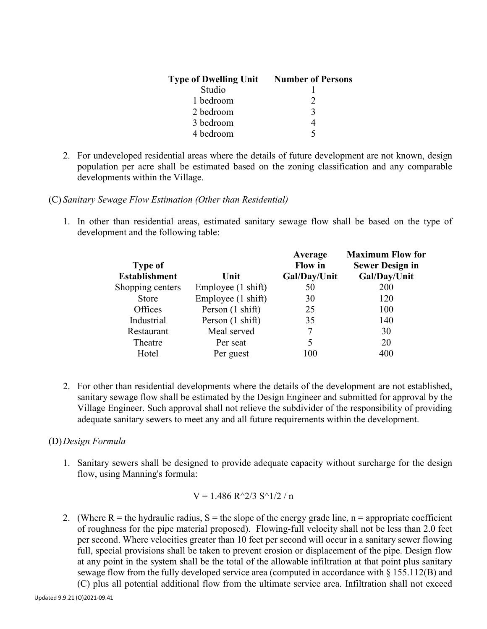| <b>Type of Dwelling Unit</b> | <b>Number of Persons</b> |
|------------------------------|--------------------------|
| Studio                       |                          |
| 1 bedroom                    |                          |
| 2 bedroom                    | $\mathbf{z}$             |
| 3 bedroom                    |                          |
| 4 bedroom                    |                          |

- 2. For undeveloped residential areas where the details of future development are not known, design population per acre shall be estimated based on the zoning classification and any comparable developments within the Village.
- (C) *Sanitary Sewage Flow Estimation (Other than Residential)*
	- 1. In other than residential areas, estimated sanitary sewage flow shall be based on the type of development and the following table:

|                    | Average<br><b>Flow</b> in | <b>Maximum Flow for</b><br><b>Sewer Design in</b> |
|--------------------|---------------------------|---------------------------------------------------|
| Unit               | Gal/Day/Unit              | Gal/Day/Unit                                      |
| Employee (1 shift) | 50                        | <b>200</b>                                        |
| Employee (1 shift) | 30                        | 120                                               |
| Person (1 shift)   | 25                        | 100                                               |
| Person (1 shift)   | 35                        | 140                                               |
| Meal served        | 7                         | 30                                                |
| Per seat           | 5                         | 20                                                |
| Per guest          | 100                       | 400                                               |
|                    |                           |                                                   |

2. For other than residential developments where the details of the development are not established, sanitary sewage flow shall be estimated by the Design Engineer and submitted for approval by the Village Engineer. Such approval shall not relieve the subdivider of the responsibility of providing adequate sanitary sewers to meet any and all future requirements within the development.

#### (D)*Design Formula*

1. Sanitary sewers shall be designed to provide adequate capacity without surcharge for the design flow, using Manning's formula:

$$
V = 1.486 R^2/3 S^1/2 / n
$$

2. (Where R = the hydraulic radius,  $S =$  the slope of the energy grade line,  $n =$  appropriate coefficient of roughness for the pipe material proposed). Flowing-full velocity shall not be less than 2.0 feet per second. Where velocities greater than 10 feet per second will occur in a sanitary sewer flowing full, special provisions shall be taken to prevent erosion or displacement of the pipe. Design flow at any point in the system shall be the total of the allowable infiltration at that point plus sanitary sewage flow from the fully developed service area (computed in accordance with § 155.112(B) and

(C) plus all potential additional flow from the ultimate service area. Infiltration shall not exceed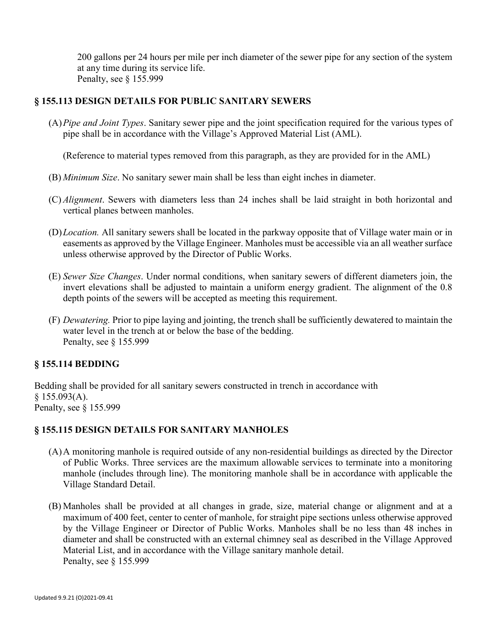200 gallons per 24 hours per mile per inch diameter of the sewer pipe for any section of the system at any time during its service life. Penalty, see § 155.999

# **§ 155.113 DESIGN DETAILS FOR PUBLIC SANITARY SEWERS**

(A)*Pipe and Joint Types*. Sanitary sewer pipe and the joint specification required for the various types of pipe shall be in accordance with the Village's Approved Material List (AML).

(Reference to material types removed from this paragraph, as they are provided for in the AML)

- (B) *Minimum Size*. No sanitary sewer main shall be less than eight inches in diameter.
- (C) *Alignment*. Sewers with diameters less than 24 inches shall be laid straight in both horizontal and vertical planes between manholes.
- (D)*Location.* All sanitary sewers shall be located in the parkway opposite that of Village water main or in easements as approved by the Village Engineer. Manholes must be accessible via an all weather surface unless otherwise approved by the Director of Public Works.
- (E) *Sewer Size Changes*. Under normal conditions, when sanitary sewers of different diameters join, the invert elevations shall be adjusted to maintain a uniform energy gradient. The alignment of the 0.8 depth points of the sewers will be accepted as meeting this requirement.
- (F) *Dewatering.* Prior to pipe laying and jointing, the trench shall be sufficiently dewatered to maintain the water level in the trench at or below the base of the bedding. Penalty, see § 155.999

# **§ 155.114 BEDDING**

Bedding shall be provided for all sanitary sewers constructed in trench in accordance with  $§$  155.093(A). Penalty, see § 155.999

# **§ 155.115 DESIGN DETAILS FOR SANITARY MANHOLES**

- (A)A monitoring manhole is required outside of any non-residential buildings as directed by the Director of Public Works. Three services are the maximum allowable services to terminate into a monitoring manhole (includes through line). The monitoring manhole shall be in accordance with applicable the Village Standard Detail.
- (B) Manholes shall be provided at all changes in grade, size, material change or alignment and at a maximum of 400 feet, center to center of manhole, for straight pipe sections unless otherwise approved by the Village Engineer or Director of Public Works. Manholes shall be no less than 48 inches in diameter and shall be constructed with an external chimney seal as described in the Village Approved Material List, and in accordance with the Village sanitary manhole detail. Penalty, see § 155.999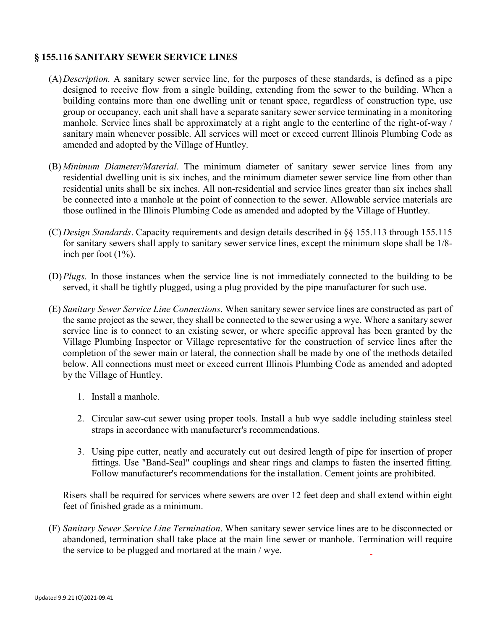### **§ 155.116 SANITARY SEWER SERVICE LINES**

- (A)*Description.* A sanitary sewer service line, for the purposes of these standards, is defined as a pipe designed to receive flow from a single building, extending from the sewer to the building. When a building contains more than one dwelling unit or tenant space, regardless of construction type, use group or occupancy, each unit shall have a separate sanitary sewer service terminating in a monitoring manhole. Service lines shall be approximately at a right angle to the centerline of the right-of-way / sanitary main whenever possible. All services will meet or exceed current Illinois Plumbing Code as amended and adopted by the Village of Huntley.
- (B) *Minimum Diameter/Material*. The minimum diameter of sanitary sewer service lines from any residential dwelling unit is six inches, and the minimum diameter sewer service line from other than residential units shall be six inches. All non-residential and service lines greater than six inches shall be connected into a manhole at the point of connection to the sewer. Allowable service materials are those outlined in the Illinois Plumbing Code as amended and adopted by the Village of Huntley.
- (C) *Design Standards*. Capacity requirements and design details described in §§ 155.113 through 155.115 for sanitary sewers shall apply to sanitary sewer service lines, except the minimum slope shall be 1/8 inch per foot (1%).
- (D)*Plugs.* In those instances when the service line is not immediately connected to the building to be served, it shall be tightly plugged, using a plug provided by the pipe manufacturer for such use.
- (E) *Sanitary Sewer Service Line Connections*. When sanitary sewer service lines are constructed as part of the same project as the sewer, they shall be connected to the sewer using a wye. Where a sanitary sewer service line is to connect to an existing sewer, or where specific approval has been granted by the Village Plumbing Inspector or Village representative for the construction of service lines after the completion of the sewer main or lateral, the connection shall be made by one of the methods detailed below. All connections must meet or exceed current Illinois Plumbing Code as amended and adopted by the Village of Huntley.
	- 1. Install a manhole.
	- 2. Circular saw-cut sewer using proper tools. Install a hub wye saddle including stainless steel straps in accordance with manufacturer's recommendations.
	- 3. Using pipe cutter, neatly and accurately cut out desired length of pipe for insertion of proper fittings. Use "Band-Seal" couplings and shear rings and clamps to fasten the inserted fitting. Follow manufacturer's recommendations for the installation. Cement joints are prohibited.

Risers shall be required for services where sewers are over 12 feet deep and shall extend within eight feet of finished grade as a minimum.

(F) *Sanitary Sewer Service Line Termination*. When sanitary sewer service lines are to be disconnected or abandoned, termination shall take place at the main line sewer or manhole. Termination will require the service to be plugged and mortared at the main / wye.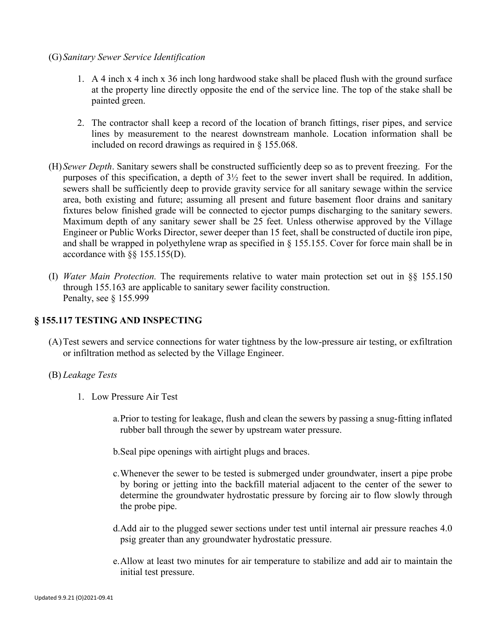#### (G)*Sanitary Sewer Service Identification*

- 1. A 4 inch x 4 inch x 36 inch long hardwood stake shall be placed flush with the ground surface at the property line directly opposite the end of the service line. The top of the stake shall be painted green.
- 2. The contractor shall keep a record of the location of branch fittings, riser pipes, and service lines by measurement to the nearest downstream manhole. Location information shall be included on record drawings as required in § 155.068.
- (H)*Sewer Depth*. Sanitary sewers shall be constructed sufficiently deep so as to prevent freezing. For the purposes of this specification, a depth of 3½ feet to the sewer invert shall be required. In addition, sewers shall be sufficiently deep to provide gravity service for all sanitary sewage within the service area, both existing and future; assuming all present and future basement floor drains and sanitary fixtures below finished grade will be connected to ejector pumps discharging to the sanitary sewers. Maximum depth of any sanitary sewer shall be 25 feet. Unless otherwise approved by the Village Engineer or Public Works Director, sewer deeper than 15 feet, shall be constructed of ductile iron pipe, and shall be wrapped in polyethylene wrap as specified in § 155.155. Cover for force main shall be in accordance with §§ 155.155(D).
- (I) *Water Main Protection.* The requirements relative to water main protection set out in §§ 155.150 through 155.163 are applicable to sanitary sewer facility construction. Penalty, see § 155.999

#### **§ 155.117 TESTING AND INSPECTING**

(A)Test sewers and service connections for water tightness by the low-pressure air testing, or exfiltration or infiltration method as selected by the Village Engineer.

#### (B) *Leakage Tests*

- 1. Low Pressure Air Test
	- a.Prior to testing for leakage, flush and clean the sewers by passing a snug-fitting inflated rubber ball through the sewer by upstream water pressure.
	- b.Seal pipe openings with airtight plugs and braces.
	- c.Whenever the sewer to be tested is submerged under groundwater, insert a pipe probe by boring or jetting into the backfill material adjacent to the center of the sewer to determine the groundwater hydrostatic pressure by forcing air to flow slowly through the probe pipe.
	- d.Add air to the plugged sewer sections under test until internal air pressure reaches 4.0 psig greater than any groundwater hydrostatic pressure.
	- e.Allow at least two minutes for air temperature to stabilize and add air to maintain the initial test pressure.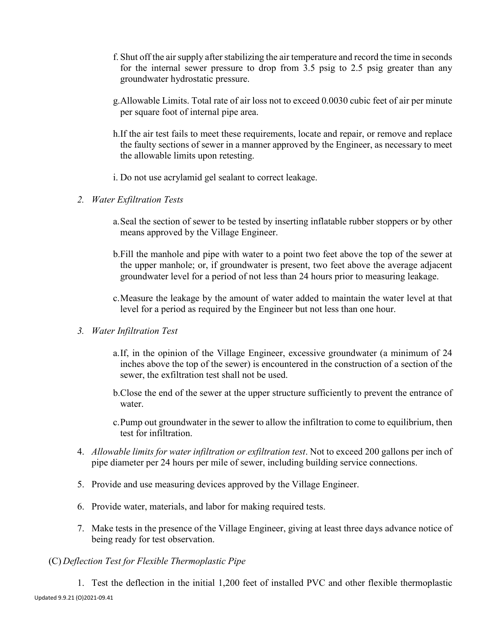- f. Shut off the air supply after stabilizing the air temperature and record the time in seconds for the internal sewer pressure to drop from 3.5 psig to 2.5 psig greater than any groundwater hydrostatic pressure.
- g.Allowable Limits. Total rate of air loss not to exceed 0.0030 cubic feet of air per minute per square foot of internal pipe area.
- h.If the air test fails to meet these requirements, locate and repair, or remove and replace the faulty sections of sewer in a manner approved by the Engineer, as necessary to meet the allowable limits upon retesting.
- i. Do not use acrylamid gel sealant to correct leakage.
- *2. Water Exfiltration Tests*
	- a.Seal the section of sewer to be tested by inserting inflatable rubber stoppers or by other means approved by the Village Engineer.
	- b.Fill the manhole and pipe with water to a point two feet above the top of the sewer at the upper manhole; or, if groundwater is present, two feet above the average adjacent groundwater level for a period of not less than 24 hours prior to measuring leakage.
	- c.Measure the leakage by the amount of water added to maintain the water level at that level for a period as required by the Engineer but not less than one hour.
- *3. Water Infiltration Test*
	- a.If, in the opinion of the Village Engineer, excessive groundwater (a minimum of 24 inches above the top of the sewer) is encountered in the construction of a section of the sewer, the exfiltration test shall not be used.
	- b.Close the end of the sewer at the upper structure sufficiently to prevent the entrance of water.
	- c.Pump out groundwater in the sewer to allow the infiltration to come to equilibrium, then test for infiltration.
- 4. *Allowable limits for water infiltration or exfiltration test*. Not to exceed 200 gallons per inch of pipe diameter per 24 hours per mile of sewer, including building service connections.
- 5. Provide and use measuring devices approved by the Village Engineer.
- 6. Provide water, materials, and labor for making required tests.
- 7. Make tests in the presence of the Village Engineer, giving at least three days advance notice of being ready for test observation.

# (C) *Deflection Test for Flexible Thermoplastic Pipe*

Updated 9.9.21 (O)2021-09.41 1. Test the deflection in the initial 1,200 feet of installed PVC and other flexible thermoplastic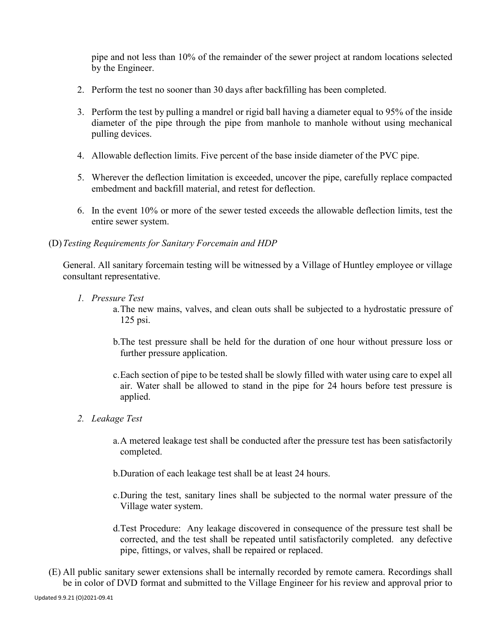pipe and not less than 10% of the remainder of the sewer project at random locations selected by the Engineer.

- 2. Perform the test no sooner than 30 days after backfilling has been completed.
- 3. Perform the test by pulling a mandrel or rigid ball having a diameter equal to 95% of the inside diameter of the pipe through the pipe from manhole to manhole without using mechanical pulling devices.
- 4. Allowable deflection limits. Five percent of the base inside diameter of the PVC pipe.
- 5. Wherever the deflection limitation is exceeded, uncover the pipe, carefully replace compacted embedment and backfill material, and retest for deflection.
- 6. In the event 10% or more of the sewer tested exceeds the allowable deflection limits, test the entire sewer system.

#### (D)*Testing Requirements for Sanitary Forcemain and HDP*

General. All sanitary forcemain testing will be witnessed by a Village of Huntley employee or village consultant representative.

- *1. Pressure Test*
	- a.The new mains, valves, and clean outs shall be subjected to a hydrostatic pressure of 125 psi.
	- b.The test pressure shall be held for the duration of one hour without pressure loss or further pressure application.
	- c.Each section of pipe to be tested shall be slowly filled with water using care to expel all air. Water shall be allowed to stand in the pipe for 24 hours before test pressure is applied.
- *2. Leakage Test*
	- a.A metered leakage test shall be conducted after the pressure test has been satisfactorily completed.
	- b.Duration of each leakage test shall be at least 24 hours.
	- c.During the test, sanitary lines shall be subjected to the normal water pressure of the Village water system.
	- d.Test Procedure: Any leakage discovered in consequence of the pressure test shall be corrected, and the test shall be repeated until satisfactorily completed. any defective pipe, fittings, or valves, shall be repaired or replaced.
- (E) All public sanitary sewer extensions shall be internally recorded by remote camera. Recordings shall be in color of DVD format and submitted to the Village Engineer for his review and approval prior to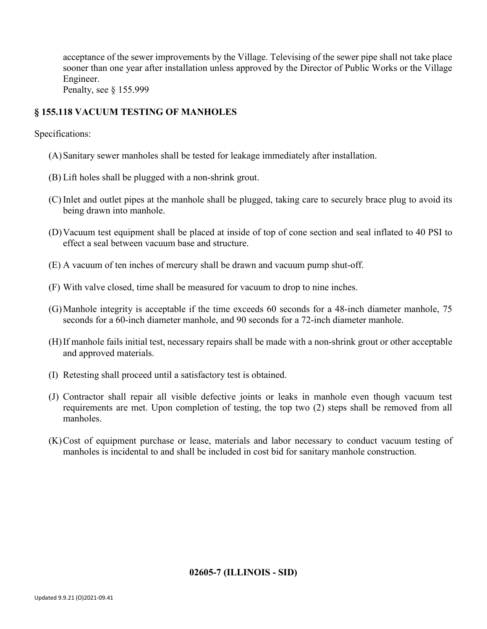acceptance of the sewer improvements by the Village. Televising of the sewer pipe shall not take place sooner than one year after installation unless approved by the Director of Public Works or the Village Engineer.

Penalty, see § 155.999

# **§ 155.118 VACUUM TESTING OF MANHOLES**

Specifications:

- (A)Sanitary sewer manholes shall be tested for leakage immediately after installation.
- (B) Lift holes shall be plugged with a non-shrink grout.
- (C) Inlet and outlet pipes at the manhole shall be plugged, taking care to securely brace plug to avoid its being drawn into manhole.
- (D)Vacuum test equipment shall be placed at inside of top of cone section and seal inflated to 40 PSI to effect a seal between vacuum base and structure.
- (E) A vacuum of ten inches of mercury shall be drawn and vacuum pump shut-off.
- (F) With valve closed, time shall be measured for vacuum to drop to nine inches.
- (G)Manhole integrity is acceptable if the time exceeds 60 seconds for a 48-inch diameter manhole, 75 seconds for a 60-inch diameter manhole, and 90 seconds for a 72-inch diameter manhole.
- (H)If manhole fails initial test, necessary repairs shall be made with a non-shrink grout or other acceptable and approved materials.
- (I) Retesting shall proceed until a satisfactory test is obtained.
- (J) Contractor shall repair all visible defective joints or leaks in manhole even though vacuum test requirements are met. Upon completion of testing, the top two (2) steps shall be removed from all manholes.
- (K)Cost of equipment purchase or lease, materials and labor necessary to conduct vacuum testing of manholes is incidental to and shall be included in cost bid for sanitary manhole construction.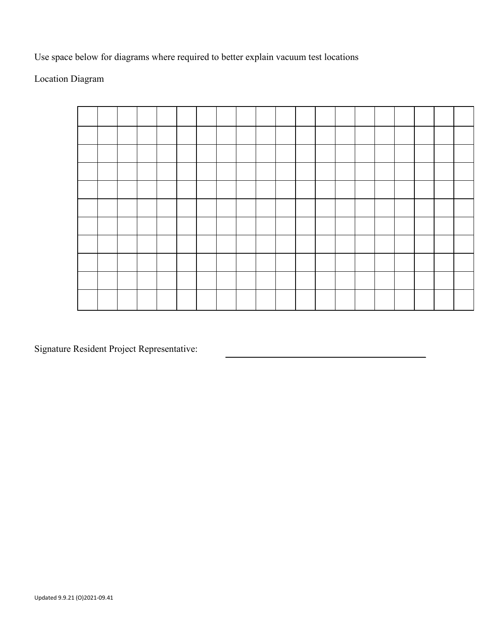Use space below for diagrams where required to better explain vacuum test locations

Location Diagram



Signature Resident Project Representative: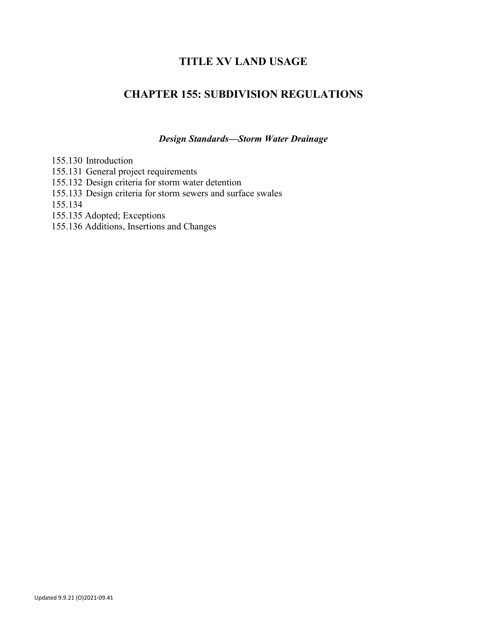# **TITLE XV LAND USAGE**

# **CHAPTER 155: SUBDIVISION REGULATIONS**

*Design Standards—Storm Water Drainage*

155.130 Introduction

- 155.131 General project requirements
- 155.132 Design criteria for storm water detention
- 155.133 Design criteria for storm sewers and surface swales

155.134

155.135 Adopted; Exceptions

155.136 Additions, Insertions and Changes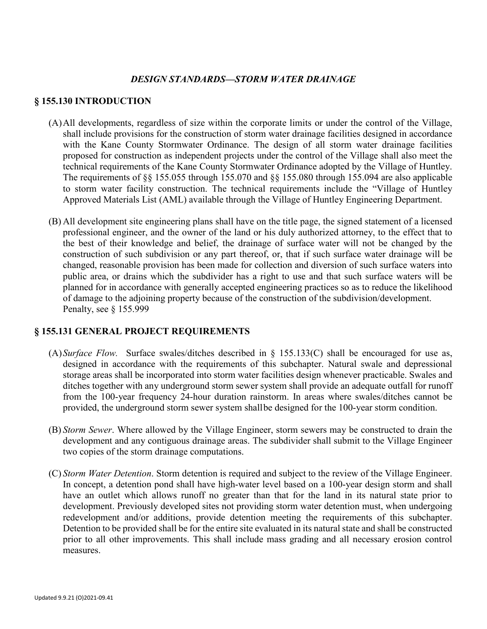#### *DESIGN STANDARDS—STORM WATER DRAINAGE*

#### **§ 155.130 INTRODUCTION**

- (A)All developments, regardless of size within the corporate limits or under the control of the Village, shall include provisions for the construction of storm water drainage facilities designed in accordance with the Kane County Stormwater Ordinance. The design of all storm water drainage facilities proposed for construction as independent projects under the control of the Village shall also meet the technical requirements of the Kane County Stormwater Ordinance adopted by the Village of Huntley. The requirements of §§ 155.055 through 155.070 and §§ 155.080 through 155.094 are also applicable to storm water facility construction. The technical requirements include the "Village of Huntley Approved Materials List (AML) available through the Village of Huntley Engineering Department.
- (B) All development site engineering plans shall have on the title page, the signed statement of a licensed professional engineer, and the owner of the land or his duly authorized attorney, to the effect that to the best of their knowledge and belief, the drainage of surface water will not be changed by the construction of such subdivision or any part thereof, or, that if such surface water drainage will be changed, reasonable provision has been made for collection and diversion of such surface waters into public area, or drains which the subdivider has a right to use and that such surface waters will be planned for in accordance with generally accepted engineering practices so as to reduce the likelihood of damage to the adjoining property because of the construction of the subdivision/development. Penalty, see § 155.999

#### **§ 155.131 GENERAL PROJECT REQUIREMENTS**

- (A)*Surface Flow.* Surface swales/ditches described in § 155.133(C) shall be encouraged for use as, designed in accordance with the requirements of this subchapter. Natural swale and depressional storage areas shall be incorporated into storm water facilities design whenever practicable. Swales and ditches together with any underground storm sewer system shall provide an adequate outfall for runoff from the 100-year frequency 24-hour duration rainstorm. In areas where swales/ditches cannot be provided, the underground storm sewer system shallbe designed for the 100-year storm condition.
- (B) *Storm Sewer*. Where allowed by the Village Engineer, storm sewers may be constructed to drain the development and any contiguous drainage areas. The subdivider shall submit to the Village Engineer two copies of the storm drainage computations.
- (C) *Storm Water Detention*. Storm detention is required and subject to the review of the Village Engineer. In concept, a detention pond shall have high-water level based on a 100-year design storm and shall have an outlet which allows runoff no greater than that for the land in its natural state prior to development. Previously developed sites not providing storm water detention must, when undergoing redevelopment and/or additions, provide detention meeting the requirements of this subchapter. Detention to be provided shall be for the entire site evaluated in its natural state and shall be constructed prior to all other improvements. This shall include mass grading and all necessary erosion control measures.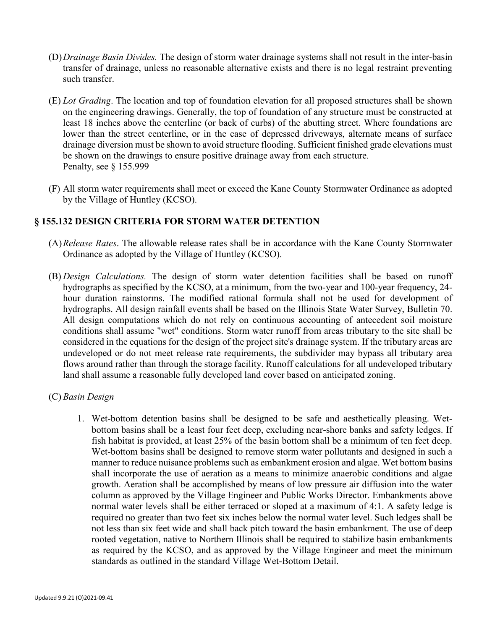- (D)*Drainage Basin Divides.* The design of storm water drainage systems shall not result in the inter-basin transfer of drainage, unless no reasonable alternative exists and there is no legal restraint preventing such transfer.
- (E) *Lot Grading*. The location and top of foundation elevation for all proposed structures shall be shown on the engineering drawings. Generally, the top of foundation of any structure must be constructed at least 18 inches above the centerline (or back of curbs) of the abutting street. Where foundations are lower than the street centerline, or in the case of depressed driveways, alternate means of surface drainage diversion must be shown to avoid structure flooding. Sufficient finished grade elevations must be shown on the drawings to ensure positive drainage away from each structure. Penalty, see § 155.999
- (F) All storm water requirements shall meet or exceed the Kane County Stormwater Ordinance as adopted by the Village of Huntley (KCSO).

#### **§ 155.132 DESIGN CRITERIA FOR STORM WATER DETENTION**

- (A)*Release Rates*. The allowable release rates shall be in accordance with the Kane County Stormwater Ordinance as adopted by the Village of Huntley (KCSO).
- (B) *Design Calculations.* The design of storm water detention facilities shall be based on runoff hydrographs as specified by the KCSO, at a minimum, from the two-year and 100-year frequency, 24 hour duration rainstorms. The modified rational formula shall not be used for development of hydrographs. All design rainfall events shall be based on the Illinois State Water Survey, Bulletin 70. All design computations which do not rely on continuous accounting of antecedent soil moisture conditions shall assume "wet" conditions. Storm water runoff from areas tributary to the site shall be considered in the equations for the design of the project site's drainage system. If the tributary areas are undeveloped or do not meet release rate requirements, the subdivider may bypass all tributary area flows around rather than through the storage facility. Runoff calculations for all undeveloped tributary land shall assume a reasonable fully developed land cover based on anticipated zoning.

#### (C) *Basin Design*

1. Wet-bottom detention basins shall be designed to be safe and aesthetically pleasing. Wetbottom basins shall be a least four feet deep, excluding near-shore banks and safety ledges. If fish habitat is provided, at least 25% of the basin bottom shall be a minimum of ten feet deep. Wet-bottom basins shall be designed to remove storm water pollutants and designed in such a manner to reduce nuisance problems such as embankment erosion and algae. Wet bottom basins shall incorporate the use of aeration as a means to minimize anaerobic conditions and algae growth. Aeration shall be accomplished by means of low pressure air diffusion into the water column as approved by the Village Engineer and Public Works Director. Embankments above normal water levels shall be either terraced or sloped at a maximum of 4:1. A safety ledge is required no greater than two feet six inches below the normal water level. Such ledges shall be not less than six feet wide and shall back pitch toward the basin embankment. The use of deep rooted vegetation, native to Northern Illinois shall be required to stabilize basin embankments as required by the KCSO, and as approved by the Village Engineer and meet the minimum standards as outlined in the standard Village Wet-Bottom Detail.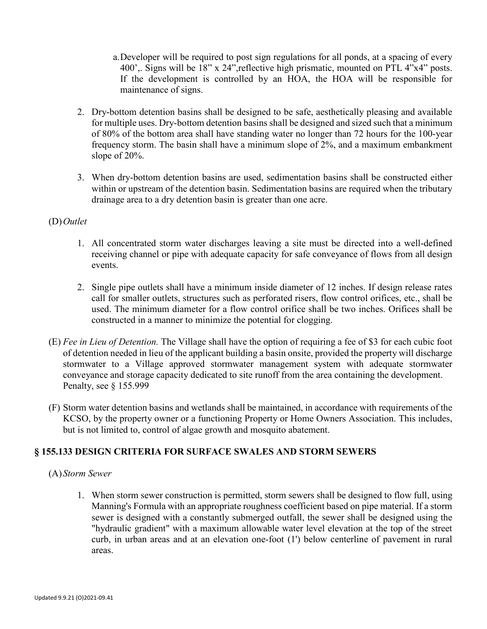- a.Developer will be required to post sign regulations for all ponds, at a spacing of every 400',. Signs will be 18" x 24",reflective high prismatic, mounted on PTL 4"x4" posts. If the development is controlled by an HOA, the HOA will be responsible for maintenance of signs.
- 2. Dry-bottom detention basins shall be designed to be safe, aesthetically pleasing and available for multiple uses. Dry-bottom detention basins shall be designed and sized such that a minimum of 80% of the bottom area shall have standing water no longer than 72 hours for the 100-year frequency storm. The basin shall have a minimum slope of 2%, and a maximum embankment slope of 20%.
- 3. When dry-bottom detention basins are used, sedimentation basins shall be constructed either within or upstream of the detention basin. Sedimentation basins are required when the tributary drainage area to a dry detention basin is greater than one acre.

#### (D)*Outlet*

- 1. All concentrated storm water discharges leaving a site must be directed into a well-defined receiving channel or pipe with adequate capacity for safe conveyance of flows from all design events.
- 2. Single pipe outlets shall have a minimum inside diameter of 12 inches. If design release rates call for smaller outlets, structures such as perforated risers, flow control orifices, etc., shall be used. The minimum diameter for a flow control orifice shall be two inches. Orifices shall be constructed in a manner to minimize the potential for clogging.
- (E) *Fee in Lieu of Detention.* The Village shall have the option of requiring a fee of \$3 for each cubic foot of detention needed in lieu of the applicant building a basin onsite, provided the property will discharge stormwater to a Village approved stormwater management system with adequate stormwater conveyance and storage capacity dedicated to site runoff from the area containing the development. Penalty, see § 155.999
- (F) Storm water detention basins and wetlands shall be maintained, in accordance with requirements of the KCSO, by the property owner or a functioning Property or Home Owners Association. This includes, but is not limited to, control of algae growth and mosquito abatement.

# **§ 155.133 DESIGN CRITERIA FOR SURFACE SWALES AND STORM SEWERS**

# (A)*Storm Sewer*

1. When storm sewer construction is permitted, storm sewers shall be designed to flow full, using Manning's Formula with an appropriate roughness coefficient based on pipe material. If a storm sewer is designed with a constantly submerged outfall, the sewer shall be designed using the "hydraulic gradient" with a maximum allowable water level elevation at the top of the street curb, in urban areas and at an elevation one-foot (1') below centerline of pavement in rural areas.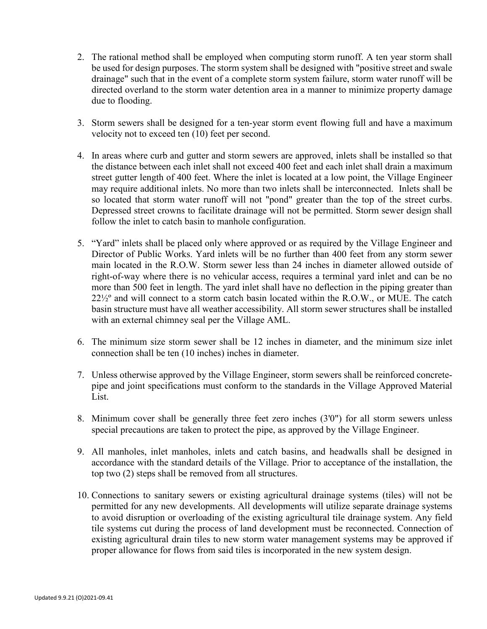- 2. The rational method shall be employed when computing storm runoff. A ten year storm shall be used for design purposes. The storm system shall be designed with "positive street and swale drainage" such that in the event of a complete storm system failure, storm water runoff will be directed overland to the storm water detention area in a manner to minimize property damage due to flooding.
- 3. Storm sewers shall be designed for a ten-year storm event flowing full and have a maximum velocity not to exceed ten (10) feet per second.
- 4. In areas where curb and gutter and storm sewers are approved, inlets shall be installed so that the distance between each inlet shall not exceed 400 feet and each inlet shall drain a maximum street gutter length of 400 feet. Where the inlet is located at a low point, the Village Engineer may require additional inlets. No more than two inlets shall be interconnected. Inlets shall be so located that storm water runoff will not "pond" greater than the top of the street curbs. Depressed street crowns to facilitate drainage will not be permitted. Storm sewer design shall follow the inlet to catch basin to manhole configuration.
- 5. "Yard" inlets shall be placed only where approved or as required by the Village Engineer and Director of Public Works. Yard inlets will be no further than 400 feet from any storm sewer main located in the R.O.W. Storm sewer less than 24 inches in diameter allowed outside of right-of-way where there is no vehicular access, requires a terminal yard inlet and can be no more than 500 feet in length. The yard inlet shall have no deflection in the piping greater than 22½º and will connect to a storm catch basin located within the R.O.W., or MUE. The catch basin structure must have all weather accessibility. All storm sewer structures shall be installed with an external chimney seal per the Village AML.
- 6. The minimum size storm sewer shall be 12 inches in diameter, and the minimum size inlet connection shall be ten (10 inches) inches in diameter.
- 7. Unless otherwise approved by the Village Engineer, storm sewers shall be reinforced concretepipe and joint specifications must conform to the standards in the Village Approved Material List.
- 8. Minimum cover shall be generally three feet zero inches (3'0") for all storm sewers unless special precautions are taken to protect the pipe, as approved by the Village Engineer.
- 9. All manholes, inlet manholes, inlets and catch basins, and headwalls shall be designed in accordance with the standard details of the Village. Prior to acceptance of the installation, the top two (2) steps shall be removed from all structures.
- 10. Connections to sanitary sewers or existing agricultural drainage systems (tiles) will not be permitted for any new developments. All developments will utilize separate drainage systems to avoid disruption or overloading of the existing agricultural tile drainage system. Any field tile systems cut during the process of land development must be reconnected. Connection of existing agricultural drain tiles to new storm water management systems may be approved if proper allowance for flows from said tiles is incorporated in the new system design.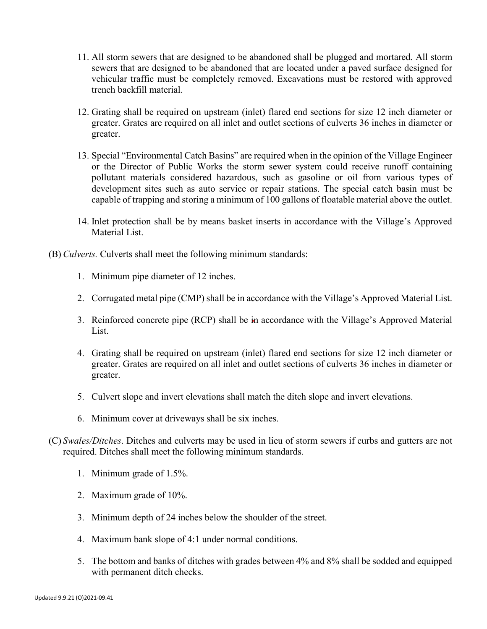- 11. All storm sewers that are designed to be abandoned shall be plugged and mortared. All storm sewers that are designed to be abandoned that are located under a paved surface designed for vehicular traffic must be completely removed. Excavations must be restored with approved trench backfill material.
- 12. Grating shall be required on upstream (inlet) flared end sections for size 12 inch diameter or greater. Grates are required on all inlet and outlet sections of culverts 36 inches in diameter or greater.
- 13. Special "Environmental Catch Basins" are required when in the opinion of the Village Engineer or the Director of Public Works the storm sewer system could receive runoff containing pollutant materials considered hazardous, such as gasoline or oil from various types of development sites such as auto service or repair stations. The special catch basin must be capable of trapping and storing a minimum of 100 gallons of floatable material above the outlet.
- 14. Inlet protection shall be by means basket inserts in accordance with the Village's Approved Material List.
- (B) *Culverts.* Culverts shall meet the following minimum standards:
	- 1. Minimum pipe diameter of 12 inches.
	- 2. Corrugated metal pipe (CMP) shall be in accordance with the Village's Approved Material List.
	- 3. Reinforced concrete pipe (RCP) shall be in accordance with the Village's Approved Material List.
	- 4. Grating shall be required on upstream (inlet) flared end sections for size 12 inch diameter or greater. Grates are required on all inlet and outlet sections of culverts 36 inches in diameter or greater.
	- 5. Culvert slope and invert elevations shall match the ditch slope and invert elevations.
	- 6. Minimum cover at driveways shall be six inches.
- (C) *Swales/Ditches*. Ditches and culverts may be used in lieu of storm sewers if curbs and gutters are not required. Ditches shall meet the following minimum standards.
	- 1. Minimum grade of 1.5%.
	- 2. Maximum grade of 10%.
	- 3. Minimum depth of 24 inches below the shoulder of the street.
	- 4. Maximum bank slope of 4:1 under normal conditions.
	- 5. The bottom and banks of ditches with grades between 4% and 8% shall be sodded and equipped with permanent ditch checks.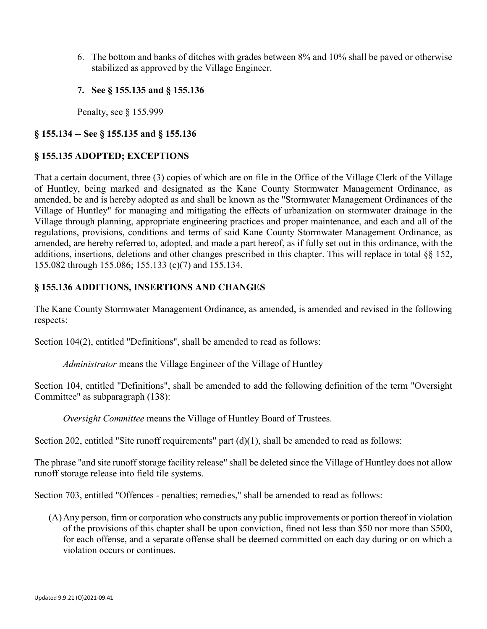- 6. The bottom and banks of ditches with grades between 8% and 10% shall be paved or otherwise stabilized as approved by the Village Engineer.
- **7. See § 155.135 and § 155.136**

Penalty, see § 155.999

# **§ 155.134 -- See § 155.135 and § 155.136**

# **§ 155.135 ADOPTED; EXCEPTIONS**

That a certain document, three (3) copies of which are on file in the Office of the Village Clerk of the Village of Huntley, being marked and designated as the Kane County Stormwater Management Ordinance, as amended, be and is hereby adopted as and shall be known as the "Stormwater Management Ordinances of the Village of Huntley" for managing and mitigating the effects of urbanization on stormwater drainage in the Village through planning, appropriate engineering practices and proper maintenance, and each and all of the regulations, provisions, conditions and terms of said Kane County Stormwater Management Ordinance, as amended, are hereby referred to, adopted, and made a part hereof, as if fully set out in this ordinance, with the additions, insertions, deletions and other changes prescribed in this chapter. This will replace in total §§ 152, 155.082 through 155.086; 155.133 (c)(7) and 155.134.

#### **§ 155.136 ADDITIONS, INSERTIONS AND CHANGES**

The Kane County Stormwater Management Ordinance, as amended, is amended and revised in the following respects:

Section 104(2), entitled "Definitions", shall be amended to read as follows:

*Administrator* means the Village Engineer of the Village of Huntley

Section 104, entitled "Definitions", shall be amended to add the following definition of the term "Oversight Committee" as subparagraph (138):

*Oversight Committee* means the Village of Huntley Board of Trustees.

Section 202, entitled "Site runoff requirements" part (d)(1), shall be amended to read as follows:

The phrase "and site runoff storage facility release" shall be deleted since the Village of Huntley does not allow runoff storage release into field tile systems.

Section 703, entitled "Offences - penalties; remedies," shall be amended to read as follows:

(A)Any person, firm or corporation who constructs any public improvements or portion thereof in violation of the provisions of this chapter shall be upon conviction, fined not less than \$50 nor more than \$500, for each offense, and a separate offense shall be deemed committed on each day during or on which a violation occurs or continues.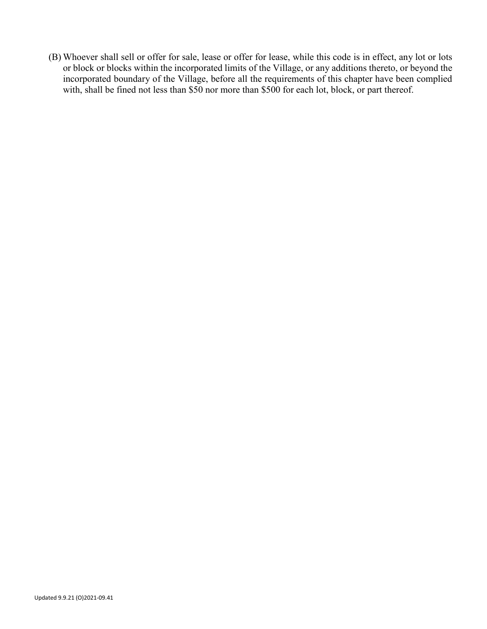(B) Whoever shall sell or offer for sale, lease or offer for lease, while this code is in effect, any lot or lots or block or blocks within the incorporated limits of the Village, or any additions thereto, or beyond the incorporated boundary of the Village, before all the requirements of this chapter have been complied with, shall be fined not less than \$50 nor more than \$500 for each lot, block, or part thereof.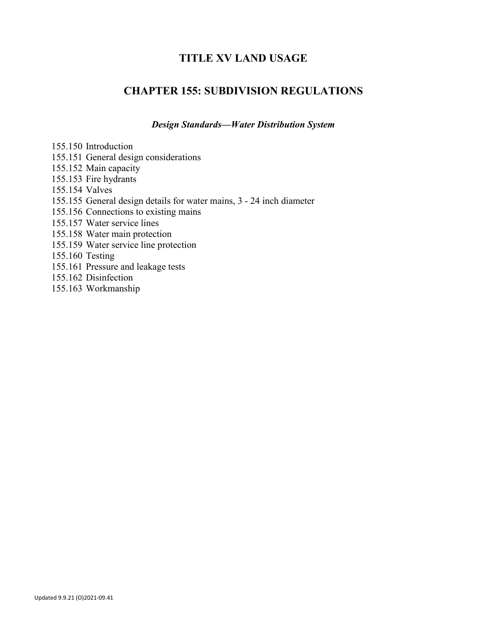# **TITLE XV LAND USAGE**

# **CHAPTER 155: SUBDIVISION REGULATIONS**

*Design Standards—Water Distribution System*

155.150 Introduction

- 155.151 General design considerations
- 155.152 Main capacity
- 155.153 Fire hydrants
- 155.154 Valves
- 155.155 General design details for water mains, 3 24 inch diameter
- 155.156 Connections to existing mains
- 155.157 Water service lines
- 155.158 Water main protection
- 155.159 Water service line protection

155.160 Testing

- 155.161 Pressure and leakage tests
- 155.162 Disinfection
- 155.163 Workmanship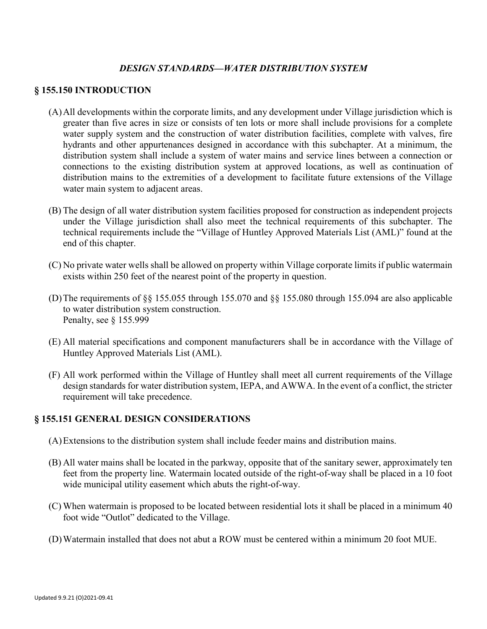### *DESIGN STANDARDS—WATER DISTRIBUTION SYSTEM*

#### **§ 155.150 INTRODUCTION**

- (A)All developments within the corporate limits, and any development under Village jurisdiction which is greater than five acres in size or consists of ten lots or more shall include provisions for a complete water supply system and the construction of water distribution facilities, complete with valves, fire hydrants and other appurtenances designed in accordance with this subchapter. At a minimum, the distribution system shall include a system of water mains and service lines between a connection or connections to the existing distribution system at approved locations, as well as continuation of distribution mains to the extremities of a development to facilitate future extensions of the Village water main system to adjacent areas.
- (B) The design of all water distribution system facilities proposed for construction as independent projects under the Village jurisdiction shall also meet the technical requirements of this subchapter. The technical requirements include the "Village of Huntley Approved Materials List (AML)" found at the end of this chapter.
- (C) No private water wells shall be allowed on property within Village corporate limits if public watermain exists within 250 feet of the nearest point of the property in question.
- (D)The requirements of §§ 155.055 through 155.070 and §§ 155.080 through 155.094 are also applicable to water distribution system construction. Penalty, see § 155.999
- (E) All material specifications and component manufacturers shall be in accordance with the Village of Huntley Approved Materials List (AML).
- (F) All work performed within the Village of Huntley shall meet all current requirements of the Village design standards for water distribution system, IEPA, and AWWA. In the event of a conflict, the stricter requirement will take precedence.

#### **§ 155.151 GENERAL DESIGN CONSIDERATIONS**

- (A)Extensions to the distribution system shall include feeder mains and distribution mains.
- (B) All water mains shall be located in the parkway, opposite that of the sanitary sewer, approximately ten feet from the property line. Watermain located outside of the right-of-way shall be placed in a 10 foot wide municipal utility easement which abuts the right-of-way.
- (C) When watermain is proposed to be located between residential lots it shall be placed in a minimum 40 foot wide "Outlot" dedicated to the Village.
- (D)Watermain installed that does not abut a ROW must be centered within a minimum 20 foot MUE.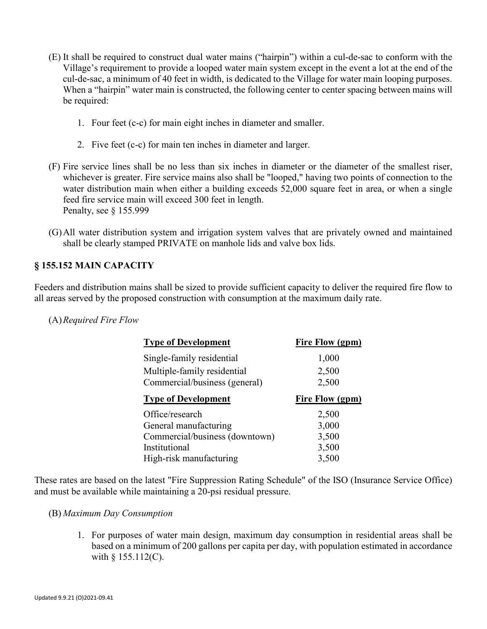- (E) It shall be required to construct dual water mains ("hairpin") within a cul-de-sac to conform with the Village's requirement to provide a looped water main system except in the event a lot at the end of the cul-de-sac, a minimum of 40 feet in width, is dedicated to the Village for water main looping purposes. When a "hairpin" water main is constructed, the following center to center spacing between mains will be required:
	- 1. Four feet (c-c) for main eight inches in diameter and smaller.
	- 2. Five feet (c-c) for main ten inches in diameter and larger.
- (F) Fire service lines shall be no less than six inches in diameter or the diameter of the smallest riser, whichever is greater. Fire service mains also shall be "looped," having two points of connection to the water distribution main when either a building exceeds 52,000 square feet in area, or when a single feed fire service main will exceed 300 feet in length. Penalty, see § 155.999
- (G)All water distribution system and irrigation system valves that are privately owned and maintained shall be clearly stamped PRIVATE on manhole lids and valve box lids.

# **§ 155.152 MAIN CAPACITY**

Feeders and distribution mains shall be sized to provide sufficient capacity to deliver the required fire flow to all areas served by the proposed construction with consumption at the maximum daily rate.

#### (A)*Required Fire Flow*

| <b>Type of Development</b>     | <b>Fire Flow (gpm)</b> |
|--------------------------------|------------------------|
| Single-family residential      | 1,000                  |
| Multiple-family residential    | 2,500                  |
| Commercial/business (general)  | 2,500                  |
| <b>Type of Development</b>     | Fire Flow (gpm)        |
| Office/research                | 2,500                  |
| General manufacturing          | 3,000                  |
| Commercial/business (downtown) | 3,500                  |
| Institutional                  | 3,500                  |
| High-risk manufacturing        | 3,500                  |

These rates are based on the latest "Fire Suppression Rating Schedule" of the ISO (Insurance Service Office) and must be available while maintaining a 20-psi residual pressure.

#### (B) *Maximum Day Consumption*

1. For purposes of water main design, maximum day consumption in residential areas shall be based on a minimum of 200 gallons per capita per day, with population estimated in accordance with  $§$  155.112(C).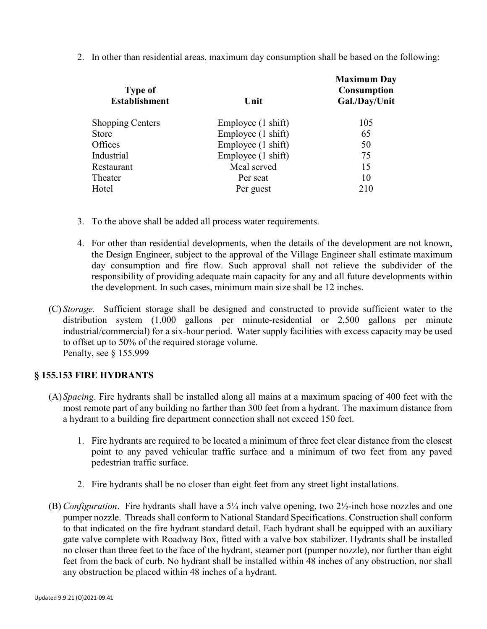2. In other than residential areas, maximum day consumption shall be based on the following:

| <b>Type of</b><br><b>Establishment</b> | Unit               | <b>Maximum Day</b><br><b>Consumption</b><br>Gal./Day/Unit |
|----------------------------------------|--------------------|-----------------------------------------------------------|
| <b>Shopping Centers</b>                | Employee (1 shift) | 105                                                       |
| Store                                  | Employee (1 shift) | 65                                                        |
| Offices                                | Employee (1 shift) | 50                                                        |
| Industrial                             | Employee (1 shift) | 75                                                        |
| Restaurant                             | Meal served        | 15                                                        |
| Theater                                | Per seat           | 10                                                        |
| Hotel                                  | Per guest          | 210                                                       |
|                                        |                    |                                                           |

- 3. To the above shall be added all process water requirements.
- 4. For other than residential developments, when the details of the development are not known, the Design Engineer, subject to the approval of the Village Engineer shall estimate maximum day consumption and fire flow. Such approval shall not relieve the subdivider of the responsibility of providing adequate main capacity for any and all future developments within the development. In such cases, minimum main size shall be 12 inches.
- (C) *Storage.* Sufficient storage shall be designed and constructed to provide sufficient water to the distribution system (1,000 gallons per minute-residential or 2,500 gallons per minute industrial/commercial) for a six-hour period. Water supply facilities with excess capacity may be used to offset up to 50% of the required storage volume. Penalty, see § 155.999

#### **§ 155.153 FIRE HYDRANTS**

- (A)*Spacing*. Fire hydrants shall be installed along all mains at a maximum spacing of 400 feet with the most remote part of any building no farther than 300 feet from a hydrant. The maximum distance from a hydrant to a building fire department connection shall not exceed 150 feet.
	- 1. Fire hydrants are required to be located a minimum of three feet clear distance from the closest point to any paved vehicular traffic surface and a minimum of two feet from any paved pedestrian traffic surface.
	- 2. Fire hydrants shall be no closer than eight feet from any street light installations.
- (B) *Configuration*. Fire hydrants shall have a 5¼ inch valve opening, two 2½-inch hose nozzles and one pumper nozzle. Threads shall conform to National Standard Specifications. Construction shall conform to that indicated on the fire hydrant standard detail. Each hydrant shall be equipped with an auxiliary gate valve complete with Roadway Box, fitted with a valve box stabilizer. Hydrants shall be installed no closer than three feet to the face of the hydrant, steamer port (pumper nozzle), nor further than eight feet from the back of curb. No hydrant shall be installed within 48 inches of any obstruction, nor shall any obstruction be placed within 48 inches of a hydrant.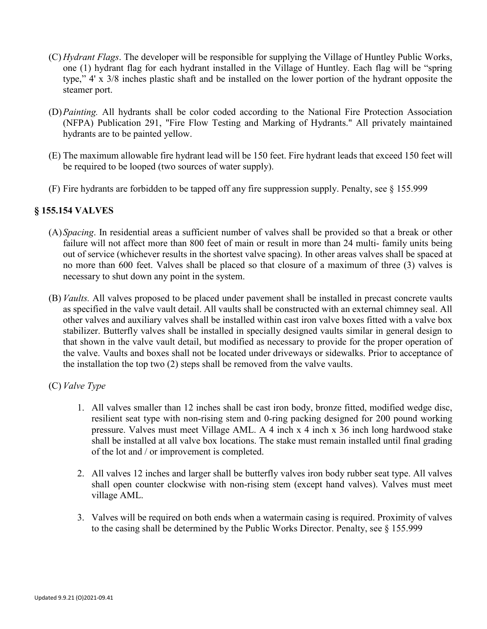- (C) *Hydrant Flags*. The developer will be responsible for supplying the Village of Huntley Public Works, one (1) hydrant flag for each hydrant installed in the Village of Huntley. Each flag will be "spring type," 4' x 3/8 inches plastic shaft and be installed on the lower portion of the hydrant opposite the steamer port.
- (D)*Painting.* All hydrants shall be color coded according to the National Fire Protection Association (NFPA) Publication 291, "Fire Flow Testing and Marking of Hydrants." All privately maintained hydrants are to be painted yellow.
- (E) The maximum allowable fire hydrant lead will be 150 feet. Fire hydrant leads that exceed 150 feet will be required to be looped (two sources of water supply).
- (F) Fire hydrants are forbidden to be tapped off any fire suppression supply. Penalty, see § 155.999

#### **§ 155.154 VALVES**

- (A)*Spacing*. In residential areas a sufficient number of valves shall be provided so that a break or other failure will not affect more than 800 feet of main or result in more than 24 multi- family units being out of service (whichever results in the shortest valve spacing). In other areas valves shall be spaced at no more than 600 feet. Valves shall be placed so that closure of a maximum of three (3) valves is necessary to shut down any point in the system.
- (B) *Vaults.* All valves proposed to be placed under pavement shall be installed in precast concrete vaults as specified in the valve vault detail. All vaults shall be constructed with an external chimney seal. All other valves and auxiliary valves shall be installed within cast iron valve boxes fitted with a valve box stabilizer. Butterfly valves shall be installed in specially designed vaults similar in general design to that shown in the valve vault detail, but modified as necessary to provide for the proper operation of the valve. Vaults and boxes shall not be located under driveways or sidewalks. Prior to acceptance of the installation the top two (2) steps shall be removed from the valve vaults.

#### (C) *Valve Type*

- 1. All valves smaller than 12 inches shall be cast iron body, bronze fitted, modified wedge disc, resilient seat type with non-rising stem and 0-ring packing designed for 200 pound working pressure. Valves must meet Village AML. A 4 inch x 4 inch x 36 inch long hardwood stake shall be installed at all valve box locations. The stake must remain installed until final grading of the lot and / or improvement is completed.
- 2. All valves 12 inches and larger shall be butterfly valves iron body rubber seat type. All valves shall open counter clockwise with non-rising stem (except hand valves). Valves must meet village AML.
- 3. Valves will be required on both ends when a watermain casing is required. Proximity of valves to the casing shall be determined by the Public Works Director. Penalty, see § 155.999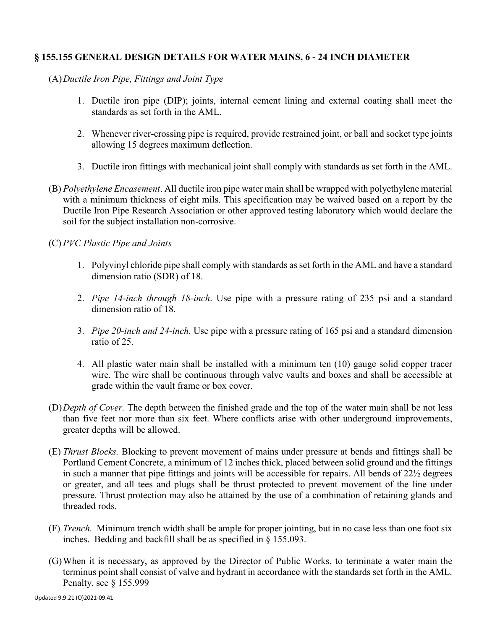# **§ 155.155 GENERAL DESIGN DETAILS FOR WATER MAINS, 6 - 24 INCH DIAMETER**

(A)*Ductile Iron Pipe, Fittings and Joint Type*

- 1. Ductile iron pipe (DIP); joints, internal cement lining and external coating shall meet the standards as set forth in the AML.
- 2. Whenever river-crossing pipe is required, provide restrained joint, or ball and socket type joints allowing 15 degrees maximum deflection.
- 3. Ductile iron fittings with mechanical joint shall comply with standards as set forth in the AML.
- (B) *Polyethylene Encasement*. All ductile iron pipe water main shall be wrapped with polyethylene material with a minimum thickness of eight mils. This specification may be waived based on a report by the Ductile Iron Pipe Research Association or other approved testing laboratory which would declare the soil for the subject installation non-corrosive.

#### (C) *PVC Plastic Pipe and Joints*

- 1. Polyvinyl chloride pipe shall comply with standards as set forth in the AML and have a standard dimension ratio (SDR) of 18.
- 2. *Pipe 14-inch through 18-inch*. Use pipe with a pressure rating of 235 psi and a standard dimension ratio of 18.
- 3. *Pipe 20-inch and 24-inch.* Use pipe with a pressure rating of 165 psi and a standard dimension ratio of 25.
- 4. All plastic water main shall be installed with a minimum ten (10) gauge solid copper tracer wire. The wire shall be continuous through valve vaults and boxes and shall be accessible at grade within the vault frame or box cover.
- (D)*Depth of Cover.* The depth between the finished grade and the top of the water main shall be not less than five feet nor more than six feet. Where conflicts arise with other underground improvements, greater depths will be allowed.
- (E) *Thrust Blocks.* Blocking to prevent movement of mains under pressure at bends and fittings shall be Portland Cement Concrete, a minimum of 12 inches thick, placed between solid ground and the fittings in such a manner that pipe fittings and joints will be accessible for repairs. All bends of 22½ degrees or greater, and all tees and plugs shall be thrust protected to prevent movement of the line under pressure. Thrust protection may also be attained by the use of a combination of retaining glands and threaded rods.
- (F) *Trench.* Minimum trench width shall be ample for proper jointing, but in no case less than one foot six inches. Bedding and backfill shall be as specified in § 155.093.
- (G)When it is necessary, as approved by the Director of Public Works, to terminate a water main the terminus point shall consist of valve and hydrant in accordance with the standards set forth in the AML. Penalty, see § 155.999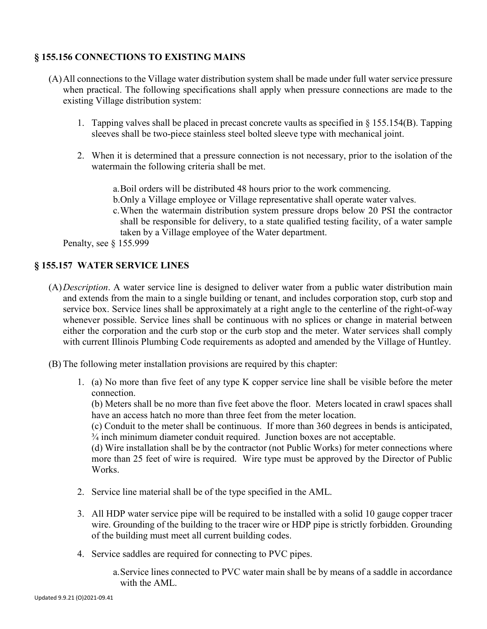# **§ 155.156 CONNECTIONS TO EXISTING MAINS**

- (A)All connections to the Village water distribution system shall be made under full water service pressure when practical. The following specifications shall apply when pressure connections are made to the existing Village distribution system:
	- 1. Tapping valves shall be placed in precast concrete vaults as specified in § 155.154(B). Tapping sleeves shall be two-piece stainless steel bolted sleeve type with mechanical joint.
	- 2. When it is determined that a pressure connection is not necessary, prior to the isolation of the watermain the following criteria shall be met.
		- a.Boil orders will be distributed 48 hours prior to the work commencing.
		- b.Only a Village employee or Village representative shall operate water valves.
		- c.When the watermain distribution system pressure drops below 20 PSI the contractor shall be responsible for delivery, to a state qualified testing facility, of a water sample taken by a Village employee of the Water department.

Penalty, see § 155.999

#### **§ 155.157 WATER SERVICE LINES**

- (A)*Description*. A water service line is designed to deliver water from a public water distribution main and extends from the main to a single building or tenant, and includes corporation stop, curb stop and service box. Service lines shall be approximately at a right angle to the centerline of the right-of-way whenever possible. Service lines shall be continuous with no splices or change in material between either the corporation and the curb stop or the curb stop and the meter. Water services shall comply with current Illinois Plumbing Code requirements as adopted and amended by the Village of Huntley.
- (B) The following meter installation provisions are required by this chapter:
	- 1. (a) No more than five feet of any type K copper service line shall be visible before the meter connection.

(b) Meters shall be no more than five feet above the floor. Meters located in crawl spaces shall have an access hatch no more than three feet from the meter location.

(c) Conduit to the meter shall be continuous. If more than 360 degrees in bends is anticipated, ¾ inch minimum diameter conduit required. Junction boxes are not acceptable.

(d) Wire installation shall be by the contractor (not Public Works) for meter connections where more than 25 feet of wire is required. Wire type must be approved by the Director of Public Works.

- 2. Service line material shall be of the type specified in the AML.
- 3. All HDP water service pipe will be required to be installed with a solid 10 gauge copper tracer wire. Grounding of the building to the tracer wire or HDP pipe is strictly forbidden. Grounding of the building must meet all current building codes.
- 4. Service saddles are required for connecting to PVC pipes.
	- a.Service lines connected to PVC water main shall be by means of a saddle in accordance with the AML.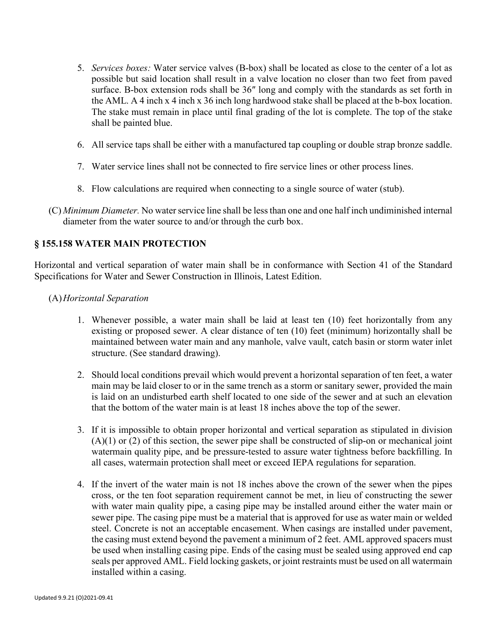- 5. *Services boxes:* Water service valves (B-box) shall be located as close to the center of a lot as possible but said location shall result in a valve location no closer than two feet from paved surface. B-box extension rods shall be 36″ long and comply with the standards as set forth in the AML. A 4 inch x 4 inch x 36 inch long hardwood stake shall be placed at the b-box location. The stake must remain in place until final grading of the lot is complete. The top of the stake shall be painted blue.
- 6. All service taps shall be either with a manufactured tap coupling or double strap bronze saddle.
- 7. Water service lines shall not be connected to fire service lines or other process lines.
- 8. Flow calculations are required when connecting to a single source of water (stub).
- (C) *Minimum Diameter.* No water service line shall be less than one and one half inch undiminished internal diameter from the water source to and/or through the curb box.

#### **§ 155.158 WATER MAIN PROTECTION**

Horizontal and vertical separation of water main shall be in conformance with Section 41 of the Standard Specifications for Water and Sewer Construction in Illinois, Latest Edition.

- (A)*Horizontal Separation*
	- 1. Whenever possible, a water main shall be laid at least ten (10) feet horizontally from any existing or proposed sewer. A clear distance of ten (10) feet (minimum) horizontally shall be maintained between water main and any manhole, valve vault, catch basin or storm water inlet structure. (See standard drawing).
	- 2. Should local conditions prevail which would prevent a horizontal separation of ten feet, a water main may be laid closer to or in the same trench as a storm or sanitary sewer, provided the main is laid on an undisturbed earth shelf located to one side of the sewer and at such an elevation that the bottom of the water main is at least 18 inches above the top of the sewer.
	- 3. If it is impossible to obtain proper horizontal and vertical separation as stipulated in division  $(A)(1)$  or  $(2)$  of this section, the sewer pipe shall be constructed of slip-on or mechanical joint watermain quality pipe, and be pressure-tested to assure water tightness before backfilling. In all cases, watermain protection shall meet or exceed IEPA regulations for separation.
	- 4. If the invert of the water main is not 18 inches above the crown of the sewer when the pipes cross, or the ten foot separation requirement cannot be met, in lieu of constructing the sewer with water main quality pipe, a casing pipe may be installed around either the water main or sewer pipe. The casing pipe must be a material that is approved for use as water main or welded steel. Concrete is not an acceptable encasement. When casings are installed under pavement, the casing must extend beyond the pavement a minimum of 2 feet. AML approved spacers must be used when installing casing pipe. Ends of the casing must be sealed using approved end cap seals per approved AML. Field locking gaskets, or joint restraints must be used on all watermain installed within a casing.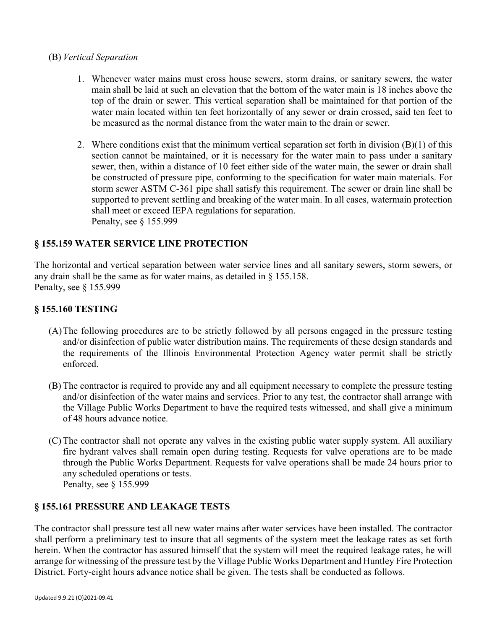#### (B) *Vertical Separation*

- 1. Whenever water mains must cross house sewers, storm drains, or sanitary sewers, the water main shall be laid at such an elevation that the bottom of the water main is 18 inches above the top of the drain or sewer. This vertical separation shall be maintained for that portion of the water main located within ten feet horizontally of any sewer or drain crossed, said ten feet to be measured as the normal distance from the water main to the drain or sewer.
- 2. Where conditions exist that the minimum vertical separation set forth in division  $(B)(1)$  of this section cannot be maintained, or it is necessary for the water main to pass under a sanitary sewer, then, within a distance of 10 feet either side of the water main, the sewer or drain shall be constructed of pressure pipe, conforming to the specification for water main materials. For storm sewer ASTM C-361 pipe shall satisfy this requirement. The sewer or drain line shall be supported to prevent settling and breaking of the water main. In all cases, watermain protection shall meet or exceed IEPA regulations for separation. Penalty, see § 155.999

#### **§ 155.159 WATER SERVICE LINE PROTECTION**

The horizontal and vertical separation between water service lines and all sanitary sewers, storm sewers, or any drain shall be the same as for water mains, as detailed in § 155.158. Penalty, see § 155.999

#### **§ 155.160 TESTING**

- (A)The following procedures are to be strictly followed by all persons engaged in the pressure testing and/or disinfection of public water distribution mains. The requirements of these design standards and the requirements of the Illinois Environmental Protection Agency water permit shall be strictly enforced.
- (B) The contractor is required to provide any and all equipment necessary to complete the pressure testing and/or disinfection of the water mains and services. Prior to any test, the contractor shall arrange with the Village Public Works Department to have the required tests witnessed, and shall give a minimum of 48 hours advance notice.
- (C) The contractor shall not operate any valves in the existing public water supply system. All auxiliary fire hydrant valves shall remain open during testing. Requests for valve operations are to be made through the Public Works Department. Requests for valve operations shall be made 24 hours prior to any scheduled operations or tests. Penalty, see § 155.999

#### **§ 155.161 PRESSURE AND LEAKAGE TESTS**

The contractor shall pressure test all new water mains after water services have been installed. The contractor shall perform a preliminary test to insure that all segments of the system meet the leakage rates as set forth herein. When the contractor has assured himself that the system will meet the required leakage rates, he will arrange for witnessing of the pressure test by the Village Public Works Department and Huntley Fire Protection District. Forty-eight hours advance notice shall be given. The tests shall be conducted as follows.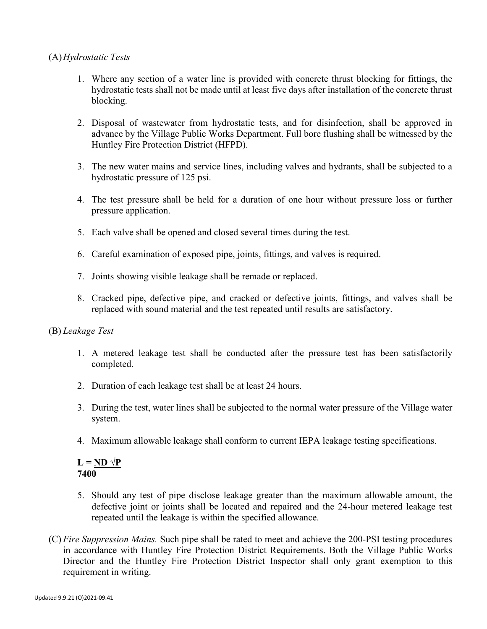### (A)*Hydrostatic Tests*

- 1. Where any section of a water line is provided with concrete thrust blocking for fittings, the hydrostatic tests shall not be made until at least five days after installation of the concrete thrust blocking.
- 2. Disposal of wastewater from hydrostatic tests, and for disinfection, shall be approved in advance by the Village Public Works Department. Full bore flushing shall be witnessed by the Huntley Fire Protection District (HFPD).
- 3. The new water mains and service lines, including valves and hydrants, shall be subjected to a hydrostatic pressure of 125 psi.
- 4. The test pressure shall be held for a duration of one hour without pressure loss or further pressure application.
- 5. Each valve shall be opened and closed several times during the test.
- 6. Careful examination of exposed pipe, joints, fittings, and valves is required.
- 7. Joints showing visible leakage shall be remade or replaced.
- 8. Cracked pipe, defective pipe, and cracked or defective joints, fittings, and valves shall be replaced with sound material and the test repeated until results are satisfactory.

#### (B) *Leakage Test*

- 1. A metered leakage test shall be conducted after the pressure test has been satisfactorily completed.
- 2. Duration of each leakage test shall be at least 24 hours.
- 3. During the test, water lines shall be subjected to the normal water pressure of the Village water system.
- 4. Maximum allowable leakage shall conform to current IEPA leakage testing specifications.

 $L = ND \sqrt{P}$ **7400**

- 5. Should any test of pipe disclose leakage greater than the maximum allowable amount, the defective joint or joints shall be located and repaired and the 24-hour metered leakage test repeated until the leakage is within the specified allowance.
- (C) *Fire Suppression Mains.* Such pipe shall be rated to meet and achieve the 200-PSI testing procedures in accordance with Huntley Fire Protection District Requirements. Both the Village Public Works Director and the Huntley Fire Protection District Inspector shall only grant exemption to this requirement in writing.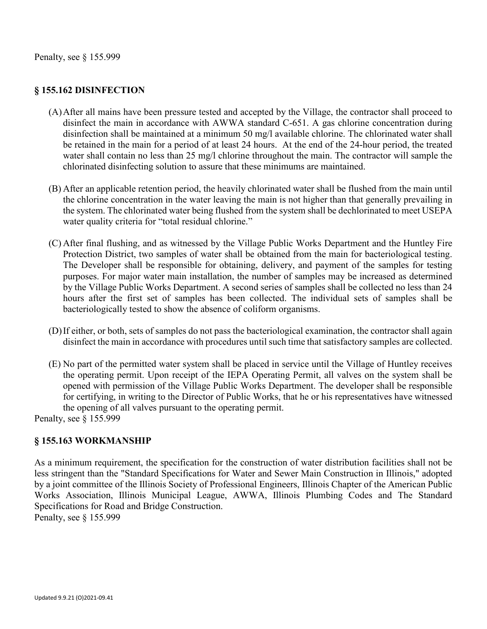# **§ 155.162 DISINFECTION**

- (A)After all mains have been pressure tested and accepted by the Village, the contractor shall proceed to disinfect the main in accordance with AWWA standard C-651. A gas chlorine concentration during disinfection shall be maintained at a minimum 50 mg/l available chlorine. The chlorinated water shall be retained in the main for a period of at least 24 hours. At the end of the 24-hour period, the treated water shall contain no less than 25 mg/l chlorine throughout the main. The contractor will sample the chlorinated disinfecting solution to assure that these minimums are maintained.
- (B) After an applicable retention period, the heavily chlorinated water shall be flushed from the main until the chlorine concentration in the water leaving the main is not higher than that generally prevailing in the system. The chlorinated water being flushed from the system shall be dechlorinated to meet USEPA water quality criteria for "total residual chlorine."
- (C) After final flushing, and as witnessed by the Village Public Works Department and the Huntley Fire Protection District, two samples of water shall be obtained from the main for bacteriological testing. The Developer shall be responsible for obtaining, delivery, and payment of the samples for testing purposes. For major water main installation, the number of samples may be increased as determined by the Village Public Works Department. A second series of samples shall be collected no less than 24 hours after the first set of samples has been collected. The individual sets of samples shall be bacteriologically tested to show the absence of coliform organisms.
- (D)If either, or both, sets of samples do not pass the bacteriological examination, the contractor shall again disinfect the main in accordance with procedures until such time that satisfactory samples are collected.
- (E) No part of the permitted water system shall be placed in service until the Village of Huntley receives the operating permit. Upon receipt of the IEPA Operating Permit, all valves on the system shall be opened with permission of the Village Public Works Department. The developer shall be responsible for certifying, in writing to the Director of Public Works, that he or his representatives have witnessed the opening of all valves pursuant to the operating permit.

Penalty, see § 155.999

# **§ 155.163 WORKMANSHIP**

As a minimum requirement, the specification for the construction of water distribution facilities shall not be less stringent than the "Standard Specifications for Water and Sewer Main Construction in Illinois," adopted by a joint committee of the Illinois Society of Professional Engineers, Illinois Chapter of the American Public Works Association, Illinois Municipal League, AWWA, Illinois Plumbing Codes and The Standard Specifications for Road and Bridge Construction.

Penalty, see § 155.999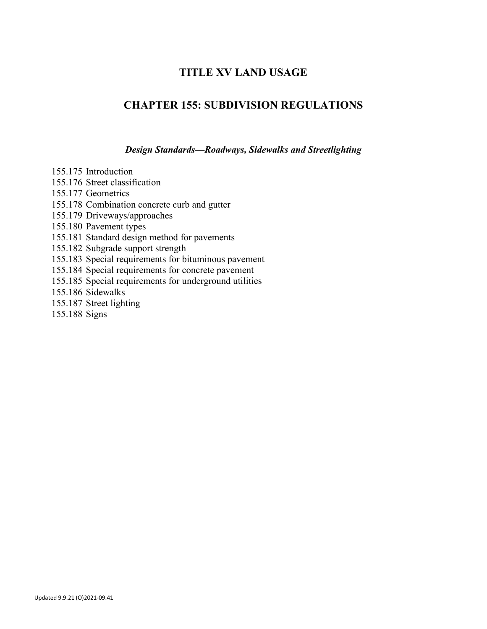# **TITLE XV LAND USAGE**

# **CHAPTER 155: SUBDIVISION REGULATIONS**

*Design Standards—Roadways, Sidewalks and Streetlighting*

155.175 Introduction

- 155.176 Street classification
- 155.177 Geometrics

155.178 Combination concrete curb and gutter

155.179 Driveways/approaches

155.180 Pavement types

155.181 Standard design method for pavements

155.182 Subgrade support strength

155.183 Special requirements for bituminous pavement

155.184 Special requirements for concrete pavement

155.185 Special requirements for underground utilities

155.186 Sidewalks

155.187 Street lighting

155.188 Signs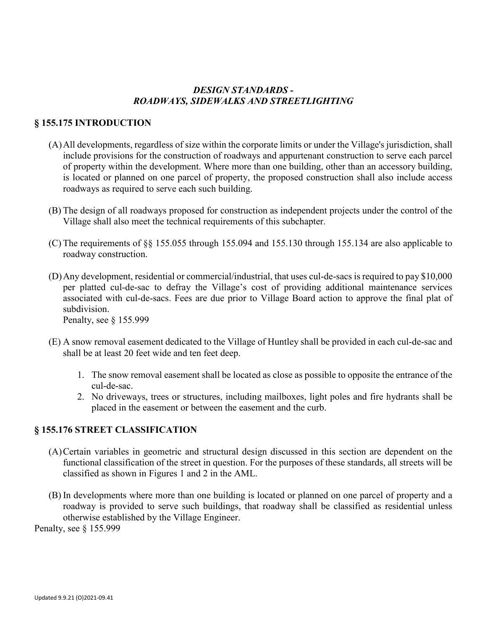# *DESIGN STANDARDS - ROADWAYS, SIDEWALKS AND STREETLIGHTING*

### **§ 155.175 INTRODUCTION**

- (A)All developments, regardless of size within the corporate limits or under the Village's jurisdiction, shall include provisions for the construction of roadways and appurtenant construction to serve each parcel of property within the development. Where more than one building, other than an accessory building, is located or planned on one parcel of property, the proposed construction shall also include access roadways as required to serve each such building.
- (B) The design of all roadways proposed for construction as independent projects under the control of the Village shall also meet the technical requirements of this subchapter.
- (C) The requirements of §§ 155.055 through 155.094 and 155.130 through 155.134 are also applicable to roadway construction.
- (D)Any development, residential or commercial/industrial, that uses cul-de-sacs is required to pay \$10,000 per platted cul-de-sac to defray the Village's cost of providing additional maintenance services associated with cul-de-sacs. Fees are due prior to Village Board action to approve the final plat of subdivision.

Penalty, see § 155.999

- (E) A snow removal easement dedicated to the Village of Huntley shall be provided in each cul-de-sac and shall be at least 20 feet wide and ten feet deep.
	- 1. The snow removal easement shall be located as close as possible to opposite the entrance of the cul-de-sac.
	- 2. No driveways, trees or structures, including mailboxes, light poles and fire hydrants shall be placed in the easement or between the easement and the curb.

# **§ 155.176 STREET CLASSIFICATION**

- (A)Certain variables in geometric and structural design discussed in this section are dependent on the functional classification of the street in question. For the purposes of these standards, all streets will be classified as shown in Figures 1 and 2 in the AML.
- (B) In developments where more than one building is located or planned on one parcel of property and a roadway is provided to serve such buildings, that roadway shall be classified as residential unless otherwise established by the Village Engineer.

Penalty, see § 155.999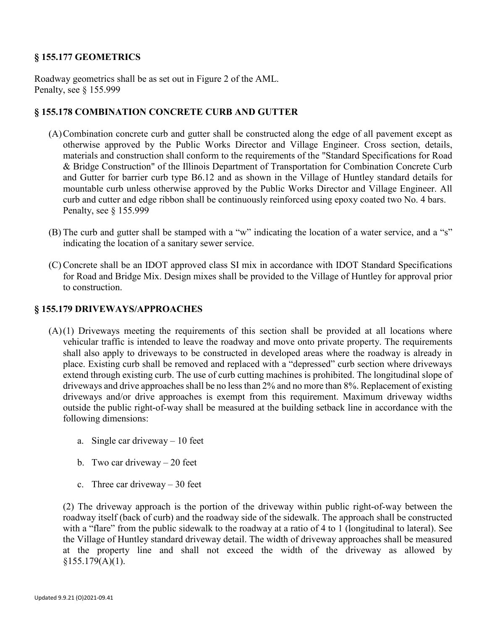# **§ 155.177 GEOMETRICS**

Roadway geometrics shall be as set out in Figure 2 of the AML. Penalty, see § 155.999

#### **§ 155.178 COMBINATION CONCRETE CURB AND GUTTER**

- (A)Combination concrete curb and gutter shall be constructed along the edge of all pavement except as otherwise approved by the Public Works Director and Village Engineer. Cross section, details, materials and construction shall conform to the requirements of the "Standard Specifications for Road & Bridge Construction" of the Illinois Department of Transportation for Combination Concrete Curb and Gutter for barrier curb type B6.12 and as shown in the Village of Huntley standard details for mountable curb unless otherwise approved by the Public Works Director and Village Engineer. All curb and cutter and edge ribbon shall be continuously reinforced using epoxy coated two No. 4 bars. Penalty, see § 155.999
- (B) The curb and gutter shall be stamped with a "w" indicating the location of a water service, and a "s" indicating the location of a sanitary sewer service.
- (C) Concrete shall be an IDOT approved class SI mix in accordance with IDOT Standard Specifications for Road and Bridge Mix. Design mixes shall be provided to the Village of Huntley for approval prior to construction.

#### **§ 155.179 DRIVEWAYS/APPROACHES**

- (A)(1) Driveways meeting the requirements of this section shall be provided at all locations where vehicular traffic is intended to leave the roadway and move onto private property. The requirements shall also apply to driveways to be constructed in developed areas where the roadway is already in place. Existing curb shall be removed and replaced with a "depressed" curb section where driveways extend through existing curb. The use of curb cutting machines is prohibited. The longitudinal slope of driveways and drive approaches shall be no less than 2% and no more than 8%. Replacement of existing driveways and/or drive approaches is exempt from this requirement. Maximum driveway widths outside the public right-of-way shall be measured at the building setback line in accordance with the following dimensions:
	- a. Single car driveway 10 feet
	- b. Two car driveway  $-20$  feet
	- c. Three car driveway  $-30$  feet

(2) The driveway approach is the portion of the driveway within public right-of-way between the roadway itself (back of curb) and the roadway side of the sidewalk. The approach shall be constructed with a "flare" from the public sidewalk to the roadway at a ratio of 4 to 1 (longitudinal to lateral). See the Village of Huntley standard driveway detail. The width of driveway approaches shall be measured at the property line and shall not exceed the width of the driveway as allowed by  $§155.179(A)(1).$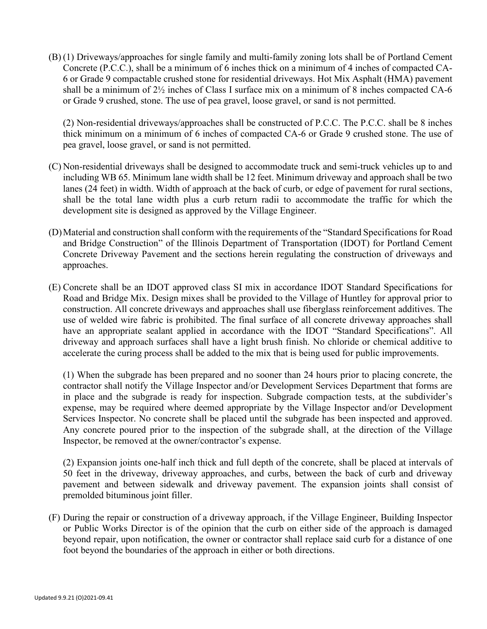(B) (1) Driveways/approaches for single family and multi-family zoning lots shall be of Portland Cement Concrete (P.C.C.), shall be a minimum of 6 inches thick on a minimum of 4 inches of compacted CA-6 or Grade 9 compactable crushed stone for residential driveways. Hot Mix Asphalt (HMA) pavement shall be a minimum of  $2\frac{1}{2}$  inches of Class I surface mix on a minimum of 8 inches compacted CA-6 or Grade 9 crushed, stone. The use of pea gravel, loose gravel, or sand is not permitted.

(2) Non-residential driveways/approaches shall be constructed of P.C.C. The P.C.C. shall be 8 inches thick minimum on a minimum of 6 inches of compacted CA-6 or Grade 9 crushed stone. The use of pea gravel, loose gravel, or sand is not permitted.

- (C) Non-residential driveways shall be designed to accommodate truck and semi-truck vehicles up to and including WB 65. Minimum lane width shall be 12 feet. Minimum driveway and approach shall be two lanes (24 feet) in width. Width of approach at the back of curb, or edge of pavement for rural sections, shall be the total lane width plus a curb return radii to accommodate the traffic for which the development site is designed as approved by the Village Engineer.
- (D)Material and construction shall conform with the requirements of the "Standard Specifications for Road and Bridge Construction" of the Illinois Department of Transportation (IDOT) for Portland Cement Concrete Driveway Pavement and the sections herein regulating the construction of driveways and approaches.
- (E) Concrete shall be an IDOT approved class SI mix in accordance IDOT Standard Specifications for Road and Bridge Mix. Design mixes shall be provided to the Village of Huntley for approval prior to construction. All concrete driveways and approaches shall use fiberglass reinforcement additives. The use of welded wire fabric is prohibited. The final surface of all concrete driveway approaches shall have an appropriate sealant applied in accordance with the IDOT "Standard Specifications". All driveway and approach surfaces shall have a light brush finish. No chloride or chemical additive to accelerate the curing process shall be added to the mix that is being used for public improvements.

(1) When the subgrade has been prepared and no sooner than 24 hours prior to placing concrete, the contractor shall notify the Village Inspector and/or Development Services Department that forms are in place and the subgrade is ready for inspection. Subgrade compaction tests, at the subdivider's expense, may be required where deemed appropriate by the Village Inspector and/or Development Services Inspector. No concrete shall be placed until the subgrade has been inspected and approved. Any concrete poured prior to the inspection of the subgrade shall, at the direction of the Village Inspector, be removed at the owner/contractor's expense.

(2) Expansion joints one-half inch thick and full depth of the concrete, shall be placed at intervals of 50 feet in the driveway, driveway approaches, and curbs, between the back of curb and driveway pavement and between sidewalk and driveway pavement. The expansion joints shall consist of premolded bituminous joint filler.

(F) During the repair or construction of a driveway approach, if the Village Engineer, Building Inspector or Public Works Director is of the opinion that the curb on either side of the approach is damaged beyond repair, upon notification, the owner or contractor shall replace said curb for a distance of one foot beyond the boundaries of the approach in either or both directions.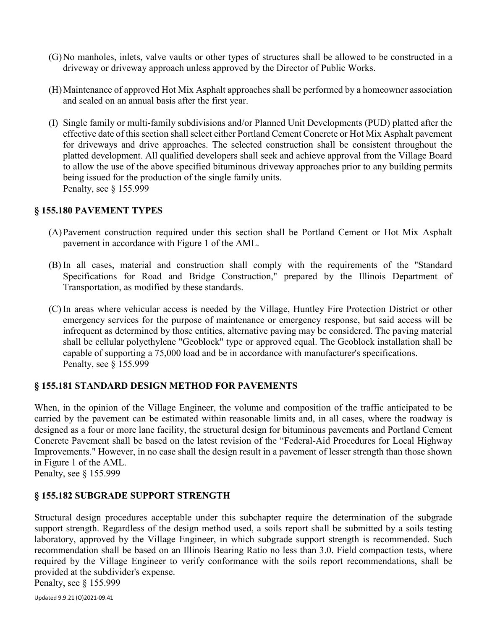- (G)No manholes, inlets, valve vaults or other types of structures shall be allowed to be constructed in a driveway or driveway approach unless approved by the Director of Public Works.
- (H)Maintenance of approved Hot Mix Asphalt approaches shall be performed by a homeowner association and sealed on an annual basis after the first year.
- (I) Single family or multi-family subdivisions and/or Planned Unit Developments (PUD) platted after the effective date of this section shall select either Portland Cement Concrete or Hot Mix Asphalt pavement for driveways and drive approaches. The selected construction shall be consistent throughout the platted development. All qualified developers shall seek and achieve approval from the Village Board to allow the use of the above specified bituminous driveway approaches prior to any building permits being issued for the production of the single family units. Penalty, see § 155.999

#### **§ 155.180 PAVEMENT TYPES**

- (A)Pavement construction required under this section shall be Portland Cement or Hot Mix Asphalt pavement in accordance with Figure 1 of the AML.
- (B) In all cases, material and construction shall comply with the requirements of the "Standard Specifications for Road and Bridge Construction," prepared by the Illinois Department of Transportation, as modified by these standards.
- (C) In areas where vehicular access is needed by the Village, Huntley Fire Protection District or other emergency services for the purpose of maintenance or emergency response, but said access will be infrequent as determined by those entities, alternative paving may be considered. The paving material shall be cellular polyethylene "Geoblock" type or approved equal. The Geoblock installation shall be capable of supporting a 75,000 load and be in accordance with manufacturer's specifications. Penalty, see § 155.999

# **§ 155.181 STANDARD DESIGN METHOD FOR PAVEMENTS**

When, in the opinion of the Village Engineer, the volume and composition of the traffic anticipated to be carried by the pavement can be estimated within reasonable limits and, in all cases, where the roadway is designed as a four or more lane facility, the structural design for bituminous pavements and Portland Cement Concrete Pavement shall be based on the latest revision of the "Federal-Aid Procedures for Local Highway Improvements." However, in no case shall the design result in a pavement of lesser strength than those shown in Figure 1 of the AML.

Penalty, see § 155.999

# **§ 155.182 SUBGRADE SUPPORT STRENGTH**

Structural design procedures acceptable under this subchapter require the determination of the subgrade support strength. Regardless of the design method used, a soils report shall be submitted by a soils testing laboratory, approved by the Village Engineer, in which subgrade support strength is recommended. Such recommendation shall be based on an Illinois Bearing Ratio no less than 3.0. Field compaction tests, where required by the Village Engineer to verify conformance with the soils report recommendations, shall be provided at the subdivider's expense.

Penalty, see § 155.999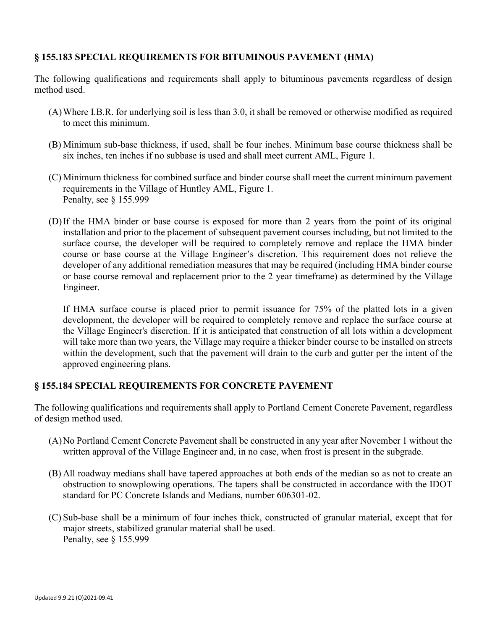# **§ 155.183 SPECIAL REQUIREMENTS FOR BITUMINOUS PAVEMENT (HMA)**

The following qualifications and requirements shall apply to bituminous pavements regardless of design method used.

- (A)Where I.B.R. for underlying soil is less than 3.0, it shall be removed or otherwise modified as required to meet this minimum.
- (B) Minimum sub-base thickness, if used, shall be four inches. Minimum base course thickness shall be six inches, ten inches if no subbase is used and shall meet current AML, Figure 1.
- (C) Minimum thickness for combined surface and binder course shall meet the current minimum pavement requirements in the Village of Huntley AML, Figure 1. Penalty, see § 155.999
- (D)If the HMA binder or base course is exposed for more than 2 years from the point of its original installation and prior to the placement of subsequent pavement courses including, but not limited to the surface course, the developer will be required to completely remove and replace the HMA binder course or base course at the Village Engineer's discretion. This requirement does not relieve the developer of any additional remediation measures that may be required (including HMA binder course or base course removal and replacement prior to the 2 year timeframe) as determined by the Village Engineer.

If HMA surface course is placed prior to permit issuance for 75% of the platted lots in a given development, the developer will be required to completely remove and replace the surface course at the Village Engineer's discretion. If it is anticipated that construction of all lots within a development will take more than two years, the Village may require a thicker binder course to be installed on streets within the development, such that the pavement will drain to the curb and gutter per the intent of the approved engineering plans.

# **§ 155.184 SPECIAL REQUIREMENTS FOR CONCRETE PAVEMENT**

The following qualifications and requirements shall apply to Portland Cement Concrete Pavement, regardless of design method used.

- (A)No Portland Cement Concrete Pavement shall be constructed in any year after November 1 without the written approval of the Village Engineer and, in no case, when frost is present in the subgrade.
- (B) All roadway medians shall have tapered approaches at both ends of the median so as not to create an obstruction to snowplowing operations. The tapers shall be constructed in accordance with the IDOT standard for PC Concrete Islands and Medians, number 606301-02.
- (C) Sub-base shall be a minimum of four inches thick, constructed of granular material, except that for major streets, stabilized granular material shall be used. Penalty, see § 155.999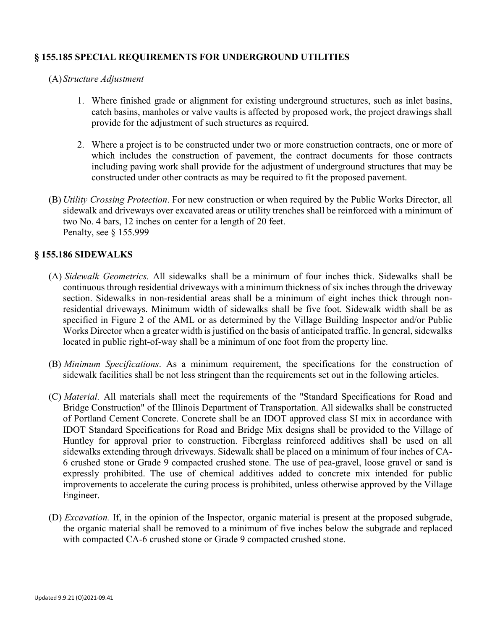### **§ 155.185 SPECIAL REQUIREMENTS FOR UNDERGROUND UTILITIES**

- (A)*Structure Adjustment*
	- 1. Where finished grade or alignment for existing underground structures, such as inlet basins, catch basins, manholes or valve vaults is affected by proposed work, the project drawings shall provide for the adjustment of such structures as required.
	- 2. Where a project is to be constructed under two or more construction contracts, one or more of which includes the construction of pavement, the contract documents for those contracts including paving work shall provide for the adjustment of underground structures that may be constructed under other contracts as may be required to fit the proposed pavement.
- (B) *Utility Crossing Protection*. For new construction or when required by the Public Works Director, all sidewalk and driveways over excavated areas or utility trenches shall be reinforced with a minimum of two No. 4 bars, 12 inches on center for a length of 20 feet. Penalty, see § 155.999

#### **§ 155.186 SIDEWALKS**

- (A) *Sidewalk Geometrics.* All sidewalks shall be a minimum of four inches thick. Sidewalks shall be continuous through residential driveways with a minimum thickness of six inches through the driveway section. Sidewalks in non-residential areas shall be a minimum of eight inches thick through nonresidential driveways. Minimum width of sidewalks shall be five foot. Sidewalk width shall be as specified in Figure 2 of the AML or as determined by the Village Building Inspector and/or Public Works Director when a greater width is justified on the basis of anticipated traffic. In general, sidewalks located in public right-of-way shall be a minimum of one foot from the property line.
- (B) *Minimum Specifications*. As a minimum requirement, the specifications for the construction of sidewalk facilities shall be not less stringent than the requirements set out in the following articles.
- (C) *Material.* All materials shall meet the requirements of the "Standard Specifications for Road and Bridge Construction" of the Illinois Department of Transportation. All sidewalks shall be constructed of Portland Cement Concrete. Concrete shall be an IDOT approved class SI mix in accordance with IDOT Standard Specifications for Road and Bridge Mix designs shall be provided to the Village of Huntley for approval prior to construction. Fiberglass reinforced additives shall be used on all sidewalks extending through driveways. Sidewalk shall be placed on a minimum of four inches of CA-6 crushed stone or Grade 9 compacted crushed stone. The use of pea-gravel, loose gravel or sand is expressly prohibited. The use of chemical additives added to concrete mix intended for public improvements to accelerate the curing process is prohibited, unless otherwise approved by the Village Engineer.
- (D) *Excavation.* If, in the opinion of the Inspector, organic material is present at the proposed subgrade, the organic material shall be removed to a minimum of five inches below the subgrade and replaced with compacted CA-6 crushed stone or Grade 9 compacted crushed stone.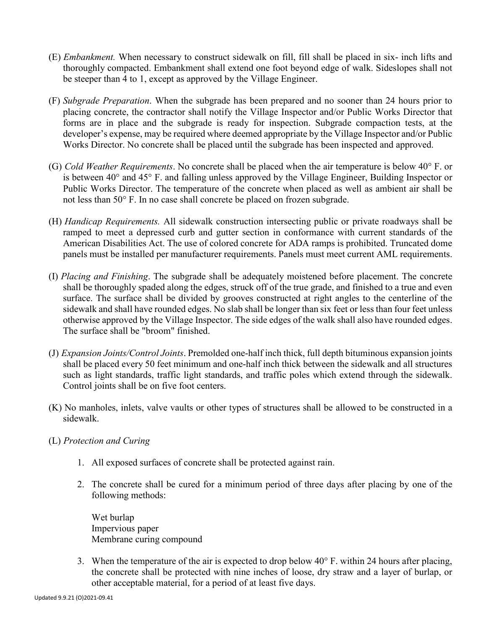- (E) *Embankment.* When necessary to construct sidewalk on fill, fill shall be placed in six- inch lifts and thoroughly compacted. Embankment shall extend one foot beyond edge of walk. Sideslopes shall not be steeper than 4 to 1, except as approved by the Village Engineer.
- (F) *Subgrade Preparation*. When the subgrade has been prepared and no sooner than 24 hours prior to placing concrete, the contractor shall notify the Village Inspector and/or Public Works Director that forms are in place and the subgrade is ready for inspection. Subgrade compaction tests, at the developer's expense, may be required where deemed appropriate by the Village Inspector and/or Public Works Director. No concrete shall be placed until the subgrade has been inspected and approved.
- (G) *Cold Weather Requirements*. No concrete shall be placed when the air temperature is below 40° F. or is between 40° and 45° F. and falling unless approved by the Village Engineer, Building Inspector or Public Works Director. The temperature of the concrete when placed as well as ambient air shall be not less than 50° F. In no case shall concrete be placed on frozen subgrade.
- (H) *Handicap Requirements.* All sidewalk construction intersecting public or private roadways shall be ramped to meet a depressed curb and gutter section in conformance with current standards of the American Disabilities Act. The use of colored concrete for ADA ramps is prohibited. Truncated dome panels must be installed per manufacturer requirements. Panels must meet current AML requirements.
- (I) *Placing and Finishing*. The subgrade shall be adequately moistened before placement. The concrete shall be thoroughly spaded along the edges, struck off of the true grade, and finished to a true and even surface. The surface shall be divided by grooves constructed at right angles to the centerline of the sidewalk and shall have rounded edges. No slab shall be longer than six feet or less than four feet unless otherwise approved by the Village Inspector. The side edges of the walk shall also have rounded edges. The surface shall be "broom" finished.
- (J) *Expansion Joints/Control Joints*. Premolded one-half inch thick, full depth bituminous expansion joints shall be placed every 50 feet minimum and one-half inch thick between the sidewalk and all structures such as light standards, traffic light standards, and traffic poles which extend through the sidewalk. Control joints shall be on five foot centers.
- (K) No manholes, inlets, valve vaults or other types of structures shall be allowed to be constructed in a sidewalk.
- (L) *Protection and Curing*
	- 1. All exposed surfaces of concrete shall be protected against rain.
	- 2. The concrete shall be cured for a minimum period of three days after placing by one of the following methods:

Wet burlap Impervious paper Membrane curing compound

3. When the temperature of the air is expected to drop below  $40^{\circ}$  F. within 24 hours after placing, the concrete shall be protected with nine inches of loose, dry straw and a layer of burlap, or other acceptable material, for a period of at least five days.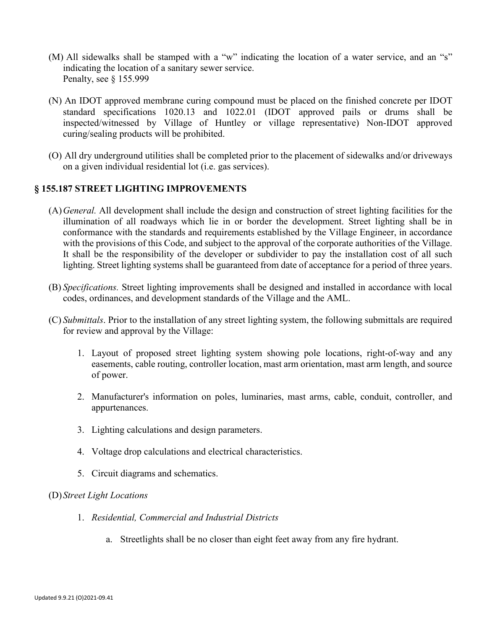- (M) All sidewalks shall be stamped with a "w" indicating the location of a water service, and an "s" indicating the location of a sanitary sewer service. Penalty, see § 155.999
- (N) An IDOT approved membrane curing compound must be placed on the finished concrete per IDOT standard specifications 1020.13 and 1022.01 (IDOT approved pails or drums shall be inspected/witnessed by Village of Huntley or village representative) Non-IDOT approved curing/sealing products will be prohibited.
- (O) All dry underground utilities shall be completed prior to the placement of sidewalks and/or driveways on a given individual residential lot (i.e. gas services).

#### **§ 155.187 STREET LIGHTING IMPROVEMENTS**

- (A)*General.* All development shall include the design and construction of street lighting facilities for the illumination of all roadways which lie in or border the development. Street lighting shall be in conformance with the standards and requirements established by the Village Engineer, in accordance with the provisions of this Code, and subject to the approval of the corporate authorities of the Village. It shall be the responsibility of the developer or subdivider to pay the installation cost of all such lighting. Street lighting systems shall be guaranteed from date of acceptance for a period of three years.
- (B) *Specifications.* Street lighting improvements shall be designed and installed in accordance with local codes, ordinances, and development standards of the Village and the AML.
- (C) *Submittals*. Prior to the installation of any street lighting system, the following submittals are required for review and approval by the Village:
	- 1. Layout of proposed street lighting system showing pole locations, right-of-way and any easements, cable routing, controller location, mast arm orientation, mast arm length, and source of power.
	- 2. Manufacturer's information on poles, luminaries, mast arms, cable, conduit, controller, and appurtenances.
	- 3. Lighting calculations and design parameters.
	- 4. Voltage drop calculations and electrical characteristics.
	- 5. Circuit diagrams and schematics.

#### (D)*Street Light Locations*

- 1. *Residential, Commercial and Industrial Districts*
	- a. Streetlights shall be no closer than eight feet away from any fire hydrant.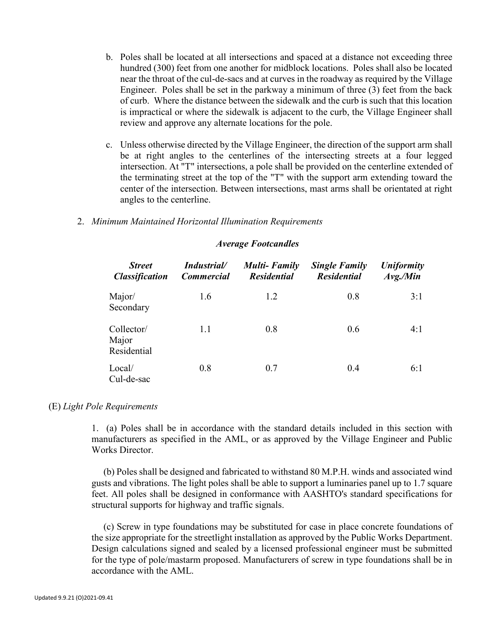- b. Poles shall be located at all intersections and spaced at a distance not exceeding three hundred (300) feet from one another for midblock locations. Poles shall also be located near the throat of the cul-de-sacs and at curves in the roadway as required by the Village Engineer. Poles shall be set in the parkway a minimum of three (3) feet from the back of curb. Where the distance between the sidewalk and the curb is such that this location is impractical or where the sidewalk is adjacent to the curb, the Village Engineer shall review and approve any alternate locations for the pole.
- c. Unless otherwise directed by the Village Engineer, the direction of the support arm shall be at right angles to the centerlines of the intersecting streets at a four legged intersection. At "T" intersections, a pole shall be provided on the centerline extended of the terminating street at the top of the "T" with the support arm extending toward the center of the intersection. Between intersections, mast arms shall be orientated at right angles to the centerline.

#### 2. *Minimum Maintained Horizontal Illumination Requirements*

#### *Average Footcandles*

| <b>Street</b><br><b>Classification</b> | Industrial/<br><b>Commercial</b> | <b>Multi-Family</b><br><b>Residential</b> | <b>Single Family</b><br><b>Residential</b> | <b>Uniformity</b><br>$Avg$ ./Min<br>3:1 |  |
|----------------------------------------|----------------------------------|-------------------------------------------|--------------------------------------------|-----------------------------------------|--|
| Major/<br>Secondary                    | 1.6                              | 1.2                                       | 0.8                                        |                                         |  |
| Collector/<br>Major<br>Residential     | 1.1<br>0.8                       |                                           | 0.6                                        | 4:1                                     |  |
| Local/<br>Cul-de-sac                   | 0.8                              | 0.7                                       | 0.4                                        | 6:1                                     |  |

#### (E) *Light Pole Requirements*

1. (a) Poles shall be in accordance with the standard details included in this section with manufacturers as specified in the AML, or as approved by the Village Engineer and Public Works Director.

(b) Poles shall be designed and fabricated to withstand 80 M.P.H. winds and associated wind gusts and vibrations. The light poles shall be able to support a luminaries panel up to 1.7 square feet. All poles shall be designed in conformance with AASHTO's standard specifications for structural supports for highway and traffic signals.

(c) Screw in type foundations may be substituted for case in place concrete foundations of the size appropriate for the streetlight installation as approved by the Public Works Department. Design calculations signed and sealed by a licensed professional engineer must be submitted for the type of pole/mastarm proposed. Manufacturers of screw in type foundations shall be in accordance with the AML.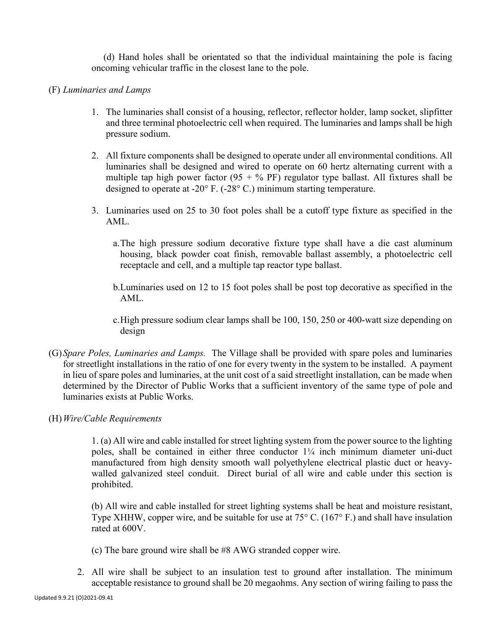(d) Hand holes shall be orientated so that the individual maintaining the pole is facing oncoming vehicular traffic in the closest lane to the pole.

#### (F) *Luminaries and Lamps*

- 1. The luminaries shall consist of a housing, reflector, reflector holder, lamp socket, slipfitter and three terminal photoelectric cell when required. The luminaries and lamps shall be high pressure sodium.
- 2. All fixture components shall be designed to operate under all environmental conditions. All luminaries shall be designed and wired to operate on 60 hertz alternating current with a multiple tap high power factor  $(95 + %$  PF) regulator type ballast. All fixtures shall be designed to operate at -20° F. (-28° C.) minimum starting temperature.
- 3. Luminaries used on 25 to 30 foot poles shall be a cutoff type fixture as specified in the AML.
	- a.The high pressure sodium decorative fixture type shall have a die cast aluminum housing, black powder coat finish, removable ballast assembly, a photoelectric cell receptacle and cell, and a multiple tap reactor type ballast.
	- b.Luminaries used on 12 to 15 foot poles shall be post top decorative as specified in the AML.
	- c.High pressure sodium clear lamps shall be 100, 150, 250 or 400-watt size depending on design
- (G)*Spare Poles, Luminaries and Lamps.* The Village shall be provided with spare poles and luminaries for streetlight installations in the ratio of one for every twenty in the system to be installed. A payment in lieu of spare poles and luminaries, at the unit cost of a said streetlight installation, can be made when determined by the Director of Public Works that a sufficient inventory of the same type of pole and luminaries exists at Public Works.
- (H)*Wire/Cable Requirements*

1. (a) All wire and cable installed for street lighting system from the power source to the lighting poles, shall be contained in either three conductor  $1/4$  inch minimum diameter uni-duct manufactured from high density smooth wall polyethylene electrical plastic duct or heavywalled galvanized steel conduit. Direct burial of all wire and cable under this section is prohibited.

(b) All wire and cable installed for street lighting systems shall be heat and moisture resistant, Type XHHW, copper wire, and be suitable for use at 75° C. (167° F.) and shall have insulation rated at 600V.

- (c) The bare ground wire shall be #8 AWG stranded copper wire.
- 2. All wire shall be subject to an insulation test to ground after installation. The minimum acceptable resistance to ground shall be 20 megaohms. Any section of wiring failing to pass the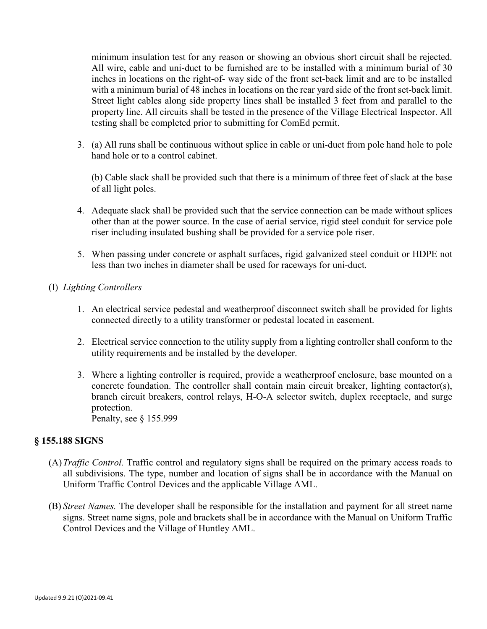minimum insulation test for any reason or showing an obvious short circuit shall be rejected. All wire, cable and uni-duct to be furnished are to be installed with a minimum burial of 30 inches in locations on the right-of- way side of the front set-back limit and are to be installed with a minimum burial of 48 inches in locations on the rear yard side of the front set-back limit. Street light cables along side property lines shall be installed 3 feet from and parallel to the property line. All circuits shall be tested in the presence of the Village Electrical Inspector. All testing shall be completed prior to submitting for ComEd permit.

3. (a) All runs shall be continuous without splice in cable or uni-duct from pole hand hole to pole hand hole or to a control cabinet.

(b) Cable slack shall be provided such that there is a minimum of three feet of slack at the base of all light poles.

- 4. Adequate slack shall be provided such that the service connection can be made without splices other than at the power source. In the case of aerial service, rigid steel conduit for service pole riser including insulated bushing shall be provided for a service pole riser.
- 5. When passing under concrete or asphalt surfaces, rigid galvanized steel conduit or HDPE not less than two inches in diameter shall be used for raceways for uni-duct.

# (I) *Lighting Controllers*

- 1. An electrical service pedestal and weatherproof disconnect switch shall be provided for lights connected directly to a utility transformer or pedestal located in easement.
- 2. Electrical service connection to the utility supply from a lighting controller shall conform to the utility requirements and be installed by the developer.
- 3. Where a lighting controller is required, provide a weatherproof enclosure, base mounted on a concrete foundation. The controller shall contain main circuit breaker, lighting contactor(s), branch circuit breakers, control relays, H-O-A selector switch, duplex receptacle, and surge protection. Penalty, see § 155.999

#### **§ 155.188 SIGNS**

- (A)*Traffic Control.* Traffic control and regulatory signs shall be required on the primary access roads to all subdivisions. The type, number and location of signs shall be in accordance with the Manual on Uniform Traffic Control Devices and the applicable Village AML.
- (B) *Street Names.* The developer shall be responsible for the installation and payment for all street name signs. Street name signs, pole and brackets shall be in accordance with the Manual on Uniform Traffic Control Devices and the Village of Huntley AML.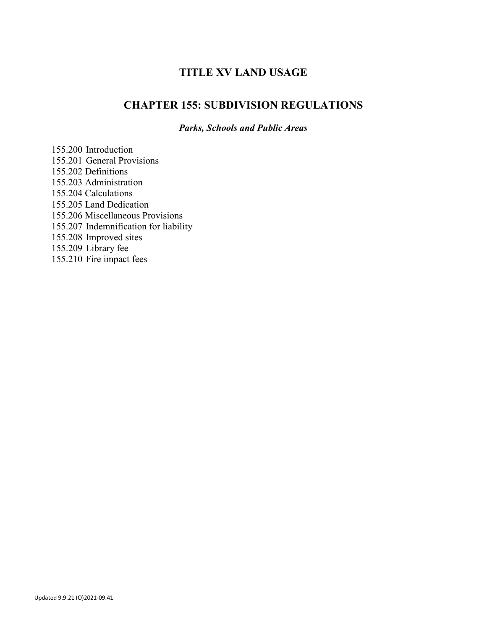# **TITLE XV LAND USAGE**

# **CHAPTER 155: SUBDIVISION REGULATIONS**

*Parks, Schools and Public Areas*

155.200 Introduction 155.201 General Provisions 155.202 Definitions 155.203 Administration 155.204 Calculations 155.205 Land Dedication 155.206 Miscellaneous Provisions 155.207 Indemnification for liability 155.208 Improved sites 155.209 Library fee 155.210 Fire impact fees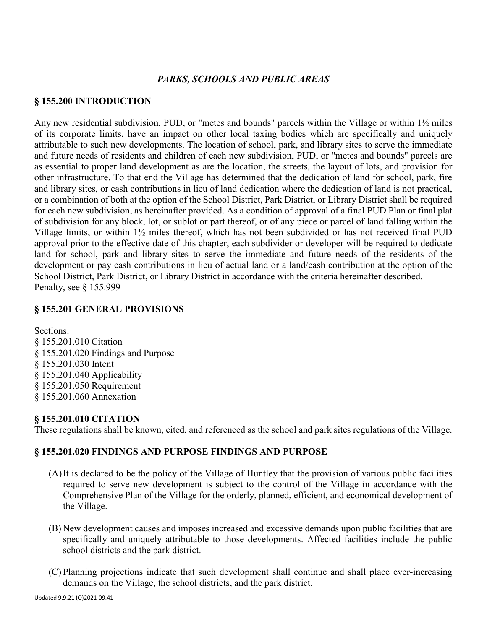#### *PARKS, SCHOOLS AND PUBLIC AREAS*

#### **§ 155.200 INTRODUCTION**

Any new residential subdivision, PUD, or "metes and bounds" parcels within the Village or within 1½ miles of its corporate limits, have an impact on other local taxing bodies which are specifically and uniquely attributable to such new developments. The location of school, park, and library sites to serve the immediate and future needs of residents and children of each new subdivision, PUD, or "metes and bounds" parcels are as essential to proper land development as are the location, the streets, the layout of lots, and provision for other infrastructure. To that end the Village has determined that the dedication of land for school, park, fire and library sites, or cash contributions in lieu of land dedication where the dedication of land is not practical, or a combination of both at the option of the School District, Park District, or Library District shall be required for each new subdivision, as hereinafter provided. As a condition of approval of a final PUD Plan or final plat of subdivision for any block, lot, or sublot or part thereof, or of any piece or parcel of land falling within the Village limits, or within 1½ miles thereof, which has not been subdivided or has not received final PUD approval prior to the effective date of this chapter, each subdivider or developer will be required to dedicate land for school, park and library sites to serve the immediate and future needs of the residents of the development or pay cash contributions in lieu of actual land or a land/cash contribution at the option of the School District, Park District, or Library District in accordance with the criteria hereinafter described. Penalty, see § 155.999

#### **§ 155.201 GENERAL PROVISIONS**

Sections: § 155.201.010 Citation § 155.201.020 Findings and Purpose § 155.201.030 Intent § 155.201.040 Applicability § 155.201.050 Requirement § 155.201.060 Annexation

#### **§ 155.201.010 CITATION**

These regulations shall be known, cited, and referenced as the school and park sites regulations of the Village.

#### **§ 155.201.020 FINDINGS AND PURPOSE FINDINGS AND PURPOSE**

- (A)It is declared to be the policy of the Village of Huntley that the provision of various public facilities required to serve new development is subject to the control of the Village in accordance with the Comprehensive Plan of the Village for the orderly, planned, efficient, and economical development of the Village.
- (B) New development causes and imposes increased and excessive demands upon public facilities that are specifically and uniquely attributable to those developments. Affected facilities include the public school districts and the park district.
- (C) Planning projections indicate that such development shall continue and shall place ever-increasing demands on the Village, the school districts, and the park district.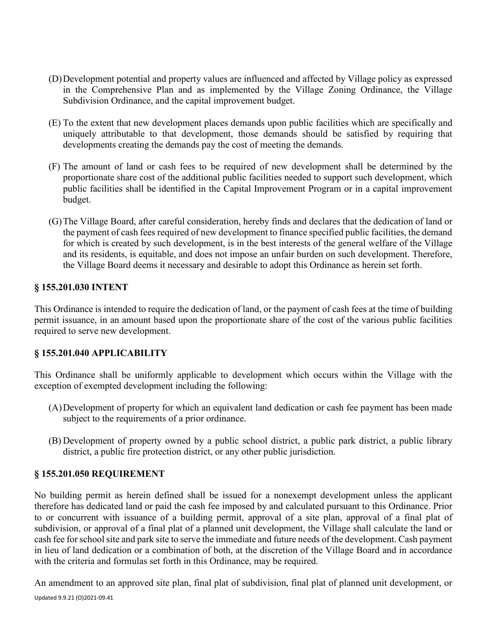- (D)Development potential and property values are influenced and affected by Village policy as expressed in the Comprehensive Plan and as implemented by the Village Zoning Ordinance, the Village Subdivision Ordinance, and the capital improvement budget.
- (E) To the extent that new development places demands upon public facilities which are specifically and uniquely attributable to that development, those demands should be satisfied by requiring that developments creating the demands pay the cost of meeting the demands.
- (F) The amount of land or cash fees to be required of new development shall be determined by the proportionate share cost of the additional public facilities needed to support such development, which public facilities shall be identified in the Capital Improvement Program or in a capital improvement budget.
- (G)The Village Board, after careful consideration, hereby finds and declares that the dedication of land or the payment of cash fees required of new development to finance specified public facilities, the demand for which is created by such development, is in the best interests of the general welfare of the Village and its residents, is equitable, and does not impose an unfair burden on such development. Therefore, the Village Board deems it necessary and desirable to adopt this Ordinance as herein set forth.

#### **§ 155.201.030 INTENT**

This Ordinance is intended to require the dedication of land, or the payment of cash fees at the time of building permit issuance, in an amount based upon the proportionate share of the cost of the various public facilities required to serve new development.

# **§ 155.201.040 APPLICABILITY**

This Ordinance shall be uniformly applicable to development which occurs within the Village with the exception of exempted development including the following:

- (A)Development of property for which an equivalent land dedication or cash fee payment has been made subject to the requirements of a prior ordinance.
- (B) Development of property owned by a public school district, a public park district, a public library district, a public fire protection district, or any other public jurisdiction.

#### **§ 155.201.050 REQUIREMENT**

No building permit as herein defined shall be issued for a nonexempt development unless the applicant therefore has dedicated land or paid the cash fee imposed by and calculated pursuant to this Ordinance. Prior to or concurrent with issuance of a building permit, approval of a site plan, approval of a final plat of subdivision, or approval of a final plat of a planned unit development, the Village shall calculate the land or cash fee for school site and park site to serve the immediate and future needs of the development. Cash payment in lieu of land dedication or a combination of both, at the discretion of the Village Board and in accordance with the criteria and formulas set forth in this Ordinance, may be required.

Updated 9.9.21 (O)2021-09.41 An amendment to an approved site plan, final plat of subdivision, final plat of planned unit development, or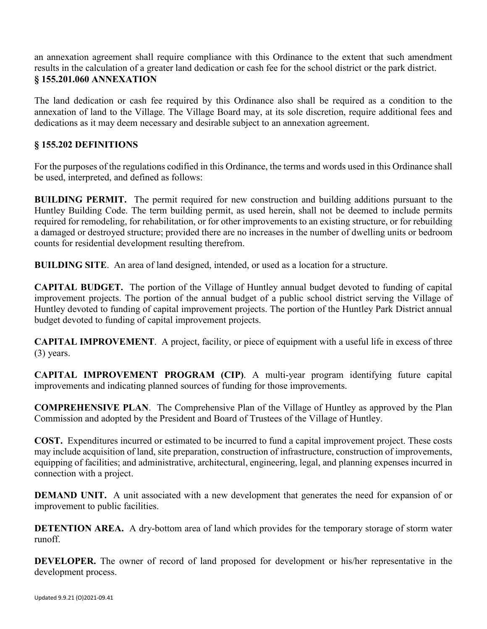an annexation agreement shall require compliance with this Ordinance to the extent that such amendment results in the calculation of a greater land dedication or cash fee for the school district or the park district. **§ 155.201.060 ANNEXATION**

The land dedication or cash fee required by this Ordinance also shall be required as a condition to the annexation of land to the Village. The Village Board may, at its sole discretion, require additional fees and dedications as it may deem necessary and desirable subject to an annexation agreement.

# **§ 155.202 DEFINITIONS**

For the purposes of the regulations codified in this Ordinance, the terms and words used in this Ordinance shall be used, interpreted, and defined as follows:

**BUILDING PERMIT.** The permit required for new construction and building additions pursuant to the Huntley Building Code. The term building permit, as used herein, shall not be deemed to include permits required for remodeling, for rehabilitation, or for other improvements to an existing structure, or for rebuilding a damaged or destroyed structure; provided there are no increases in the number of dwelling units or bedroom counts for residential development resulting therefrom.

**BUILDING SITE**. An area of land designed, intended, or used as a location for a structure.

**CAPITAL BUDGET.** The portion of the Village of Huntley annual budget devoted to funding of capital improvement projects. The portion of the annual budget of a public school district serving the Village of Huntley devoted to funding of capital improvement projects. The portion of the Huntley Park District annual budget devoted to funding of capital improvement projects.

**CAPITAL IMPROVEMENT**. A project, facility, or piece of equipment with a useful life in excess of three (3) years.

**CAPITAL IMPROVEMENT PROGRAM (CIP)**. A multi-year program identifying future capital improvements and indicating planned sources of funding for those improvements.

**COMPREHENSIVE PLAN**. The Comprehensive Plan of the Village of Huntley as approved by the Plan Commission and adopted by the President and Board of Trustees of the Village of Huntley.

**COST.** Expenditures incurred or estimated to be incurred to fund a capital improvement project. These costs may include acquisition of land, site preparation, construction of infrastructure, construction of improvements, equipping of facilities; and administrative, architectural, engineering, legal, and planning expenses incurred in connection with a project.

**DEMAND UNIT.** A unit associated with a new development that generates the need for expansion of or improvement to public facilities.

**DETENTION AREA.** A dry-bottom area of land which provides for the temporary storage of storm water runoff.

**DEVELOPER.** The owner of record of land proposed for development or his/her representative in the development process.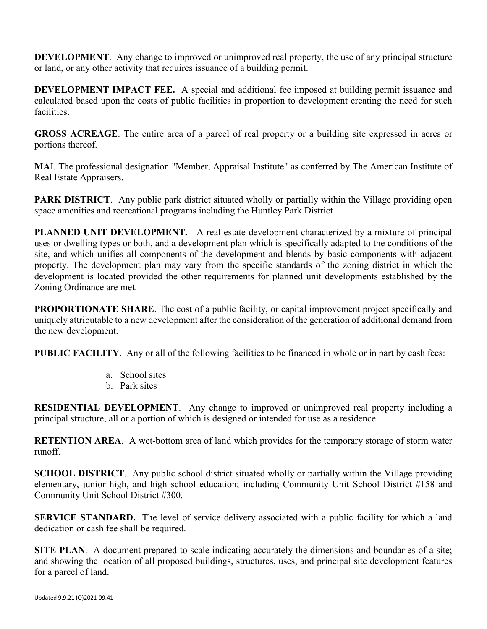**DEVELOPMENT**. Any change to improved or unimproved real property, the use of any principal structure or land, or any other activity that requires issuance of a building permit.

**DEVELOPMENT IMPACT FEE.** A special and additional fee imposed at building permit issuance and calculated based upon the costs of public facilities in proportion to development creating the need for such facilities.

**GROSS ACREAGE**. The entire area of a parcel of real property or a building site expressed in acres or portions thereof.

**MA**I. The professional designation "Member, Appraisal Institute" as conferred by The American Institute of Real Estate Appraisers.

**PARK DISTRICT.** Any public park district situated wholly or partially within the Village providing open space amenities and recreational programs including the Huntley Park District.

**PLANNED UNIT DEVELOPMENT.** A real estate development characterized by a mixture of principal uses or dwelling types or both, and a development plan which is specifically adapted to the conditions of the site, and which unifies all components of the development and blends by basic components with adjacent property. The development plan may vary from the specific standards of the zoning district in which the development is located provided the other requirements for planned unit developments established by the Zoning Ordinance are met.

**PROPORTIONATE SHARE**. The cost of a public facility, or capital improvement project specifically and uniquely attributable to a new development after the consideration of the generation of additional demand from the new development.

**PUBLIC FACILITY**. Any or all of the following facilities to be financed in whole or in part by cash fees:

- a. School sites
- b. Park sites

**RESIDENTIAL DEVELOPMENT**. Any change to improved or unimproved real property including a principal structure, all or a portion of which is designed or intended for use as a residence.

**RETENTION AREA**. A wet-bottom area of land which provides for the temporary storage of storm water runoff.

**SCHOOL DISTRICT.** Any public school district situated wholly or partially within the Village providing elementary, junior high, and high school education; including Community Unit School District #158 and Community Unit School District #300.

**SERVICE STANDARD.** The level of service delivery associated with a public facility for which a land dedication or cash fee shall be required.

**SITE PLAN**. A document prepared to scale indicating accurately the dimensions and boundaries of a site; and showing the location of all proposed buildings, structures, uses, and principal site development features for a parcel of land.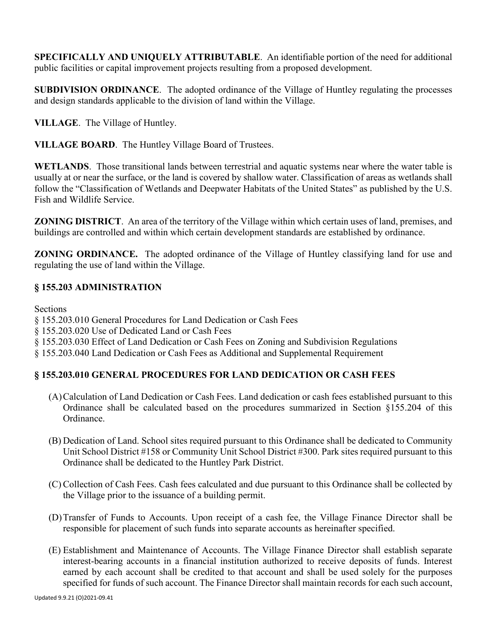**SPECIFICALLY AND UNIQUELY ATTRIBUTABLE**. An identifiable portion of the need for additional public facilities or capital improvement projects resulting from a proposed development.

**SUBDIVISION ORDINANCE**. The adopted ordinance of the Village of Huntley regulating the processes and design standards applicable to the division of land within the Village.

**VILLAGE**. The Village of Huntley.

**VILLAGE BOARD**. The Huntley Village Board of Trustees.

**WETLANDS**. Those transitional lands between terrestrial and aquatic systems near where the water table is usually at or near the surface, or the land is covered by shallow water. Classification of areas as wetlands shall follow the "Classification of Wetlands and Deepwater Habitats of the United States" as published by the U.S. Fish and Wildlife Service.

**ZONING DISTRICT**. An area of the territory of the Village within which certain uses of land, premises, and buildings are controlled and within which certain development standards are established by ordinance.

**ZONING ORDINANCE.** The adopted ordinance of the Village of Huntley classifying land for use and regulating the use of land within the Village.

# **§ 155.203 ADMINISTRATION**

**Sections** 

§ 155.203.010 General Procedures for Land Dedication or Cash Fees

§ 155.203.020 Use of Dedicated Land or Cash Fees

§ 155.203.030 Effect of Land Dedication or Cash Fees on Zoning and Subdivision Regulations

§ 155.203.040 Land Dedication or Cash Fees as Additional and Supplemental Requirement

# **§ 155.203.010 GENERAL PROCEDURES FOR LAND DEDICATION OR CASH FEES**

- (A)Calculation of Land Dedication or Cash Fees. Land dedication or cash fees established pursuant to this Ordinance shall be calculated based on the procedures summarized in Section §155.204 of this Ordinance.
- (B) Dedication of Land. School sites required pursuant to this Ordinance shall be dedicated to Community Unit School District #158 or Community Unit School District #300. Park sites required pursuant to this Ordinance shall be dedicated to the Huntley Park District.
- (C) Collection of Cash Fees. Cash fees calculated and due pursuant to this Ordinance shall be collected by the Village prior to the issuance of a building permit.
- (D)Transfer of Funds to Accounts. Upon receipt of a cash fee, the Village Finance Director shall be responsible for placement of such funds into separate accounts as hereinafter specified.
- (E) Establishment and Maintenance of Accounts. The Village Finance Director shall establish separate interest-bearing accounts in a financial institution authorized to receive deposits of funds. Interest earned by each account shall be credited to that account and shall be used solely for the purposes specified for funds of such account. The Finance Director shall maintain records for each such account,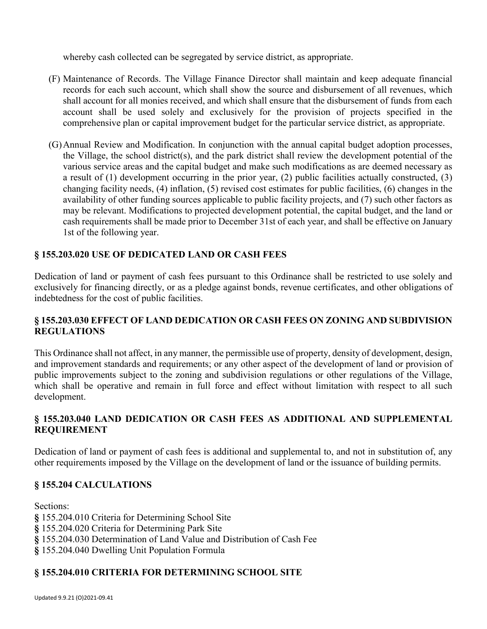whereby cash collected can be segregated by service district, as appropriate.

- (F) Maintenance of Records. The Village Finance Director shall maintain and keep adequate financial records for each such account, which shall show the source and disbursement of all revenues, which shall account for all monies received, and which shall ensure that the disbursement of funds from each account shall be used solely and exclusively for the provision of projects specified in the comprehensive plan or capital improvement budget for the particular service district, as appropriate.
- (G)Annual Review and Modification. In conjunction with the annual capital budget adoption processes, the Village, the school district(s), and the park district shall review the development potential of the various service areas and the capital budget and make such modifications as are deemed necessary as a result of (1) development occurring in the prior year, (2) public facilities actually constructed, (3) changing facility needs, (4) inflation, (5) revised cost estimates for public facilities, (6) changes in the availability of other funding sources applicable to public facility projects, and (7) such other factors as may be relevant. Modifications to projected development potential, the capital budget, and the land or cash requirements shall be made prior to December 31st of each year, and shall be effective on January 1st of the following year.

# **§ 155.203.020 USE OF DEDICATED LAND OR CASH FEES**

Dedication of land or payment of cash fees pursuant to this Ordinance shall be restricted to use solely and exclusively for financing directly, or as a pledge against bonds, revenue certificates, and other obligations of indebtedness for the cost of public facilities.

#### **§ 155.203.030 EFFECT OF LAND DEDICATION OR CASH FEES ON ZONING AND SUBDIVISION REGULATIONS**

This Ordinance shall not affect, in any manner, the permissible use of property, density of development, design, and improvement standards and requirements; or any other aspect of the development of land or provision of public improvements subject to the zoning and subdivision regulations or other regulations of the Village, which shall be operative and remain in full force and effect without limitation with respect to all such development.

# **§ 155.203.040 LAND DEDICATION OR CASH FEES AS ADDITIONAL AND SUPPLEMENTAL REQUIREMENT**

Dedication of land or payment of cash fees is additional and supplemental to, and not in substitution of, any other requirements imposed by the Village on the development of land or the issuance of building permits.

# **§ 155.204 CALCULATIONS**

Sections: **§** 155.204.010 Criteria for Determining School Site **§** 155.204.020 Criteria for Determining Park Site **§** 155.204.030 Determination of Land Value and Distribution of Cash Fee **§** 155.204.040 Dwelling Unit Population Formula

# **§ 155.204.010 CRITERIA FOR DETERMINING SCHOOL SITE**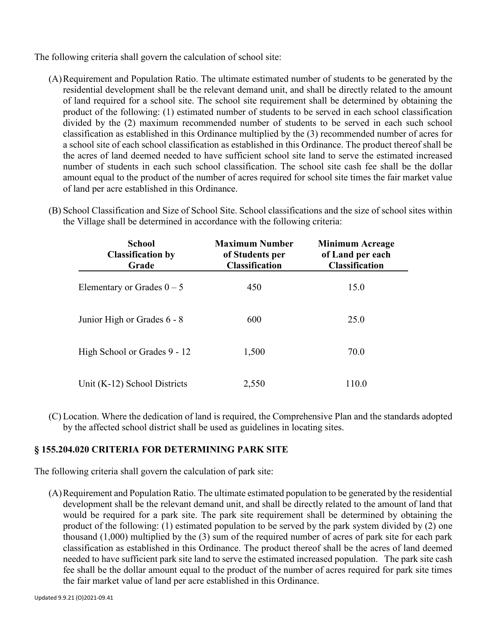The following criteria shall govern the calculation of school site:

(A)Requirement and Population Ratio. The ultimate estimated number of students to be generated by the residential development shall be the relevant demand unit, and shall be directly related to the amount of land required for a school site. The school site requirement shall be determined by obtaining the product of the following: (1) estimated number of students to be served in each school classification divided by the (2) maximum recommended number of students to be served in each such school classification as established in this Ordinance multiplied by the (3) recommended number of acres for a school site of each school classification as established in this Ordinance. The product thereof shall be the acres of land deemed needed to have sufficient school site land to serve the estimated increased number of students in each such school classification. The school site cash fee shall be the dollar amount equal to the product of the number of acres required for school site times the fair market value of land per acre established in this Ordinance.

| <b>School</b><br><b>Classification by</b><br>Grade | <b>Maximum Number</b><br>of Students per<br><b>Classification</b> | <b>Minimum Acreage</b><br>of Land per each<br><b>Classification</b> |
|----------------------------------------------------|-------------------------------------------------------------------|---------------------------------------------------------------------|
| Elementary or Grades $0 - 5$                       | 450                                                               | 15.0                                                                |
| Junior High or Grades 6 - 8                        | 600                                                               | 25.0                                                                |
| High School or Grades 9 - 12                       | 1,500                                                             | 70.0                                                                |
| Unit (K-12) School Districts                       | 2,550                                                             | 110.0                                                               |

(B) School Classification and Size of School Site. School classifications and the size of school sites within the Village shall be determined in accordance with the following criteria:

(C) Location. Where the dedication of land is required, the Comprehensive Plan and the standards adopted by the affected school district shall be used as guidelines in locating sites.

# **§ 155.204.020 CRITERIA FOR DETERMINING PARK SITE**

The following criteria shall govern the calculation of park site:

(A)Requirement and Population Ratio. The ultimate estimated population to be generated by the residential development shall be the relevant demand unit, and shall be directly related to the amount of land that would be required for a park site. The park site requirement shall be determined by obtaining the product of the following: (1) estimated population to be served by the park system divided by (2) one thousand (1,000) multiplied by the (3) sum of the required number of acres of park site for each park classification as established in this Ordinance. The product thereof shall be the acres of land deemed needed to have sufficient park site land to serve the estimated increased population. The park site cash fee shall be the dollar amount equal to the product of the number of acres required for park site times the fair market value of land per acre established in this Ordinance.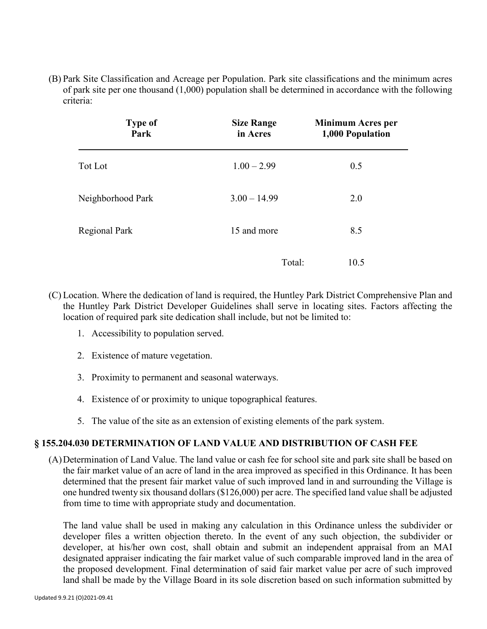(B) Park Site Classification and Acreage per Population. Park site classifications and the minimum acres of park site per one thousand (1,000) population shall be determined in accordance with the following criteria:

| <b>Type of</b><br>Park | <b>Size Range</b><br>in Acres | <b>Minimum Acres per</b><br>1,000 Population |
|------------------------|-------------------------------|----------------------------------------------|
| Tot Lot                | $1.00 - 2.99$                 | 0.5                                          |
| Neighborhood Park      | $3.00 - 14.99$                | 2.0                                          |
| <b>Regional Park</b>   | 15 and more                   | 8.5                                          |
|                        | Total:                        | 10.5                                         |

- (C) Location. Where the dedication of land is required, the Huntley Park District Comprehensive Plan and the Huntley Park District Developer Guidelines shall serve in locating sites. Factors affecting the location of required park site dedication shall include, but not be limited to:
	- 1. Accessibility to population served.
	- 2. Existence of mature vegetation.
	- 3. Proximity to permanent and seasonal waterways.
	- 4. Existence of or proximity to unique topographical features.
	- 5. The value of the site as an extension of existing elements of the park system.

# **§ 155.204.030 DETERMINATION OF LAND VALUE AND DISTRIBUTION OF CASH FEE**

(A)Determination of Land Value. The land value or cash fee for school site and park site shall be based on the fair market value of an acre of land in the area improved as specified in this Ordinance. It has been determined that the present fair market value of such improved land in and surrounding the Village is one hundred twenty six thousand dollars (\$126,000) per acre. The specified land value shall be adjusted from time to time with appropriate study and documentation.

The land value shall be used in making any calculation in this Ordinance unless the subdivider or developer files a written objection thereto. In the event of any such objection, the subdivider or developer, at his/her own cost, shall obtain and submit an independent appraisal from an MAI designated appraiser indicating the fair market value of such comparable improved land in the area of the proposed development. Final determination of said fair market value per acre of such improved land shall be made by the Village Board in its sole discretion based on such information submitted by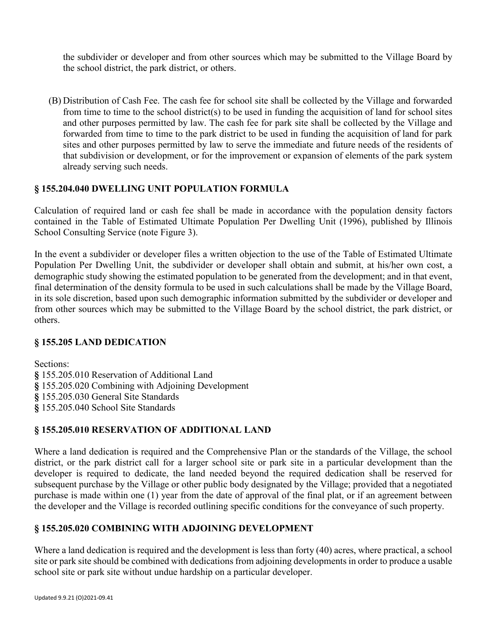the subdivider or developer and from other sources which may be submitted to the Village Board by the school district, the park district, or others.

(B) Distribution of Cash Fee. The cash fee for school site shall be collected by the Village and forwarded from time to time to the school district(s) to be used in funding the acquisition of land for school sites and other purposes permitted by law. The cash fee for park site shall be collected by the Village and forwarded from time to time to the park district to be used in funding the acquisition of land for park sites and other purposes permitted by law to serve the immediate and future needs of the residents of that subdivision or development, or for the improvement or expansion of elements of the park system already serving such needs.

# **§ 155.204.040 DWELLING UNIT POPULATION FORMULA**

Calculation of required land or cash fee shall be made in accordance with the population density factors contained in the Table of Estimated Ultimate Population Per Dwelling Unit (1996), published by Illinois School Consulting Service (note Figure 3).

In the event a subdivider or developer files a written objection to the use of the Table of Estimated Ultimate Population Per Dwelling Unit, the subdivider or developer shall obtain and submit, at his/her own cost, a demographic study showing the estimated population to be generated from the development; and in that event, final determination of the density formula to be used in such calculations shall be made by the Village Board, in its sole discretion, based upon such demographic information submitted by the subdivider or developer and from other sources which may be submitted to the Village Board by the school district, the park district, or others.

# **§ 155.205 LAND DEDICATION**

Sections:

**§** 155.205.010 Reservation of Additional Land **§** 155.205.020 Combining with Adjoining Development **§** 155.205.030 General Site Standards **§** 155.205.040 School Site Standards

# **§ 155.205.010 RESERVATION OF ADDITIONAL LAND**

Where a land dedication is required and the Comprehensive Plan or the standards of the Village, the school district, or the park district call for a larger school site or park site in a particular development than the developer is required to dedicate, the land needed beyond the required dedication shall be reserved for subsequent purchase by the Village or other public body designated by the Village; provided that a negotiated purchase is made within one (1) year from the date of approval of the final plat, or if an agreement between the developer and the Village is recorded outlining specific conditions for the conveyance of such property.

# **§ 155.205.020 COMBINING WITH ADJOINING DEVELOPMENT**

Where a land dedication is required and the development is less than forty (40) acres, where practical, a school site or park site should be combined with dedications from adjoining developments in order to produce a usable school site or park site without undue hardship on a particular developer.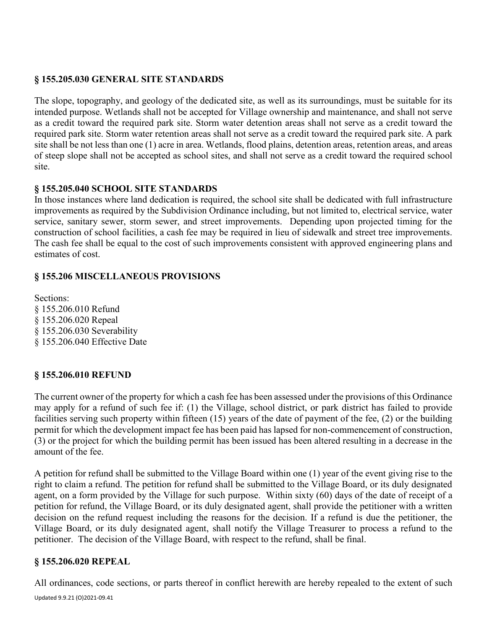# **§ 155.205.030 GENERAL SITE STANDARDS**

The slope, topography, and geology of the dedicated site, as well as its surroundings, must be suitable for its intended purpose. Wetlands shall not be accepted for Village ownership and maintenance, and shall not serve as a credit toward the required park site. Storm water detention areas shall not serve as a credit toward the required park site. Storm water retention areas shall not serve as a credit toward the required park site. A park site shall be not less than one (1) acre in area. Wetlands, flood plains, detention areas, retention areas, and areas of steep slope shall not be accepted as school sites, and shall not serve as a credit toward the required school site.

# **§ 155.205.040 SCHOOL SITE STANDARDS**

In those instances where land dedication is required, the school site shall be dedicated with full infrastructure improvements as required by the Subdivision Ordinance including, but not limited to, electrical service, water service, sanitary sewer, storm sewer, and street improvements. Depending upon projected timing for the construction of school facilities, a cash fee may be required in lieu of sidewalk and street tree improvements. The cash fee shall be equal to the cost of such improvements consistent with approved engineering plans and estimates of cost.

# **§ 155.206 MISCELLANEOUS PROVISIONS**

Sections: § 155.206.010 Refund § 155.206.020 Repeal § 155.206.030 Severability § 155.206.040 Effective Date

# **§ 155.206.010 REFUND**

The current owner of the property for which a cash fee has been assessed under the provisions of this Ordinance may apply for a refund of such fee if: (1) the Village, school district, or park district has failed to provide facilities serving such property within fifteen (15) years of the date of payment of the fee, (2) or the building permit for which the development impact fee has been paid has lapsed for non-commencement of construction, (3) or the project for which the building permit has been issued has been altered resulting in a decrease in the amount of the fee.

A petition for refund shall be submitted to the Village Board within one (1) year of the event giving rise to the right to claim a refund. The petition for refund shall be submitted to the Village Board, or its duly designated agent, on a form provided by the Village for such purpose. Within sixty (60) days of the date of receipt of a petition for refund, the Village Board, or its duly designated agent, shall provide the petitioner with a written decision on the refund request including the reasons for the decision. If a refund is due the petitioner, the Village Board, or its duly designated agent, shall notify the Village Treasurer to process a refund to the petitioner. The decision of the Village Board, with respect to the refund, shall be final.

# **§ 155.206.020 REPEAL**

Updated 9.9.21 (O)2021-09.41 All ordinances, code sections, or parts thereof in conflict herewith are hereby repealed to the extent of such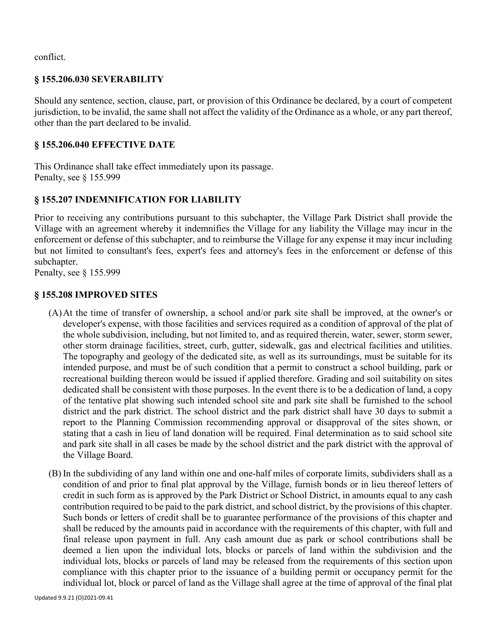conflict.

#### **§ 155.206.030 SEVERABILITY**

Should any sentence, section, clause, part, or provision of this Ordinance be declared, by a court of competent jurisdiction, to be invalid, the same shall not affect the validity of the Ordinance as a whole, or any part thereof, other than the part declared to be invalid.

#### **§ 155.206.040 EFFECTIVE DATE**

This Ordinance shall take effect immediately upon its passage. Penalty, see § 155.999

# **§ 155.207 INDEMNIFICATION FOR LIABILITY**

Prior to receiving any contributions pursuant to this subchapter, the Village Park District shall provide the Village with an agreement whereby it indemnifies the Village for any liability the Village may incur in the enforcement or defense of this subchapter, and to reimburse the Village for any expense it may incur including but not limited to consultant's fees, expert's fees and attorney's fees in the enforcement or defense of this subchapter.

Penalty, see § 155.999

#### **§ 155.208 IMPROVED SITES**

- (A)At the time of transfer of ownership, a school and/or park site shall be improved, at the owner's or developer's expense, with those facilities and services required as a condition of approval of the plat of the whole subdivision, including, but not limited to, and as required therein, water, sewer, storm sewer, other storm drainage facilities, street, curb, gutter, sidewalk, gas and electrical facilities and utilities. The topography and geology of the dedicated site, as well as its surroundings, must be suitable for its intended purpose, and must be of such condition that a permit to construct a school building, park or recreational building thereon would be issued if applied therefore. Grading and soil suitability on sites dedicated shall be consistent with those purposes. In the event there is to be a dedication of land, a copy of the tentative plat showing such intended school site and park site shall be furnished to the school district and the park district. The school district and the park district shall have 30 days to submit a report to the Planning Commission recommending approval or disapproval of the sites shown, or stating that a cash in lieu of land donation will be required. Final determination as to said school site and park site shall in all cases be made by the school district and the park district with the approval of the Village Board.
- (B) In the subdividing of any land within one and one-half miles of corporate limits, subdividers shall as a condition of and prior to final plat approval by the Village, furnish bonds or in lieu thereof letters of credit in such form as is approved by the Park District or School District, in amounts equal to any cash contribution required to be paid to the park district, and school district, by the provisions of this chapter. Such bonds or letters of credit shall be to guarantee performance of the provisions of this chapter and shall be reduced by the amounts paid in accordance with the requirements of this chapter, with full and final release upon payment in full. Any cash amount due as park or school contributions shall be deemed a lien upon the individual lots, blocks or parcels of land within the subdivision and the individual lots, blocks or parcels of land may be released from the requirements of this section upon compliance with this chapter prior to the issuance of a building permit or occupancy permit for the individual lot, block or parcel of land as the Village shall agree at the time of approval of the final plat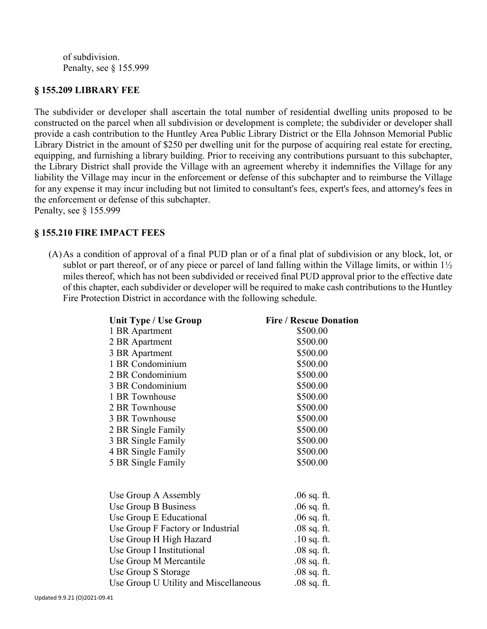of subdivision. Penalty, see § 155.999

#### **§ 155.209 LIBRARY FEE**

The subdivider or developer shall ascertain the total number of residential dwelling units proposed to be constructed on the parcel when all subdivision or development is complete; the subdivider or developer shall provide a cash contribution to the Huntley Area Public Library District or the Ella Johnson Memorial Public Library District in the amount of \$250 per dwelling unit for the purpose of acquiring real estate for erecting, equipping, and furnishing a library building. Prior to receiving any contributions pursuant to this subchapter, the Library District shall provide the Village with an agreement whereby it indemnifies the Village for any liability the Village may incur in the enforcement or defense of this subchapter and to reimburse the Village for any expense it may incur including but not limited to consultant's fees, expert's fees, and attorney's fees in the enforcement or defense of this subchapter. Penalty, see § 155.999

#### **§ 155.210 FIRE IMPACT FEES**

(A)As a condition of approval of a final PUD plan or of a final plat of subdivision or any block, lot, or sublot or part thereof, or of any piece or parcel of land falling within the Village limits, or within  $1\frac{1}{2}$ miles thereof, which has not been subdivided or received final PUD approval prior to the effective date of this chapter, each subdivider or developer will be required to make cash contributions to the Huntley Fire Protection District in accordance with the following schedule.

| <b>Unit Type / Use Group</b>          | <b>Fire / Rescue Donation</b> |
|---------------------------------------|-------------------------------|
| 1 BR Apartment                        | \$500.00                      |
| 2 BR Apartment                        | \$500.00                      |
| 3 BR Apartment                        | \$500.00                      |
| 1 BR Condominium                      | \$500.00                      |
| 2 BR Condominium                      | \$500.00                      |
| 3 BR Condominium                      | \$500.00                      |
| 1 BR Townhouse                        | \$500.00                      |
| 2 BR Townhouse                        | \$500.00                      |
| 3 BR Townhouse                        | \$500.00                      |
| 2 BR Single Family                    | \$500.00                      |
| 3 BR Single Family                    | \$500.00                      |
| 4 BR Single Family                    | \$500.00                      |
| 5 BR Single Family                    | \$500.00                      |
|                                       |                               |
| Use Group A Assembly                  | $.06$ sq. ft.                 |
| Use Group B Business                  | .06 sq. ft.                   |
| Use Group E Educational               | $.06$ sq. ft.                 |
| Use Group F Factory or Industrial     | $.08$ sq. ft.                 |
| Use Group H High Hazard               | $.10$ sq. ft.                 |
| Use Group I Institutional             | $.08$ sq. ft.                 |
| Use Group M Mercantile                | $.08$ sq. ft.                 |
| Use Group S Storage                   | $.08$ sq. ft.                 |
| Use Group U Utility and Miscellaneous | .08 sq. ft.                   |
|                                       |                               |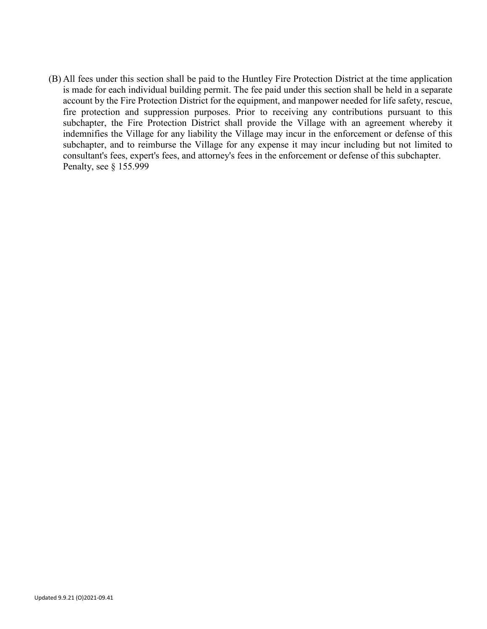(B) All fees under this section shall be paid to the Huntley Fire Protection District at the time application is made for each individual building permit. The fee paid under this section shall be held in a separate account by the Fire Protection District for the equipment, and manpower needed for life safety, rescue, fire protection and suppression purposes. Prior to receiving any contributions pursuant to this subchapter, the Fire Protection District shall provide the Village with an agreement whereby it indemnifies the Village for any liability the Village may incur in the enforcement or defense of this subchapter, and to reimburse the Village for any expense it may incur including but not limited to consultant's fees, expert's fees, and attorney's fees in the enforcement or defense of this subchapter. Penalty, see § 155.999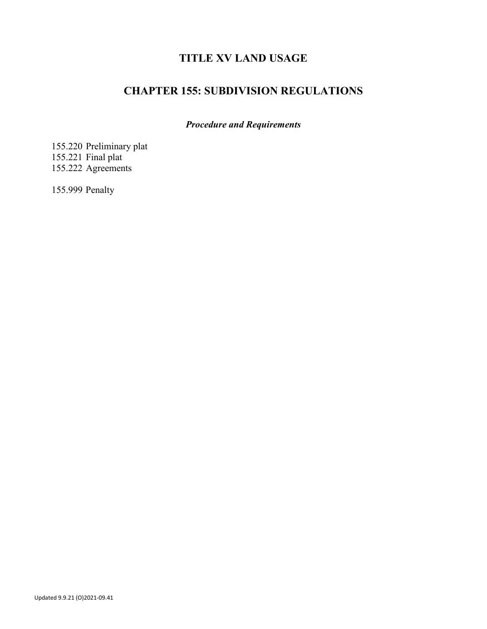# **TITLE XV LAND USAGE**

# **CHAPTER 155: SUBDIVISION REGULATIONS**

*Procedure and Requirements*

155.220 Preliminary plat 155.221 Final plat 155.222 Agreements

155.999 Penalty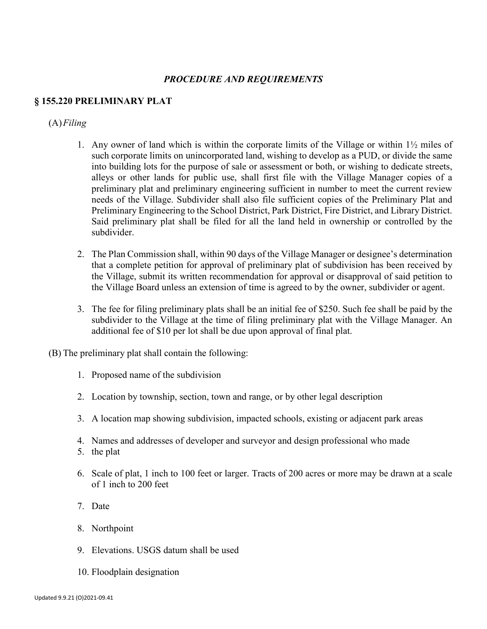#### *PROCEDURE AND REQUIREMENTS*

#### **§ 155.220 PRELIMINARY PLAT**

#### (A)*Filing*

- 1. Any owner of land which is within the corporate limits of the Village or within 1½ miles of such corporate limits on unincorporated land, wishing to develop as a PUD, or divide the same into building lots for the purpose of sale or assessment or both, or wishing to dedicate streets, alleys or other lands for public use, shall first file with the Village Manager copies of a preliminary plat and preliminary engineering sufficient in number to meet the current review needs of the Village. Subdivider shall also file sufficient copies of the Preliminary Plat and Preliminary Engineering to the School District, Park District, Fire District, and Library District. Said preliminary plat shall be filed for all the land held in ownership or controlled by the subdivider.
- 2. The Plan Commission shall, within 90 days of the Village Manager or designee's determination that a complete petition for approval of preliminary plat of subdivision has been received by the Village, submit its written recommendation for approval or disapproval of said petition to the Village Board unless an extension of time is agreed to by the owner, subdivider or agent.
- 3. The fee for filing preliminary plats shall be an initial fee of \$250. Such fee shall be paid by the subdivider to the Village at the time of filing preliminary plat with the Village Manager. An additional fee of \$10 per lot shall be due upon approval of final plat.
- (B) The preliminary plat shall contain the following:
	- 1. Proposed name of the subdivision
	- 2. Location by township, section, town and range, or by other legal description
	- 3. A location map showing subdivision, impacted schools, existing or adjacent park areas
	- 4. Names and addresses of developer and surveyor and design professional who made
	- 5. the plat
	- 6. Scale of plat, 1 inch to 100 feet or larger. Tracts of 200 acres or more may be drawn at a scale of 1 inch to 200 feet
	- 7. Date
	- 8. Northpoint
	- 9. Elevations. USGS datum shall be used
	- 10. Floodplain designation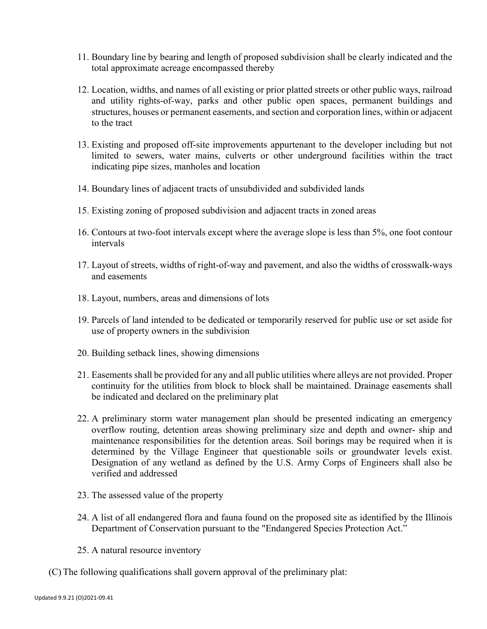- 11. Boundary line by bearing and length of proposed subdivision shall be clearly indicated and the total approximate acreage encompassed thereby
- 12. Location, widths, and names of all existing or prior platted streets or other public ways, railroad and utility rights-of-way, parks and other public open spaces, permanent buildings and structures, houses or permanent easements, and section and corporation lines, within or adjacent to the tract
- 13. Existing and proposed off-site improvements appurtenant to the developer including but not limited to sewers, water mains, culverts or other underground facilities within the tract indicating pipe sizes, manholes and location
- 14. Boundary lines of adjacent tracts of unsubdivided and subdivided lands
- 15. Existing zoning of proposed subdivision and adjacent tracts in zoned areas
- 16. Contours at two-foot intervals except where the average slope is less than 5%, one foot contour intervals
- 17. Layout of streets, widths of right-of-way and pavement, and also the widths of crosswalk-ways and easements
- 18. Layout, numbers, areas and dimensions of lots
- 19. Parcels of land intended to be dedicated or temporarily reserved for public use or set aside for use of property owners in the subdivision
- 20. Building setback lines, showing dimensions
- 21. Easements shall be provided for any and all public utilities where alleys are not provided. Proper continuity for the utilities from block to block shall be maintained. Drainage easements shall be indicated and declared on the preliminary plat
- 22. A preliminary storm water management plan should be presented indicating an emergency overflow routing, detention areas showing preliminary size and depth and owner- ship and maintenance responsibilities for the detention areas. Soil borings may be required when it is determined by the Village Engineer that questionable soils or groundwater levels exist. Designation of any wetland as defined by the U.S. Army Corps of Engineers shall also be verified and addressed
- 23. The assessed value of the property
- 24. A list of all endangered flora and fauna found on the proposed site as identified by the Illinois Department of Conservation pursuant to the "Endangered Species Protection Act."
- 25. A natural resource inventory
- (C) The following qualifications shall govern approval of the preliminary plat: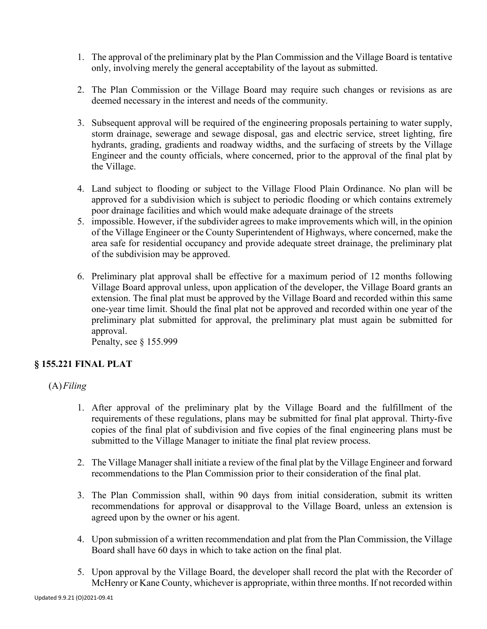- 1. The approval of the preliminary plat by the Plan Commission and the Village Board is tentative only, involving merely the general acceptability of the layout as submitted.
- 2. The Plan Commission or the Village Board may require such changes or revisions as are deemed necessary in the interest and needs of the community.
- 3. Subsequent approval will be required of the engineering proposals pertaining to water supply, storm drainage, sewerage and sewage disposal, gas and electric service, street lighting, fire hydrants, grading, gradients and roadway widths, and the surfacing of streets by the Village Engineer and the county officials, where concerned, prior to the approval of the final plat by the Village.
- 4. Land subject to flooding or subject to the Village Flood Plain Ordinance. No plan will be approved for a subdivision which is subject to periodic flooding or which contains extremely poor drainage facilities and which would make adequate drainage of the streets
- 5. impossible. However, if the subdivider agrees to make improvements which will, in the opinion of the Village Engineer or the County Superintendent of Highways, where concerned, make the area safe for residential occupancy and provide adequate street drainage, the preliminary plat of the subdivision may be approved.
- 6. Preliminary plat approval shall be effective for a maximum period of 12 months following Village Board approval unless, upon application of the developer, the Village Board grants an extension. The final plat must be approved by the Village Board and recorded within this same one-year time limit. Should the final plat not be approved and recorded within one year of the preliminary plat submitted for approval, the preliminary plat must again be submitted for approval.

Penalty, see § 155.999

# **§ 155.221 FINAL PLAT**

(A)*Filing*

- 1. After approval of the preliminary plat by the Village Board and the fulfillment of the requirements of these regulations, plans may be submitted for final plat approval. Thirty-five copies of the final plat of subdivision and five copies of the final engineering plans must be submitted to the Village Manager to initiate the final plat review process.
- 2. The Village Manager shall initiate a review of the final plat by the Village Engineer and forward recommendations to the Plan Commission prior to their consideration of the final plat.
- 3. The Plan Commission shall, within 90 days from initial consideration, submit its written recommendations for approval or disapproval to the Village Board, unless an extension is agreed upon by the owner or his agent.
- 4. Upon submission of a written recommendation and plat from the Plan Commission, the Village Board shall have 60 days in which to take action on the final plat.
- 5. Upon approval by the Village Board, the developer shall record the plat with the Recorder of McHenry or Kane County, whichever is appropriate, within three months. If not recorded within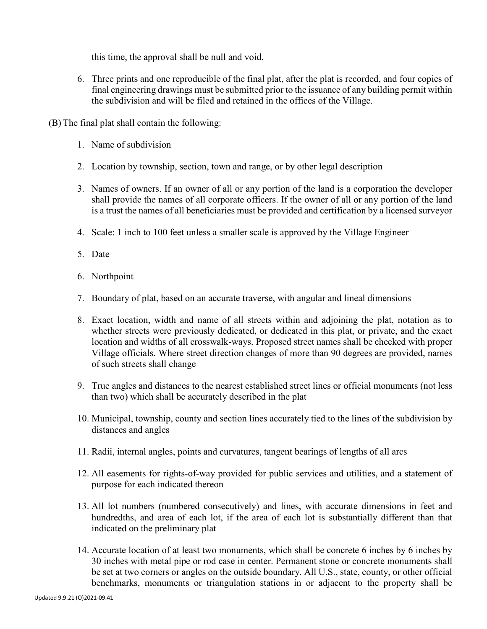this time, the approval shall be null and void.

- 6. Three prints and one reproducible of the final plat, after the plat is recorded, and four copies of final engineering drawings must be submitted prior to the issuance of any building permit within the subdivision and will be filed and retained in the offices of the Village.
- (B) The final plat shall contain the following:
	- 1. Name of subdivision
	- 2. Location by township, section, town and range, or by other legal description
	- 3. Names of owners. If an owner of all or any portion of the land is a corporation the developer shall provide the names of all corporate officers. If the owner of all or any portion of the land is a trust the names of all beneficiaries must be provided and certification by a licensed surveyor
	- 4. Scale: 1 inch to 100 feet unless a smaller scale is approved by the Village Engineer
	- 5. Date
	- 6. Northpoint
	- 7. Boundary of plat, based on an accurate traverse, with angular and lineal dimensions
	- 8. Exact location, width and name of all streets within and adjoining the plat, notation as to whether streets were previously dedicated, or dedicated in this plat, or private, and the exact location and widths of all crosswalk-ways. Proposed street names shall be checked with proper Village officials. Where street direction changes of more than 90 degrees are provided, names of such streets shall change
	- 9. True angles and distances to the nearest established street lines or official monuments (not less than two) which shall be accurately described in the plat
	- 10. Municipal, township, county and section lines accurately tied to the lines of the subdivision by distances and angles
	- 11. Radii, internal angles, points and curvatures, tangent bearings of lengths of all arcs
	- 12. All easements for rights-of-way provided for public services and utilities, and a statement of purpose for each indicated thereon
	- 13. All lot numbers (numbered consecutively) and lines, with accurate dimensions in feet and hundredths, and area of each lot, if the area of each lot is substantially different than that indicated on the preliminary plat
	- 14. Accurate location of at least two monuments, which shall be concrete 6 inches by 6 inches by 30 inches with metal pipe or rod case in center. Permanent stone or concrete monuments shall be set at two corners or angles on the outside boundary. All U.S., state, county, or other official benchmarks, monuments or triangulation stations in or adjacent to the property shall be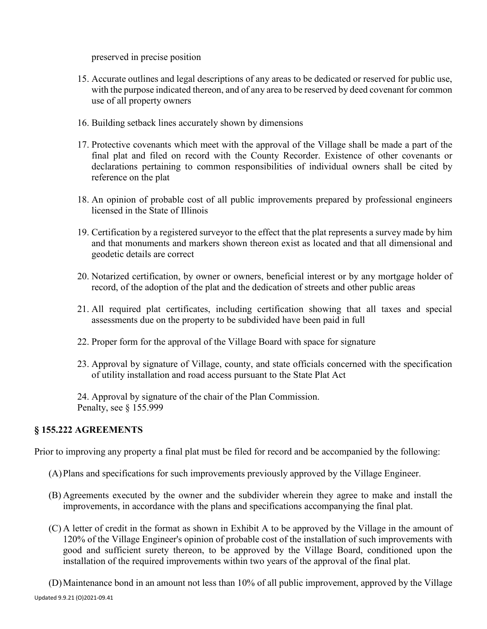preserved in precise position

- 15. Accurate outlines and legal descriptions of any areas to be dedicated or reserved for public use, with the purpose indicated thereon, and of any area to be reserved by deed covenant for common use of all property owners
- 16. Building setback lines accurately shown by dimensions
- 17. Protective covenants which meet with the approval of the Village shall be made a part of the final plat and filed on record with the County Recorder. Existence of other covenants or declarations pertaining to common responsibilities of individual owners shall be cited by reference on the plat
- 18. An opinion of probable cost of all public improvements prepared by professional engineers licensed in the State of Illinois
- 19. Certification by a registered surveyor to the effect that the plat represents a survey made by him and that monuments and markers shown thereon exist as located and that all dimensional and geodetic details are correct
- 20. Notarized certification, by owner or owners, beneficial interest or by any mortgage holder of record, of the adoption of the plat and the dedication of streets and other public areas
- 21. All required plat certificates, including certification showing that all taxes and special assessments due on the property to be subdivided have been paid in full
- 22. Proper form for the approval of the Village Board with space for signature
- 23. Approval by signature of Village, county, and state officials concerned with the specification of utility installation and road access pursuant to the State Plat Act
- 24. Approval by signature of the chair of the Plan Commission. Penalty, see § 155.999

# **§ 155.222 AGREEMENTS**

Prior to improving any property a final plat must be filed for record and be accompanied by the following:

- (A)Plans and specifications for such improvements previously approved by the Village Engineer.
- (B) Agreements executed by the owner and the subdivider wherein they agree to make and install the improvements, in accordance with the plans and specifications accompanying the final plat.
- (C) A letter of credit in the format as shown in Exhibit A to be approved by the Village in the amount of 120% of the Village Engineer's opinion of probable cost of the installation of such improvements with good and sufficient surety thereon, to be approved by the Village Board, conditioned upon the installation of the required improvements within two years of the approval of the final plat.

Updated 9.9.21 (O)2021-09.41 (D)Maintenance bond in an amount not less than 10% of all public improvement, approved by the Village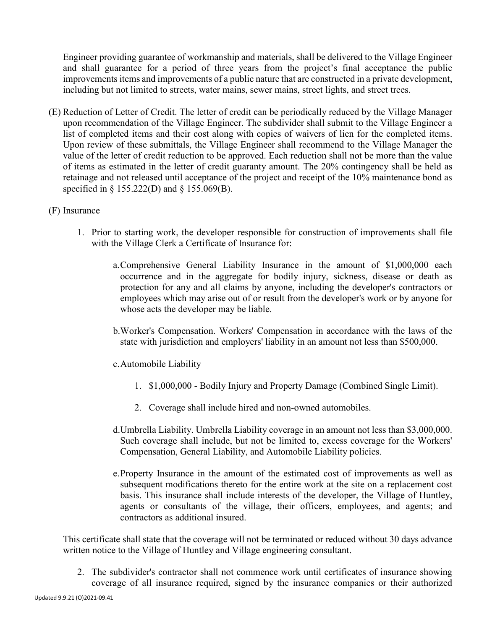Engineer providing guarantee of workmanship and materials, shall be delivered to the Village Engineer and shall guarantee for a period of three years from the project's final acceptance the public improvements items and improvements of a public nature that are constructed in a private development, including but not limited to streets, water mains, sewer mains, street lights, and street trees.

- (E) Reduction of Letter of Credit. The letter of credit can be periodically reduced by the Village Manager upon recommendation of the Village Engineer. The subdivider shall submit to the Village Engineer a list of completed items and their cost along with copies of waivers of lien for the completed items. Upon review of these submittals, the Village Engineer shall recommend to the Village Manager the value of the letter of credit reduction to be approved. Each reduction shall not be more than the value of items as estimated in the letter of credit guaranty amount. The 20% contingency shall be held as retainage and not released until acceptance of the project and receipt of the 10% maintenance bond as specified in § 155.222(D) and § 155.069(B).
- (F) Insurance
	- 1. Prior to starting work, the developer responsible for construction of improvements shall file with the Village Clerk a Certificate of Insurance for:
		- a.Comprehensive General Liability Insurance in the amount of \$1,000,000 each occurrence and in the aggregate for bodily injury, sickness, disease or death as protection for any and all claims by anyone, including the developer's contractors or employees which may arise out of or result from the developer's work or by anyone for whose acts the developer may be liable.
		- b.Worker's Compensation. Workers' Compensation in accordance with the laws of the state with jurisdiction and employers' liability in an amount not less than \$500,000.
		- c.Automobile Liability
			- 1. \$1,000,000 Bodily Injury and Property Damage (Combined Single Limit).
			- 2. Coverage shall include hired and non-owned automobiles.
		- d.Umbrella Liability. Umbrella Liability coverage in an amount not less than \$3,000,000. Such coverage shall include, but not be limited to, excess coverage for the Workers' Compensation, General Liability, and Automobile Liability policies.
		- e.Property Insurance in the amount of the estimated cost of improvements as well as subsequent modifications thereto for the entire work at the site on a replacement cost basis. This insurance shall include interests of the developer, the Village of Huntley, agents or consultants of the village, their officers, employees, and agents; and contractors as additional insured.

This certificate shall state that the coverage will not be terminated or reduced without 30 days advance written notice to the Village of Huntley and Village engineering consultant.

2. The subdivider's contractor shall not commence work until certificates of insurance showing coverage of all insurance required, signed by the insurance companies or their authorized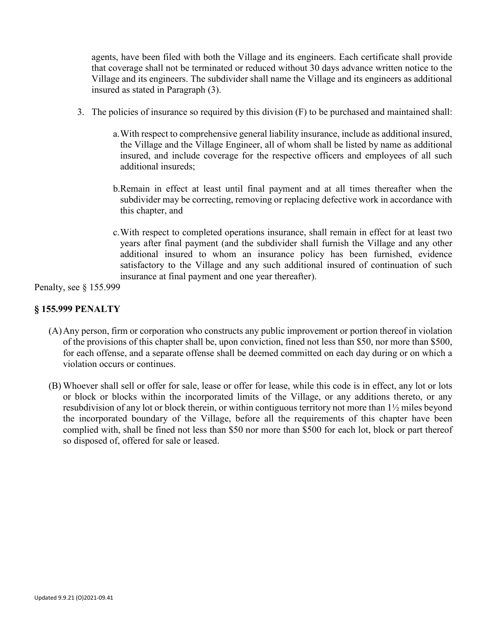agents, have been filed with both the Village and its engineers. Each certificate shall provide that coverage shall not be terminated or reduced without 30 days advance written notice to the Village and its engineers. The subdivider shall name the Village and its engineers as additional insured as stated in Paragraph (3).

- 3. The policies of insurance so required by this division (F) to be purchased and maintained shall:
	- a.With respect to comprehensive general liability insurance, include as additional insured, the Village and the Village Engineer, all of whom shall be listed by name as additional insured, and include coverage for the respective officers and employees of all such additional insureds;
	- b.Remain in effect at least until final payment and at all times thereafter when the subdivider may be correcting, removing or replacing defective work in accordance with this chapter, and
	- c.With respect to completed operations insurance, shall remain in effect for at least two years after final payment (and the subdivider shall furnish the Village and any other additional insured to whom an insurance policy has been furnished, evidence satisfactory to the Village and any such additional insured of continuation of such insurance at final payment and one year thereafter).

Penalty, see § 155.999

# **§ 155.999 PENALTY**

- (A)Any person, firm or corporation who constructs any public improvement or portion thereof in violation of the provisions of this chapter shall be, upon conviction, fined not less than \$50, nor more than \$500, for each offense, and a separate offense shall be deemed committed on each day during or on which a violation occurs or continues.
- (B) Whoever shall sell or offer for sale, lease or offer for lease, while this code is in effect, any lot or lots or block or blocks within the incorporated limits of the Village, or any additions thereto, or any resubdivision of any lot or block therein, or within contiguous territory not more than 1½ miles beyond the incorporated boundary of the Village, before all the requirements of this chapter have been complied with, shall be fined not less than \$50 nor more than \$500 for each lot, block or part thereof so disposed of, offered for sale or leased.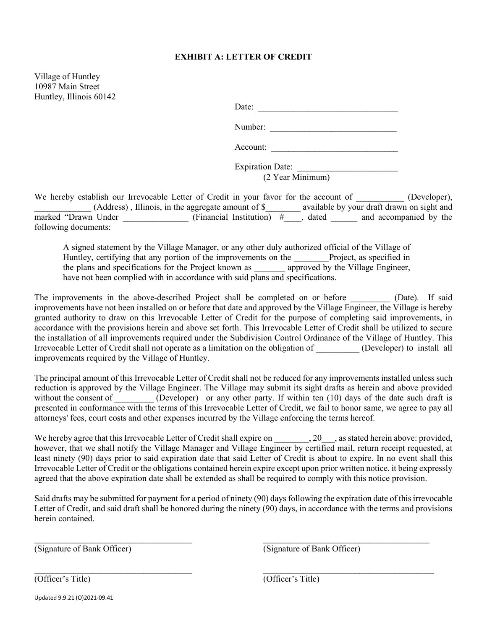#### **EXHIBIT A: LETTER OF CREDIT**

Village of Huntley 10987 Main Street Huntley, Illinois 60142

Date: \_\_\_\_\_\_\_\_\_\_\_\_\_\_\_\_\_\_\_\_\_\_\_\_\_\_\_\_\_\_\_\_

| Number: |  |  |  |
|---------|--|--|--|
|         |  |  |  |

Account:

Expiration Date: (2 Year Minimum)

We hereby establish our Irrevocable Letter of Credit in your favor for the account of \_\_\_\_\_\_\_\_\_\_ (Developer), \_\_\_\_\_\_\_\_\_\_\_\_\_ (Address) , Illinois, in the aggregate amount of \$\_\_\_\_\_\_\_\_ available by your draft drawn on sight and marked "Drawn Under \_\_\_\_\_\_\_\_\_\_\_\_\_\_\_ (Financial Institution)  $\#$  dated and accompanied by the following documents:

A signed statement by the Village Manager, or any other duly authorized official of the Village of Huntley, certifying that any portion of the improvements on the Project, as specified in the plans and specifications for the Project known as **approved by the Village Engineer**, have not been complied with in accordance with said plans and specifications.

The improvements in the above-described Project shall be completed on or before \_\_\_\_\_\_\_\_\_\_ (Date). If said improvements have not been installed on or before that date and approved by the Village Engineer, the Village is hereby granted authority to draw on this Irrevocable Letter of Credit for the purpose of completing said improvements, in accordance with the provisions herein and above set forth. This Irrevocable Letter of Credit shall be utilized to secure the installation of all improvements required under the Subdivision Control Ordinance of the Village of Huntley. This Irrevocable Letter of Credit shall not operate as a limitation on the obligation of \_\_\_\_\_\_\_\_\_\_ (Developer) to install all improvements required by the Village of Huntley.

The principal amount of this Irrevocable Letter of Credit shall not be reduced for any improvements installed unless such reduction is approved by the Village Engineer. The Village may submit its sight drafts as herein and above provided without the consent of \_\_\_\_\_\_\_\_ (Developer) or any other party. If within ten (10) days of the date such draft is presented in conformance with the terms of this Irrevocable Letter of Credit, we fail to honor same, we agree to pay all attorneys' fees, court costs and other expenses incurred by the Village enforcing the terms hereof.

We hereby agree that this Irrevocable Letter of Credit shall expire on \_\_\_\_\_\_\_\_, 20\_\_\_, as stated herein above: provided, however, that we shall notify the Village Manager and Village Engineer by certified mail, return receipt requested, at least ninety (90) days prior to said expiration date that said Letter of Credit is about to expire. In no event shall this Irrevocable Letter of Credit or the obligations contained herein expire except upon prior written notice, it being expressly agreed that the above expiration date shall be extended as shall be required to comply with this notice provision.

Said drafts may be submitted for payment for a period of ninety (90) days following the expiration date of this irrevocable Letter of Credit, and said draft shall be honored during the ninety (90) days, in accordance with the terms and provisions herein contained.

 $\mathcal{L}_\text{max}$  , and the contribution of the contribution of the contribution of the contribution of the contribution of the contribution of the contribution of the contribution of the contribution of the contribution of t

\_\_\_\_\_\_\_\_\_\_\_\_\_\_\_\_\_\_\_\_\_\_\_\_\_\_\_\_\_\_\_\_\_\_\_\_ \_\_\_\_\_\_\_\_\_\_\_\_\_\_\_\_\_\_\_\_\_\_\_\_\_\_\_\_\_\_\_\_\_\_\_\_\_\_\_

(Signature of Bank Officer) (Signature of Bank Officer)

(Officer's Title) (Officer's Title)

Updated 9.9.21 (O)2021-09.41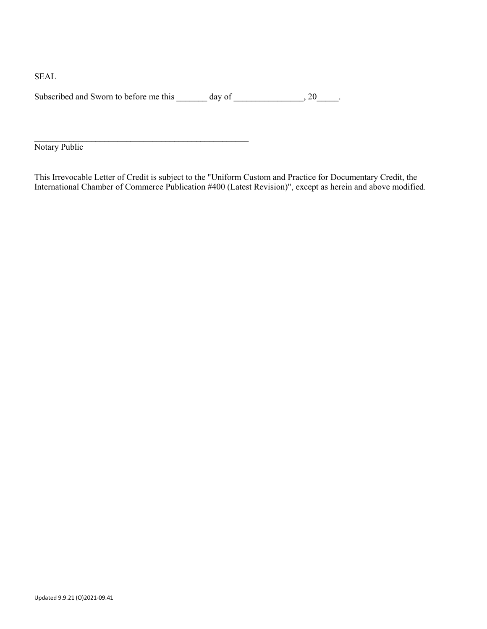SEAL

Subscribed and Sworn to before me this  $\_\_\_\_$  day of  $\_\_\_\_\_$ , 20 $\_\_\_\_\$ .

 $\mathcal{L}_\text{max}$  , and the contract of the contract of the contract of the contract of the contract of the contract of the contract of the contract of the contract of the contract of the contract of the contract of the contr

Notary Public

This Irrevocable Letter of Credit is subject to the "Uniform Custom and Practice for Documentary Credit, the International Chamber of Commerce Publication #400 (Latest Revision)", except as herein and above modified.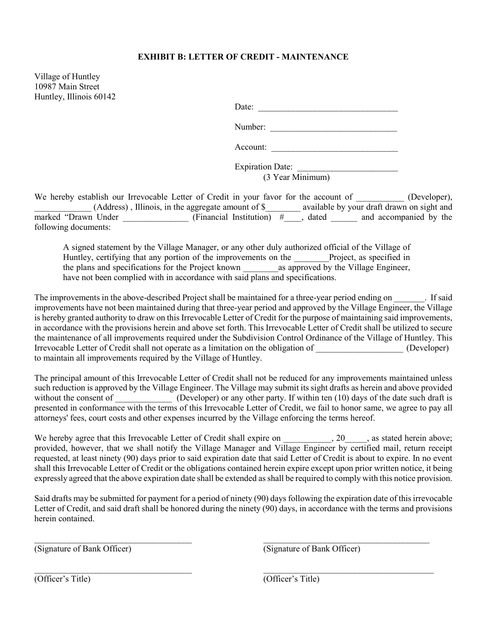#### **EXHIBIT B: LETTER OF CREDIT - MAINTENANCE**

Village of Huntley 10987 Main Street Huntley, Illinois 60142

Date: \_\_\_\_\_\_\_\_\_\_\_\_\_\_\_\_\_\_\_\_\_\_\_\_\_\_\_\_\_\_\_\_

Number: \_\_\_\_\_\_\_\_\_\_\_\_\_\_\_\_\_\_\_\_\_\_\_\_\_\_\_\_\_

Account:

Expiration Date: \_\_\_\_\_\_\_\_\_\_\_\_\_\_\_\_\_\_\_\_\_\_\_ (3 Year Minimum)

We hereby establish our Irrevocable Letter of Credit in your favor for the account of \_\_\_\_\_\_\_\_\_\_ (Developer), \_\_\_\_\_\_\_\_\_\_\_\_\_ (Address) , Illinois, in the aggregate amount of \$\_\_\_\_\_\_\_\_ available by your draft drawn on sight and marked "Drawn Under \_\_\_\_\_\_\_\_\_\_\_\_\_\_\_ (Financial Institution)  $\#$  dated and accompanied by the following documents:

A signed statement by the Village Manager, or any other duly authorized official of the Village of Huntley, certifying that any portion of the improvements on the Project, as specified in the plans and specifications for the Project known \_\_\_\_\_\_\_\_as approved by the Village Engineer, have not been complied with in accordance with said plans and specifications.

The improvements in the above-described Project shall be maintained for a three-year period ending on Fisaid improvements have not been maintained during that three-year period and approved by the Village Engineer, the Village is hereby granted authority to draw on this Irrevocable Letter of Credit for the purpose of maintaining said improvements, in accordance with the provisions herein and above set forth. This Irrevocable Letter of Credit shall be utilized to secure the maintenance of all improvements required under the Subdivision Control Ordinance of the Village of Huntley. This Irrevocable Letter of Credit shall not operate as a limitation on the obligation of \_\_\_\_\_\_\_\_\_\_\_\_\_\_\_\_\_\_\_\_ (Developer) to maintain all improvements required by the Village of Huntley.

The principal amount of this Irrevocable Letter of Credit shall not be reduced for any improvements maintained unless such reduction is approved by the Village Engineer. The Village may submit its sight drafts as herein and above provided without the consent of  $\qquad \qquad$  (Developer) or any other party. If within ten (10) days of the date such draft is presented in conformance with the terms of this Irrevocable Letter of Credit, we fail to honor same, we agree to pay all attorneys' fees, court costs and other expenses incurred by the Village enforcing the terms hereof.

We hereby agree that this Irrevocable Letter of Credit shall expire on \_\_\_\_\_\_\_\_\_\_, 20\_\_\_\_, as stated herein above; provided, however, that we shall notify the Village Manager and Village Engineer by certified mail, return receipt requested, at least ninety (90) days prior to said expiration date that said Letter of Credit is about to expire. In no event shall this Irrevocable Letter of Credit or the obligations contained herein expire except upon prior written notice, it being expressly agreed that the above expiration date shall be extended as shall be required to comply with this notice provision.

Said drafts may be submitted for payment for a period of ninety (90) days following the expiration date of this irrevocable Letter of Credit, and said draft shall be honored during the ninety (90) days, in accordance with the terms and provisions herein contained.

 $\mathcal{L}_\text{max}$  , and the contribution of the contribution of the contribution of the contribution of the contribution of the contribution of the contribution of the contribution of the contribution of the contribution of t

(Signature of Bank Officer) (Signature of Bank Officer)

\_\_\_\_\_\_\_\_\_\_\_\_\_\_\_\_\_\_\_\_\_\_\_\_\_\_\_\_\_\_\_\_\_\_\_\_ \_\_\_\_\_\_\_\_\_\_\_\_\_\_\_\_\_\_\_\_\_\_\_\_\_\_\_\_\_\_\_\_\_\_\_\_\_\_\_ (Officer's Title) (Officer's Title)